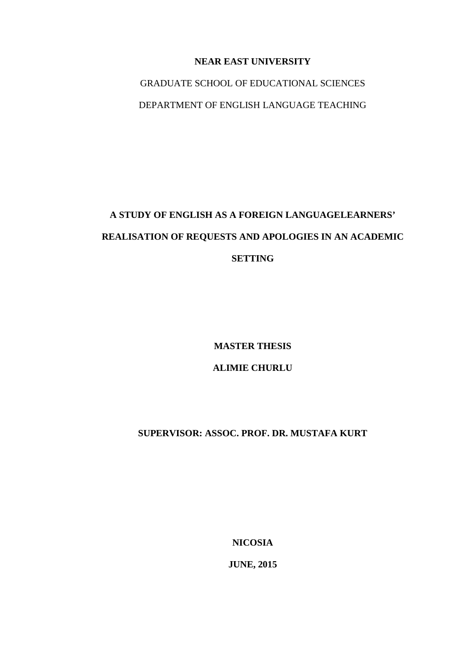### **NEAR EAST UNIVERSITY**

GRADUATE SCHOOL OF EDUCATIONAL SCIENCES DEPARTMENT OF ENGLISH LANGUAGE TEACHING

# **A STUDY OF ENGLISH AS A FOREIGN LANGUAGELEARNERS' REALISATION OF REQUESTS AND APOLOGIES IN AN ACADEMIC SETTING**

**MASTER THESIS**

# **ALIMIE CHURLU**

# **SUPERVISOR: ASSOC. PROF. DR. MUSTAFA KURT**

**NICOSIA**

**JUNE, 2015**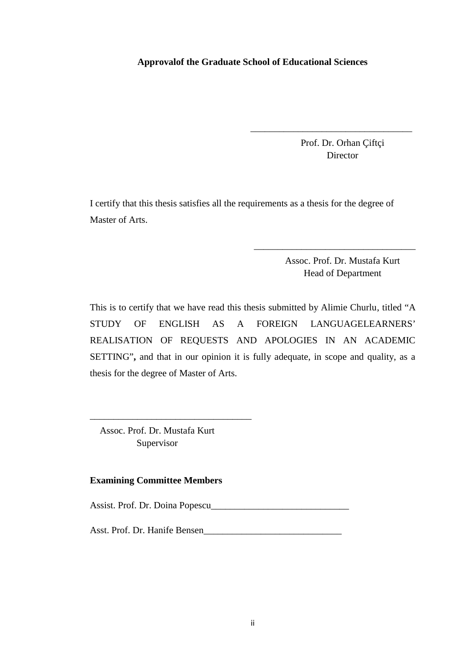### **Approvalof the Graduate School of Educational Sciences**

Prof. Dr. Orhan Çiftçi Director

\_\_\_\_\_\_\_\_\_\_\_\_\_\_\_\_\_\_\_\_\_\_\_\_\_\_\_\_\_\_\_\_\_\_

I certify that this thesis satisfies all the requirements as a thesis for the degree of Master of Arts.

> Assoc. Prof. Dr. Mustafa Kurt Head of Department

\_\_\_\_\_\_\_\_\_\_\_\_\_\_\_\_\_\_\_\_\_\_\_\_\_\_\_\_\_\_\_\_\_\_

This is to certify that we have read this thesis submitted by Alimie Churlu, titled "A STUDY OF ENGLISH AS A FOREIGN LANGUAGELEARNERS' REALISATION OF REQUESTS AND APOLOGIES IN AN ACADEMIC SETTING"**,** and that in our opinion it is fully adequate, in scope and quality, as a thesis for the degree of Master of Arts.

Assoc. Prof. Dr. Mustafa Kurt Supervisor

\_\_\_\_\_\_\_\_\_\_\_\_\_\_\_\_\_\_\_\_\_\_\_\_\_\_\_\_\_\_\_\_\_\_

### **Examining Committee Members**

Assist. Prof. Dr. Doina Popescu\_\_\_\_\_\_\_\_\_\_\_\_\_\_\_\_\_\_\_\_\_\_\_\_\_\_\_\_\_

Asst. Prof. Dr. Hanife Bensen\_\_\_\_\_\_\_\_\_\_\_\_\_\_\_\_\_\_\_\_\_\_\_\_\_\_\_\_\_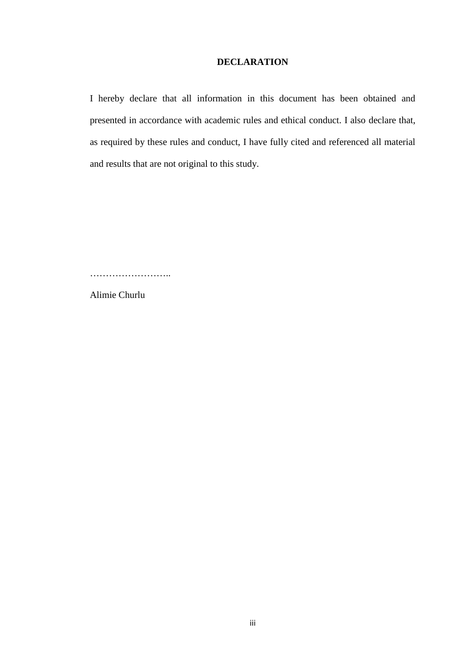### **DECLARATION**

I hereby declare that all information in this document has been obtained and presented in accordance with academic rules and ethical conduct. I also declare that, as required by these rules and conduct, I have fully cited and referenced all material and results that are not original to this study.

……………………..

Alimie Churlu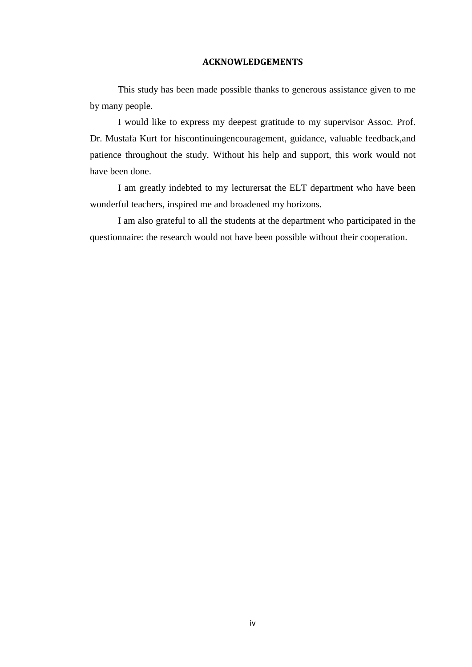### **ACKNOWLEDGEMENTS**

This study has been made possible thanks to generous assistance given to me by many people.

I would like to express my deepest gratitude to my supervisor Assoc. Prof. Dr. Mustafa Kurt for hiscontinuingencouragement, guidance, valuable feedback,and patience throughout the study. Without his help and support, this work would not have been done.

I am greatly indebted to my lecturersat the ELT department who have been wonderful teachers, inspired me and broadened my horizons.

I am also grateful to all the students at the department who participated in the questionnaire: the research would not have been possible without their cooperation.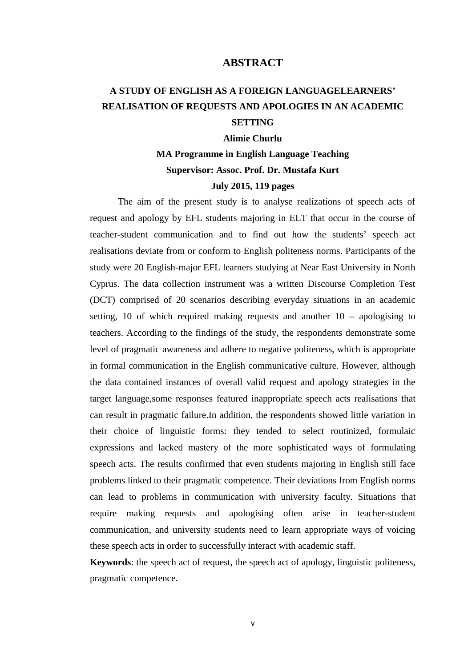### **ABSTRACT**

# **A STUDY OF ENGLISH AS A FOREIGN LANGUAGELEARNERS' REALISATION OF REQUESTS AND APOLOGIES IN AN ACADEMIC SETTING**

### **Alimie Churlu**

# **MA Programme in English Language Teaching Supervisor: Assoc. Prof. Dr. Mustafa Kurt July 2015, 119 pages**

The aim of the present study is to analyse realizations of speech acts of request and apology by EFL students majoring in ELT that occur in the course of teacher-student communication and to find out how the students' speech act realisations deviate from or conform to English politeness norms. Participants of the study were 20 English-major EFL learners studying at Near East University in North Cyprus. The data collection instrument was a written Discourse Completion Test (DCT) comprised of 20 scenarios describing everyday situations in an academic setting, 10 of which required making requests and another 10 – apologising to teachers. According to the findings of the study, the respondents demonstrate some level of pragmatic awareness and adhere to negative politeness, which is appropriate in formal communication in the English communicative culture. However, although the data contained instances of overall valid request and apology strategies in the target language,some responses featured inappropriate speech acts realisations that can result in pragmatic failure.In addition, the respondents showed little variation in their choice of linguistic forms: they tended to select routinized, formulaic expressions and lacked mastery of the more sophisticated ways of formulating speech acts. The results confirmed that even students majoring in English still face problems linked to their pragmatic competence. Their deviations from English norms can lead to problems in communication with university faculty. Situations that require making requests and apologising often arise in teacher-student communication, and university students need to learn appropriate ways of voicing these speech acts in order to successfully interact with academic staff.

**Keywords**: the speech act of request, the speech act of apology, linguistic politeness, pragmatic competence.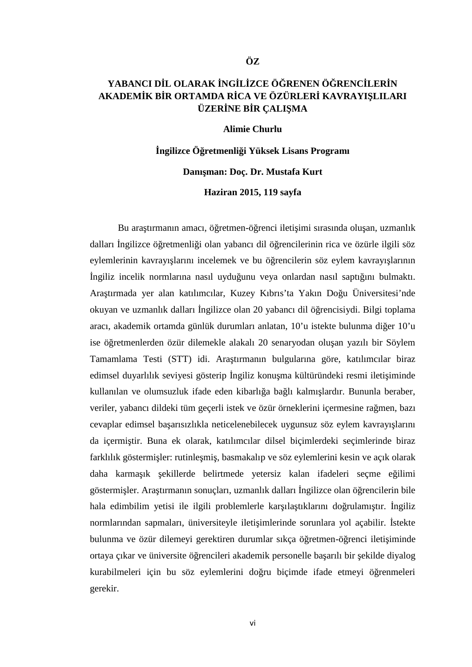# YABANCI DIL OLARAK INGILIZCE ÖRENEN ÖRENCILERIN AKADEM K B R ORTAMDA R CA VE ÖZÜRLER KAVRAYI LILARI **ÜZER NE B R ÇALI MA**

### **Alimie Churlu**

**İngilizce Öğretmenliği Yüksek Lisans Programı** Danı man: Doç. Dr. Mustafa Kurt

**Haziran 2015, 119 sayfa**

Bu ara tırmanın amacı, ö retmen-ö renci ileti imi sırasında olu an, uzmanlık dalları ngilizce ö retmenli i olan yabancı dil ö rencilerinin rica ve özürle ilgili söz eylemlerinin kavrayı larını incelemek ve bu ö rencilerin söz eylem kavrayı larının ngiliz incelik normlarına nasıl uydu unu veya onlardan nasıl saptı ını bulmaktı. Araştırmada yer alan katılımcılar, Kuzey Kıbrıs'ta Yakın Doğu Üniversitesi'nde okuyan ve uzmanlık dalları ngilizce olan 20 yabancı dil ö rencisiydi. Bilgi toplama aracı, akademik ortamda günlük durumları anlatan, 10'u istekte bulunma diğer 10'u ise ö retmenlerden özür dilemekle alakalı 20 senaryodan olu an yazılı bir Söylem Tamamlama Testi (STT) idi. Ara tırmanın bulgularına göre, katılımcılar biraz edimsel duyarlılık seviyesi gösterip ngiliz konu ma kültüründeki resmi ileti iminde kullanılan ve olumsuzluk ifade eden kibarlığa bağlı kalmışlardır. Bununla beraber, veriler, yabancı dildeki tüm geçerli istek ve özür örneklerini içermesine rağmen, bazı cevaplar edimsel ba arısızlıkla neticelenebilecek uygunsuz söz eylem kavrayı larını da içermi tir. Buna ek olarak, katılımcılar dilsel biçimlerdeki seçimlerinde biraz farklılık göstermi ler: rutinle mi, basmakalıp ve söz eylemlerini kesin ve açık olarak daha karma ık ekillerde belirtmede yetersiz kalan ifadeleri seçme e ilimi göstermi ler. Ara tırmanın sonuçları, uzmanlık dalları ngilizce olan ö rencilerin bile hala edimbilim yetisi ile ilgili problemlerle kar ıla tıklarını do rulamı tır. ngiliz normlarından sapmaları, üniversiteyle ileti imlerinde sorunlara yol açabilir. stekte bulunma ve özür dilemeyi gerektiren durumlar sıkça ö retmen-ö renci ileti iminde ortaya çıkar ve üniversite ö rencileri akademik personelle ba arılı bir ekilde diyalog kurabilmeleri için bu söz eylemlerini doru biçimde ifade etmeyi örenmeleri gerekir.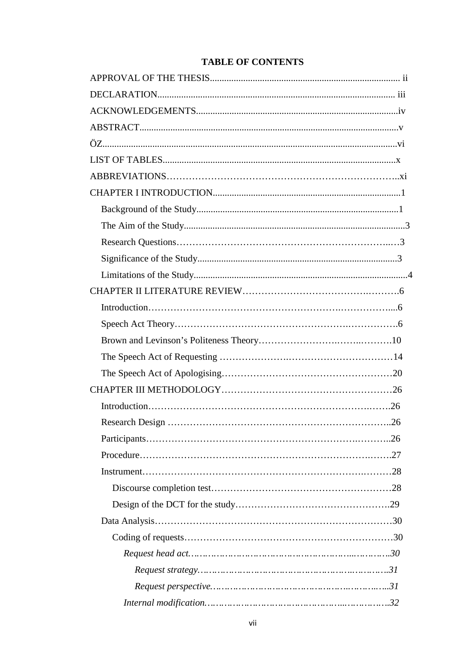# **TABLE OF CONTENTS**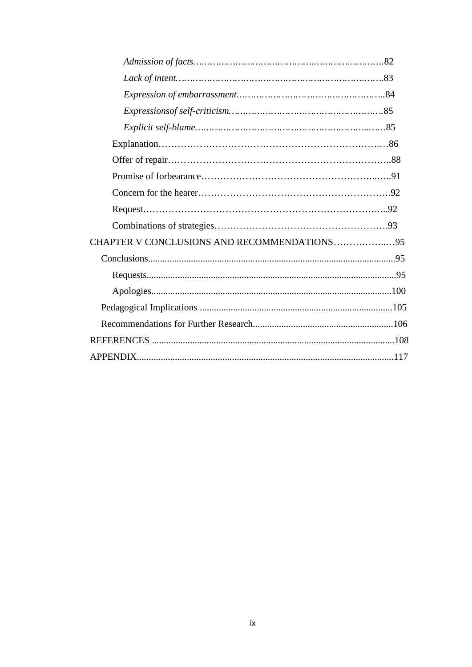| CHAPTER V CONCLUSIONS AND RECOMMENDATIONS95 |  |
|---------------------------------------------|--|
|                                             |  |
|                                             |  |
|                                             |  |
|                                             |  |
|                                             |  |
|                                             |  |
|                                             |  |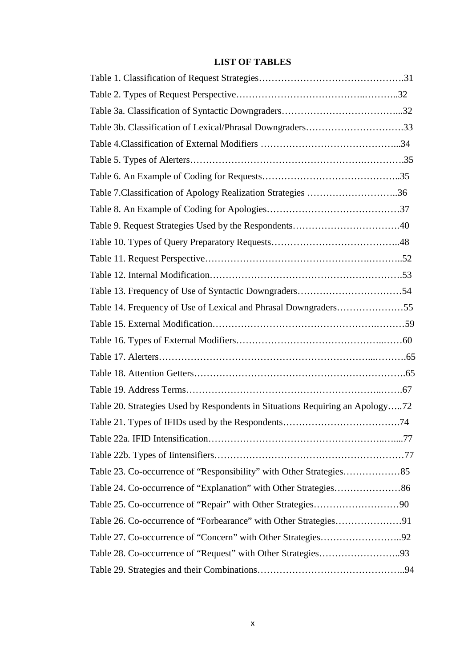# **LIST OF TABLES**

| Table 3b. Classification of Lexical/Phrasal Downgraders33                     |  |
|-------------------------------------------------------------------------------|--|
|                                                                               |  |
|                                                                               |  |
|                                                                               |  |
| Table 7. Classification of Apology Realization Strategies 36                  |  |
|                                                                               |  |
|                                                                               |  |
|                                                                               |  |
|                                                                               |  |
|                                                                               |  |
|                                                                               |  |
| Table 14. Frequency of Use of Lexical and Phrasal Downgraders55               |  |
|                                                                               |  |
|                                                                               |  |
|                                                                               |  |
|                                                                               |  |
|                                                                               |  |
| Table 20. Strategies Used by Respondents in Situations Requiring an Apology72 |  |
|                                                                               |  |
|                                                                               |  |
|                                                                               |  |
|                                                                               |  |
|                                                                               |  |
|                                                                               |  |
|                                                                               |  |
|                                                                               |  |
|                                                                               |  |
|                                                                               |  |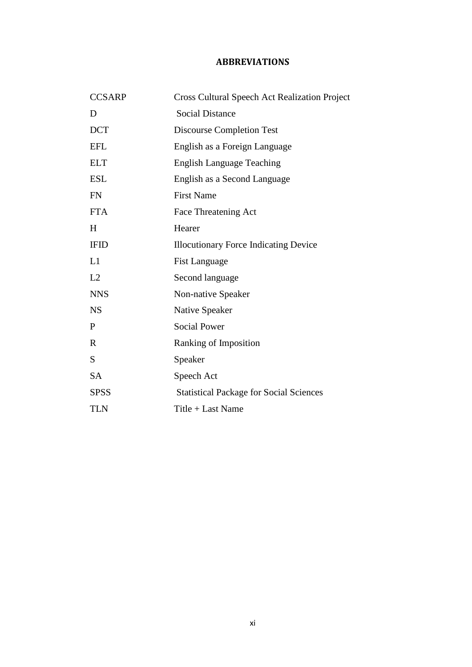### **ABBREVIATIONS**

| <b>CCSARP</b> | <b>Cross Cultural Speech Act Realization Project</b> |
|---------------|------------------------------------------------------|
| D             | <b>Social Distance</b>                               |
| <b>DCT</b>    | <b>Discourse Completion Test</b>                     |
| <b>EFL</b>    | English as a Foreign Language                        |
| <b>ELT</b>    | <b>English Language Teaching</b>                     |
| <b>ESL</b>    | English as a Second Language                         |
| <b>FN</b>     | <b>First Name</b>                                    |
| <b>FTA</b>    | Face Threatening Act                                 |
| H             | Hearer                                               |
| <b>IFID</b>   | <b>Illocutionary Force Indicating Device</b>         |
| L1            | <b>Fist Language</b>                                 |
| L2            | Second language                                      |
| <b>NNS</b>    | Non-native Speaker                                   |
| <b>NS</b>     | Native Speaker                                       |
| P             | <b>Social Power</b>                                  |
| $\mathbf R$   | Ranking of Imposition                                |
| S             | Speaker                                              |
| <b>SA</b>     | Speech Act                                           |
| <b>SPSS</b>   | <b>Statistical Package for Social Sciences</b>       |
| <b>TLN</b>    | Title + Last Name                                    |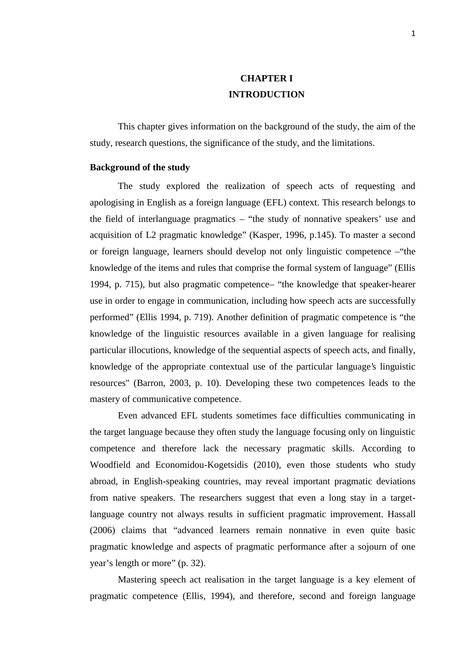# **CHAPTER I INTRODUCTION**

This chapter gives information on the background of the study, the aim of the study, research questions, the significance of the study, and the limitations.

### **Background of the study**

The study explored the realization of speech acts of requesting and apologising in English as a foreign language (EFL) context. This research belongs to the field of interlanguage pragmatics – "the study of nonnative speakers' use and acquisition of L2 pragmatic knowledge" (Kasper, 1996, p.145). To master a second or foreign language, learners should develop not only linguistic competence –"the knowledge of the items and rules that comprise the formal system of language" (Ellis 1994, p. 715), but also pragmatic competence– "the knowledge that speaker-hearer use in order to engage in communication, including how speech acts are successfully performed" (Ellis 1994, p. 719). Another definition of pragmatic competence is "the knowledge of the linguistic resources available in a given language for realising particular illocutions, knowledge of the sequential aspects of speech acts, and finally, knowledge of the appropriate contextual use of the particular language's linguistic resources" (Barron, 2003, p. 10). Developing these two competences leads to the mastery of communicative competence.

Even advanced EFL students sometimes face difficulties communicating in the target language because they often study the language focusing only on linguistic competence and therefore lack the necessary pragmatic skills. According to Woodfield and Economidou-Kogetsidis (2010), even those students who study abroad, in English-speaking countries, may reveal important pragmatic deviations from native speakers. The researchers suggest that even a long stay in a targetlanguage country not always results in sufficient pragmatic improvement. Hassall (2006) claims that "advanced learners remain nonnative in even quite basic pragmatic knowledge and aspects of pragmatic performance after a sojourn of one year's length or more" (p. 32).

Mastering speech act realisation in the target language is a key element of pragmatic competence (Ellis, 1994), and therefore, second and foreign language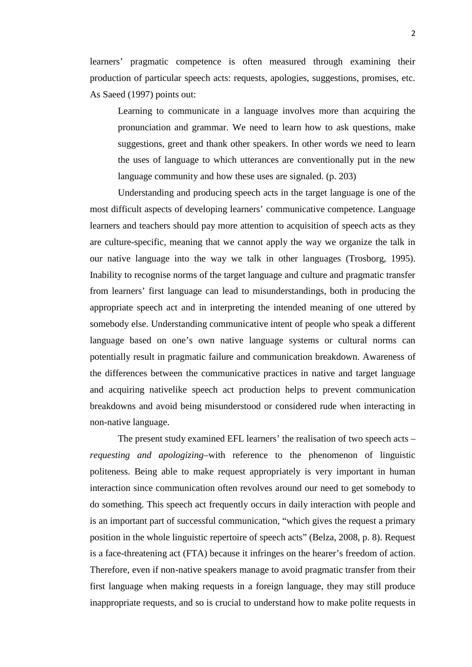learners' pragmatic competence is often measured through examining their production of particular speech acts: requests, apologies, suggestions, promises, etc. As Saeed (1997) points out:

Learning to communicate in a language involves more than acquiring the pronunciation and grammar. We need to learn how to ask questions, make suggestions, greet and thank other speakers. In other words we need to learn the uses of language to which utterances are conventionally put in the new language community and how these uses are signaled. (p. 203)

Understanding and producing speech acts in the target language is one of the most difficult aspects of developing learners' communicative competence. Language learners and teachers should pay more attention to acquisition of speech acts as they are culture-specific, meaning that we cannot apply the way we organize the talk in our native language into the way we talk in other languages (Trosborg, 1995). Inability to recognise norms of the target language and culture and pragmatic transfer from learners' first language can lead to misunderstandings, both in producing the appropriate speech act and in interpreting the intended meaning of one uttered by somebody else. Understanding communicative intent of people who speak a different language based on one's own native language systems or cultural norms can potentially result in pragmatic failure and communication breakdown. Awareness of the differences between the communicative practices in native and target language and acquiring nativelike speech act production helps to prevent communication breakdowns and avoid being misunderstood or considered rude when interacting in non-native language.

The present study examined EFL learners' the realisation of two speech acts – *requesting and apologizing*–with reference to the phenomenon of linguistic politeness. Being able to make request appropriately is very important in human interaction since communication often revolves around our need to get somebody to do something. This speech act frequently occurs in daily interaction with people and is an important part of successful communication, "which gives the request a primary position in the whole linguistic repertoire of speech acts" (Belza, 2008, p. 8). Request is a face-threatening act (FTA) because it infringes on the hearer's freedom of action. Therefore, even if non-native speakers manage to avoid pragmatic transfer from their first language when making requests in a foreign language, they may still produce inappropriate requests, and so is crucial to understand how to make polite requests in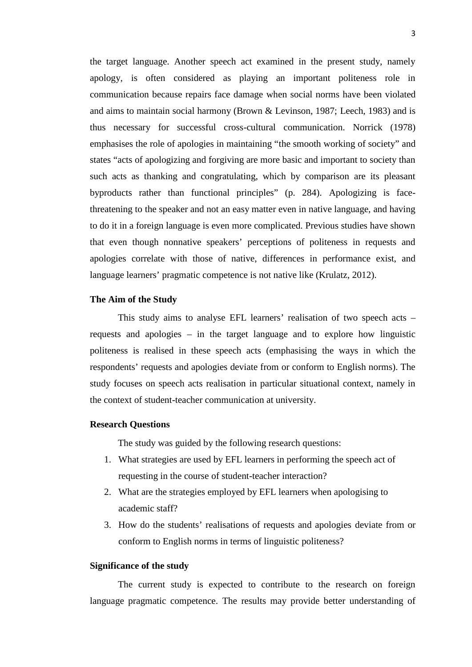the target language. Another speech act examined in the present study, namely apology, is often considered as playing an important politeness role in communication because repairs face damage when social norms have been violated and aims to maintain social harmony (Brown & Levinson, 1987; Leech, 1983) and is thus necessary for successful cross-cultural communication. Norrick (1978) emphasises the role of apologies in maintaining "the smooth working of society" and states "acts of apologizing and forgiving are more basic and important to society than such acts as thanking and congratulating, which by comparison are its pleasant byproducts rather than functional principles" (p. 284). Apologizing is facethreatening to the speaker and not an easy matter even in native language, and having to do it in a foreign language is even more complicated. Previous studies have shown that even though nonnative speakers' perceptions of politeness in requests and apologies correlate with those of native, differences in performance exist, and language learners' pragmatic competence is not native like (Krulatz, 2012).

#### **The Aim of the Study**

This study aims to analyse EFL learners' realisation of two speech acts – requests and apologies – in the target language and to explore how linguistic politeness is realised in these speech acts (emphasising the ways in which the respondents' requests and apologies deviate from or conform to English norms). The study focuses on speech acts realisation in particular situational context, namely in the context of student-teacher communication at university.

#### **Research Questions**

The study was guided by the following research questions:

- 1. What strategies are used by EFL learners in performing the speech act of requesting in the course of student-teacher interaction?
- 2. What are the strategies employed by EFL learners when apologising to academic staff?
- 3. How do the students' realisations of requests and apologies deviate from or conform to English norms in terms of linguistic politeness?

### **Significance of the study**

The current study is expected to contribute to the research on foreign language pragmatic competence. The results may provide better understanding of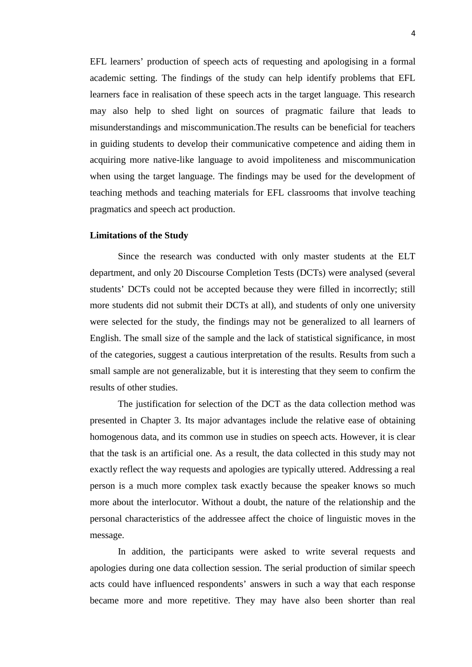EFL learners' production of speech acts of requesting and apologising in a formal academic setting. The findings of the study can help identify problems that EFL learners face in realisation of these speech acts in the target language. This research may also help to shed light on sources of pragmatic failure that leads to misunderstandings and miscommunication.The results can be beneficial for teachers in guiding students to develop their communicative competence and aiding them in acquiring more native-like language to avoid impoliteness and miscommunication when using the target language. The findings may be used for the development of teaching methods and teaching materials for EFL classrooms that involve teaching pragmatics and speech act production.

#### **Limitations of the Study**

Since the research was conducted with only master students at the ELT department, and only 20 Discourse Completion Tests (DCTs) were analysed (several students' DCTs could not be accepted because they were filled in incorrectly; still more students did not submit their DCTs at all), and students of only one university were selected for the study, the findings may not be generalized to all learners of English. The small size of the sample and the lack of statistical significance, in most of the categories, suggest a cautious interpretation of the results. Results from such a small sample are not generalizable, but it is interesting that they seem to confirm the results of other studies.

The justification for selection of the DCT as the data collection method was presented in Chapter 3. Its major advantages include the relative ease of obtaining homogenous data, and its common use in studies on speech acts. However, it is clear that the task is an artificial one. As a result, the data collected in this study may not exactly reflect the way requests and apologies are typically uttered. Addressing a real person is a much more complex task exactly because the speaker knows so much more about the interlocutor. Without a doubt, the nature of the relationship and the personal characteristics of the addressee affect the choice of linguistic moves in the message.

In addition, the participants were asked to write several requests and apologies during one data collection session. The serial production of similar speech acts could have influenced respondents' answers in such a way that each response became more and more repetitive. They may have also been shorter than real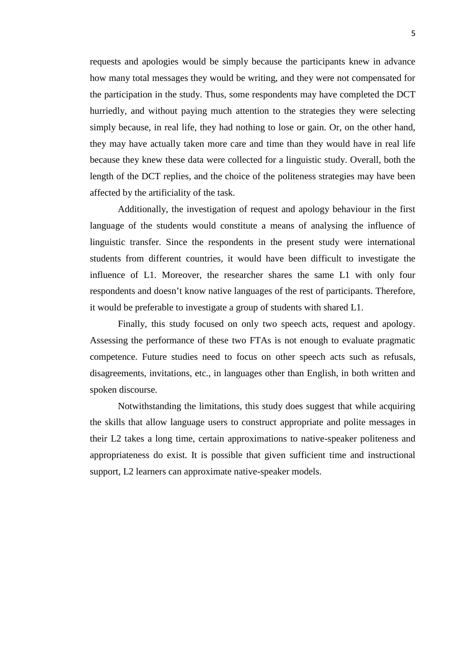requests and apologies would be simply because the participants knew in advance how many total messages they would be writing, and they were not compensated for the participation in the study. Thus, some respondents may have completed the DCT hurriedly, and without paying much attention to the strategies they were selecting simply because, in real life, they had nothing to lose or gain. Or, on the other hand, they may have actually taken more care and time than they would have in real life because they knew these data were collected for a linguistic study. Overall, both the length of the DCT replies, and the choice of the politeness strategies may have been affected by the artificiality of the task.

Additionally, the investigation of request and apology behaviour in the first language of the students would constitute a means of analysing the influence of linguistic transfer. Since the respondents in the present study were international students from different countries, it would have been difficult to investigate the influence of L1. Moreover, the researcher shares the same L1 with only four respondents and doesn't know native languages of the rest of participants. Therefore, it would be preferable to investigate a group of students with shared L1.

Finally, this study focused on only two speech acts, request and apology. Assessing the performance of these two FTAs is not enough to evaluate pragmatic competence. Future studies need to focus on other speech acts such as refusals, disagreements, invitations, etc., in languages other than English, in both written and spoken discourse.

Notwithstanding the limitations, this study does suggest that while acquiring the skills that allow language users to construct appropriate and polite messages in their L2 takes a long time, certain approximations to native-speaker politeness and appropriateness do exist. It is possible that given sufficient time and instructional support, L2 learners can approximate native-speaker models.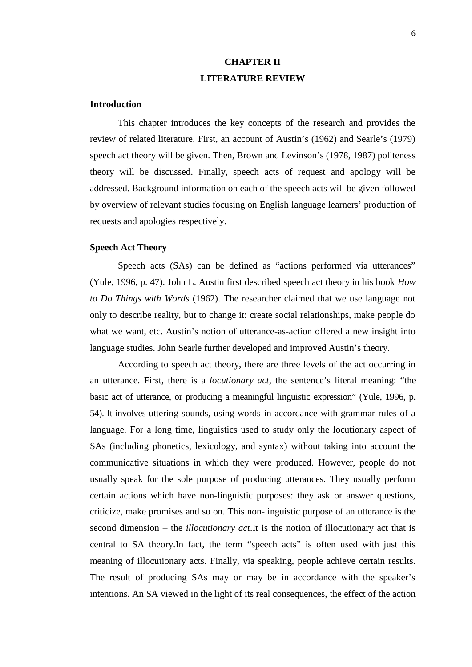# **CHAPTER II LITERATURE REVIEW**

### **Introduction**

This chapter introduces the key concepts of the research and provides the review of related literature. First, an account of Austin's (1962) and Searle's (1979) speech act theory will be given. Then, Brown and Levinson's (1978, 1987) politeness theory will be discussed. Finally, speech acts of request and apology will be addressed. Background information on each of the speech acts will be given followed by overview of relevant studies focusing on English language learners' production of requests and apologies respectively.

### **Speech Act Theory**

Speech acts (SAs) can be defined as "actions performed via utterances" (Yule, 1996, p. 47). John L. Austin first described speech act theory in his book *How to Do Things with Words* (1962). The researcher claimed that we use language not only to describe reality, but to change it: create social relationships, make people do what we want, etc. Austin's notion of utterance-as-action offered a new insight into language studies. John Searle further developed and improved Austin's theory.

According to speech act theory, there are three levels of the act occurring in an utterance. First, there is a *locutionary act*, the sentence's literal meaning: "the basic act of utterance, or producing a meaningful linguistic expression" (Yule, 1996, p. 54). It involves uttering sounds, using words in accordance with grammar rules of a language. For a long time, linguistics used to study only the locutionary aspect of SAs (including phonetics, lexicology, and syntax) without taking into account the communicative situations in which they were produced. However, people do not usually speak for the sole purpose of producing utterances. They usually perform certain actions which have non-linguistic purposes: they ask or answer questions, criticize, make promises and so on. This non-linguistic purpose of an utterance is the second dimension – the *illocutionary act*.It is the notion of illocutionary act that is central to SA theory.In fact, the term "speech acts" is often used with just this meaning of illocutionary acts. Finally, via speaking, people achieve certain results. The result of producing SAs may or may be in accordance with the speaker's intentions. An SA viewed in the light of its real consequences, the effect of the action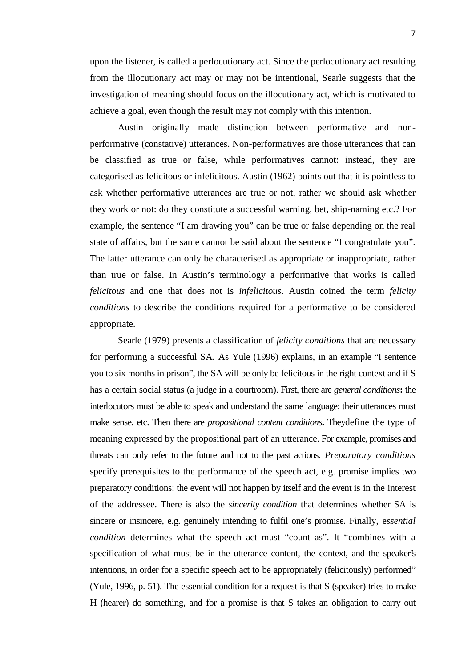upon the listener, is called a perlocutionary act. Since the perlocutionary act resulting from the illocutionary act may or may not be intentional, Searle suggests that the investigation of meaning should focus on the illocutionary act, which is motivated to achieve a goal, even though the result may not comply with this intention.

Austin originally made distinction between performative and non performative (constative) utterances. Non-performatives are those utterances that can be classified as true or false, while performatives cannot: instead, they are categorised as felicitous or infelicitous. Austin (1962) points out that it is pointless to ask whether performative utterances are true or not, rather we should ask whether they work or not: do they constitute a successful warning, bet, ship-naming etc.? For example, the sentence "I am drawing you" can be true or false depending on the real state of affairs, but the same cannot be said about the sentence "I congratulate you". The latter utterance can only be characterised as appropriate or inappropriate, rather than true or false. In Austin's terminology a performative that works is called *felicitous* and one that does not is *infelicitous*. Austin coined the term *felicity conditions* to describe the conditions required for a performative to be considered appropriate.

Searle (1979) presents a classification of *felicity conditions* that are necessary for performing a successful SA. As Yule (1996) explains, in an example "I sentence you to six months in prison", the SA will be only be felicitous in the right context and if S has a certain social status (a judge in a courtroom). First, there are *general conditions***:** the interlocutors must be able to speak and understand the same language; their utterances must make sense, etc. Then there are *propositional content conditions***.** Theydefine the type of meaning expressed by the propositional part of an utterance. For example, promises and threats can only refer to the future and not to the past actions. *Preparatory conditions* specify prerequisites to the performance of the speech act, e.g. promise implies two preparatory conditions: the event will not happen by itself and the event is in the interest of the addressee. There is also the *sincerity condition* that determines whether SA is sincere or insincere, e.g. genuinely intending to fulfil one's promise. Finally, e*ssential condition* determines what the speech act must "count as". It "combines with a specification of what must be in the utterance content, the context, and the speaker's intentions, in order for a specific speech act to be appropriately (felicitously) performed" (Yule, 1996, p. 51). The essential condition for a request is that S (speaker) tries to make H (hearer) do something, and for a promise is that S takes an obligation to carry out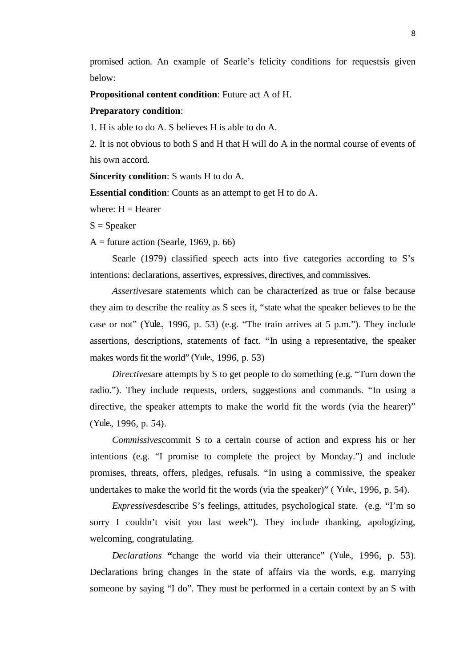promised action. An example of Searle's felicity conditions for requestsis given below:

**Propositional content condition**: Future act A of H.

### **Preparatory condition**:

1. H is able to do A. S believes H is able to do A.

2. It is not obvious to both S and H that H will do A in the normal course of events of his own accord.

**Sincerity condition**: S wants H to do A.

**Essential condition**: Counts as an attempt to get H to do A.

where:  $H = Hearer$ 

 $S = Speaker$ 

 $A =$  future action (Searle, 1969, p. 66)

Searle (1979) classified speech acts into five categories according to S's intentions: declarations, assertives, expressives, directives, and commissives.

*Assertives*are statements which can be characterized as true or false because they aim to describe the reality as S sees it, "state what the speaker believes to be the case or not" (Yule., 1996, p. 53) (e.g. "The train arrives at 5 p.m."). They include assertions, descriptions, statements of fact. "In using a representative, the speaker makes words fit the world" (Yule., 1996, p. 53)

*Directives*are attempts by S to get people to do something (e.g. "Turn down the radio."). They include requests, orders, suggestions and commands. "In using a directive, the speaker attempts to make the world fit the words (via the hearer)" (Yule., 1996, p. 54).

*Commissives*commit S to a certain course of action and express his or her intentions (e.g. "I promise to complete the project by Monday.") and include promises, threats, offers, pledges, refusals. "In using a commissive, the speaker undertakes to make the world fit the words (via the speaker)" ( Yule., 1996, p. 54).

*Expressives*describe S's feelings, attitudes, psychological state. (e.g. "I'm so sorry I couldn't visit you last week"). They include thanking, apologizing, welcoming, congratulating.

*Declarations* **"**change the world via their utterance" (Yule., 1996, p. 53). Declarations bring changes in the state of affairs via the words, e.g. marrying someone by saying "I do". They must be performed in a certain context by an S with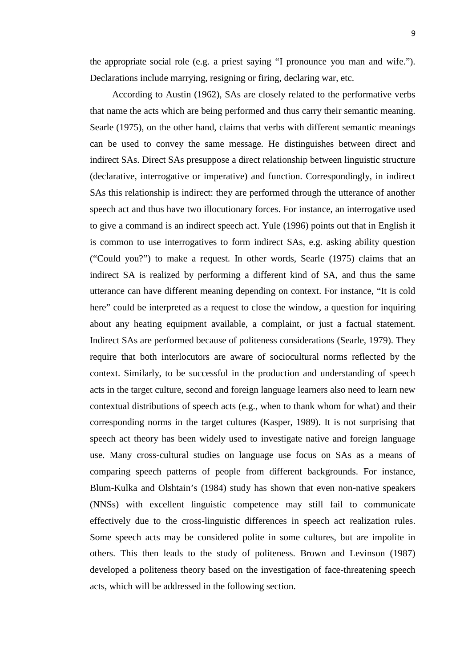the appropriate social role (e.g. a priest saying "I pronounce you man and wife."). Declarations include marrying, resigning or firing, declaring war, etc.

According to Austin (1962), SAs are closely related to the performative verbs that name the acts which are being performed and thus carry their semantic meaning. Searle (1975), on the other hand, claims that verbs with different semantic meanings can be used to convey the same message. He distinguishes between direct and indirect SAs. Direct SAs presuppose a direct relationship between linguistic structure (declarative, interrogative or imperative) and function. Correspondingly, in indirect SAs this relationship is indirect: they are performed through the utterance of another speech act and thus have two illocutionary forces. For instance, an interrogative used to give a command is an indirect speech act. Yule (1996) points out that in English it is common to use interrogatives to form indirect SAs, e.g. asking ability question ("Could you?") to make a request. In other words, Searle (1975) claims that an indirect SA is realized by performing a different kind of SA, and thus the same utterance can have different meaning depending on context. For instance, "It is cold here" could be interpreted as a request to close the window, a question for inquiring about any heating equipment available, a complaint, or just a factual statement. Indirect SAs are performed because of politeness considerations (Searle, 1979). They require that both interlocutors are aware of sociocultural norms reflected by the context. Similarly, to be successful in the production and understanding of speech acts in the target culture, second and foreign language learners also need to learn new contextual distributions of speech acts (e.g., when to thank whom for what) and their corresponding norms in the target cultures (Kasper, 1989). It is not surprising that speech act theory has been widely used to investigate native and foreign language use. Many cross-cultural studies on language use focus on SAs as a means of comparing speech patterns of people from different backgrounds. For instance, Blum-Kulka and Olshtain's (1984) study has shown that even non-native speakers (NNSs) with excellent linguistic competence may still fail to communicate effectively due to the cross-linguistic differences in speech act realization rules. Some speech acts may be considered polite in some cultures, but are impolite in others. This then leads to the study of politeness. Brown and Levinson (1987) developed a politeness theory based on the investigation of face-threatening speech acts, which will be addressed in the following section.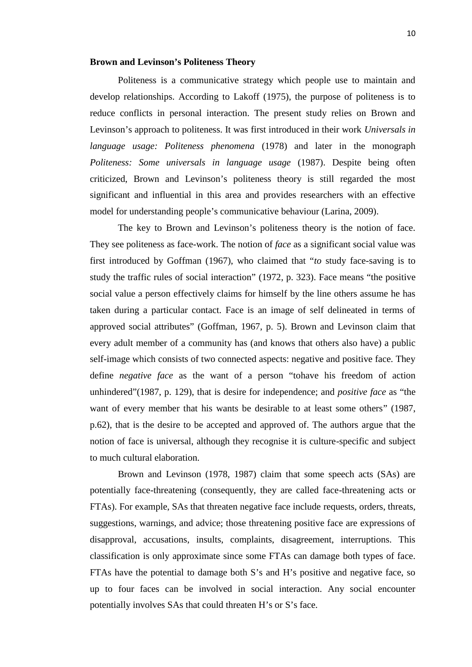### **Brown and Levinson's Politeness Theory**

Politeness is a communicative strategy which people use to maintain and develop relationships. According to Lakoff (1975), the purpose of politeness is to reduce conflicts in personal interaction. The present study relies on Brown and Levinson's approach to politeness. It was first introduced in their work *Universals in language usage: Politeness phenomena* (1978) and later in the monograph *Politeness: Some universals in language usage* (1987). Despite being often criticized, Brown and Levinson's politeness theory is still regarded the most significant and influential in this area and provides researchers with an effective model for understanding people's communicative behaviour (Larina, 2009).

The key to Brown and Levinson's politeness theory is the notion of face. They see politeness as face-work. The notion of *face* as a significant social value was first introduced by Goffman (1967), who claimed that "*to* study face-saving is to study the traffic rules of social interaction" (1972, p. 323). Face means "the positive social value a person effectively claims for himself by the line others assume he has taken during a particular contact. Face is an image of self delineated in terms of approved social attributes" (Goffman, 1967, p. 5). Brown and Levinson claim that every adult member of a community has (and knows that others also have) a public self-image which consists of two connected aspects: negative and positive face. They define *negative face* as the want of a person "tohave his freedom of action unhindered"(1987, p. 129), that is desire for independence; and *positive face* as "the want of every member that his wants be desirable to at least some others" (1987, p.62), that is the desire to be accepted and approved of. The authors argue that the notion of face is universal, although they recognise it is culture-specific and subject to much cultural elaboration.

Brown and Levinson (1978, 1987) claim that some speech acts (SAs) are potentially face-threatening (consequently, they are called face-threatening acts or FTAs). For example, SAs that threaten negative face include requests, orders, threats, suggestions, warnings, and advice; those threatening positive face are expressions of disapproval, accusations, insults, complaints, disagreement, interruptions. This classification is only approximate since some FTAs can damage both types of face. FTAs have the potential to damage both S's and H's positive and negative face, so up to four faces can be involved in social interaction. Any social encounter potentially involves SAs that could threaten H's or S's face.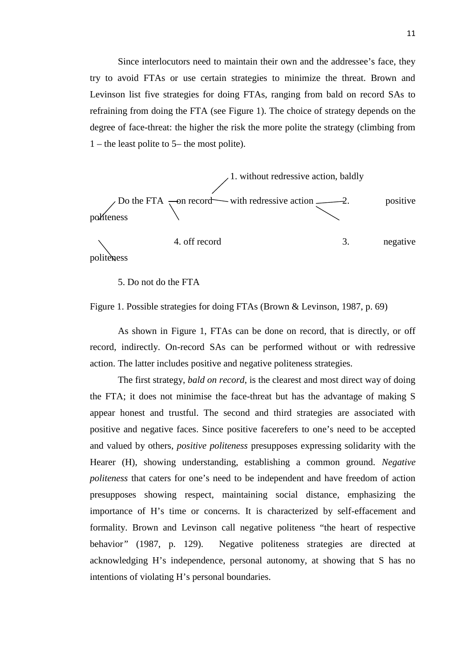Since interlocutors need to maintain their own and the addressee's face, they try to avoid FTAs or use certain strategies to minimize the threat. Brown and Levinson list five strategies for doing FTAs, ranging from bald on record SAs to refraining from doing the FTA (see Figure 1). The choice of strategy depends on the degree of face-threat: the higher the risk the more polite the strategy (climbing from 1 – the least polite to 5– the most polite).



politeness

5. Do not do the FTA

Figure 1. Possible strategies for doing FTAs (Brown & Levinson, 1987, p. 69)

As shown in Figure 1, FTAs can be done on record, that is directly, or off record, indirectly. On-record SAs can be performed without or with redressive action. The latter includes positive and negative politeness strategies.

The first strategy, *bald on record*, is the clearest and most direct way of doing the FTA; it does not minimise the face-threat but has the advantage of making S appear honest and trustful. The second and third strategies are associated with positive and negative faces. Since positive facerefers to one's need to be accepted and valued by others, *positive politeness* presupposes expressing solidarity with the Hearer (H), showing understanding, establishing a common ground. *Negative politeness* that caters for one's need to be independent and have freedom of action presupposes showing respect, maintaining social distance, emphasizing the importance of H's time or concerns. It is characterized by self-effacement and formality. Brown and Levinson call negative politeness "the heart of respective behavior*"* (1987, p. 129). Negative politeness strategies are directed at acknowledging H's independence, personal autonomy, at showing that S has no intentions of violating H's personal boundaries.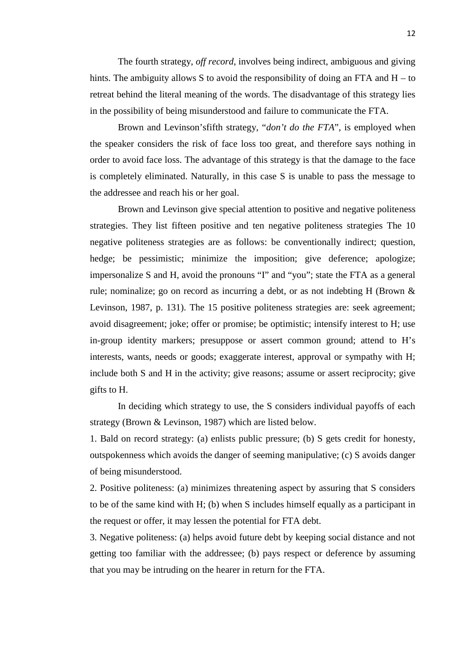The fourth strategy, *off record*, involves being indirect, ambiguous and giving hints. The ambiguity allows S to avoid the responsibility of doing an FTA and  $H - to$ retreat behind the literal meaning of the words. The disadvantage of this strategy lies in the possibility of being misunderstood and failure to communicate the FTA.

Brown and Levinson'sfifth strategy, "*don't do the FTA*", is employed when the speaker considers the risk of face loss too great, and therefore says nothing in order to avoid face loss. The advantage of this strategy is that the damage to the face is completely eliminated. Naturally, in this case S is unable to pass the message to the addressee and reach his or her goal.

Brown and Levinson give special attention to positive and negative politeness strategies. They list fifteen positive and ten negative politeness strategies The 10 negative politeness strategies are as follows: be conventionally indirect; question, hedge; be pessimistic; minimize the imposition; give deference; apologize; impersonalize S and H, avoid the pronouns "I" and "you"; state the FTA as a general rule; nominalize; go on record as incurring a debt, or as not indebting H (Brown & Levinson, 1987, p. 131). The 15 positive politeness strategies are: seek agreement; avoid disagreement; joke; offer or promise; be optimistic; intensify interest to H; use in-group identity markers; presuppose or assert common ground; attend to H's interests, wants, needs or goods; exaggerate interest, approval or sympathy with H; include both S and H in the activity; give reasons; assume or assert reciprocity; give gifts to H.

In deciding which strategy to use, the S considers individual payoffs of each strategy (Brown & Levinson, 1987) which are listed below.

1. Bald on record strategy: (a) enlists public pressure; (b) S gets credit for honesty, outspokenness which avoids the danger of seeming manipulative; (c) S avoids danger of being misunderstood.

2. Positive politeness: (a) minimizes threatening aspect by assuring that S considers to be of the same kind with H; (b) when S includes himself equally as a participant in the request or offer, it may lessen the potential for FTA debt.

3. Negative politeness: (a) helps avoid future debt by keeping social distance and not getting too familiar with the addressee; (b) pays respect or deference by assuming that you may be intruding on the hearer in return for the FTA.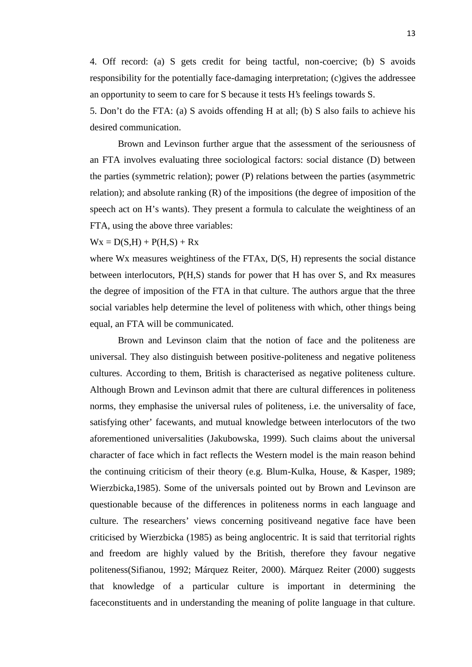4. Off record: (a) S gets credit for being tactful, non-coercive; (b) S avoids responsibility for the potentially face-damaging interpretation; (c)gives the addressee an opportunity to seem to care for S because it tests H's feelings towards S.

5. Don't do the FTA: (a) S avoids offending H at all; (b) S also fails to achieve his desired communication.

Brown and Levinson further argue that the assessment of the seriousness of an FTA involves evaluating three sociological factors: social distance (D) between the parties (symmetric relation); power (P) relations between the parties (asymmetric relation); and absolute ranking  $(R)$  of the impositions (the degree of imposition of the speech act on H's wants). They present a formula to calculate the weightiness of an FTA, using the above three variables:

### $Wx = D(S,H) + P(H,S) + Rx$

where W<sub>x</sub> measures weightiness of the FTAx, D(S, H) represents the social distance between interlocutors, P(H,S) stands for power that H has over S, and Rx measures the degree of imposition of the FTA in that culture. The authors argue that the three social variables help determine the level of politeness with which, other things being equal, an FTA will be communicated.

Brown and Levinson claim that the notion of face and the politeness are universal. They also distinguish between positive-politeness and negative politeness cultures. According to them, British is characterised as negative politeness culture. Although Brown and Levinson admit that there are cultural differences in politeness norms, they emphasise the universal rules of politeness, i.e. the universality of face, satisfying other' facewants, and mutual knowledge between interlocutors of the two aforementioned universalities (Jakubowska, 1999). Such claims about the universal character of face which in fact reflects the Western model is the main reason behind the continuing criticism of their theory (e.g. Blum-Kulka, House, & Kasper, 1989; Wierzbicka,1985). Some of the universals pointed out by Brown and Levinson are questionable because of the differences in politeness norms in each language and culture. The researchers' views concerning positiveand negative face have been criticised by Wierzbicka (1985) as being anglocentric. It is said that territorial rights and freedom are highly valued by the British, therefore they favour negative politeness(Sifianou, 1992; Márquez Reiter, 2000). Márquez Reiter (2000) suggests that knowledge of a particular culture is important in determining the faceconstituents and in understanding the meaning of polite language in that culture.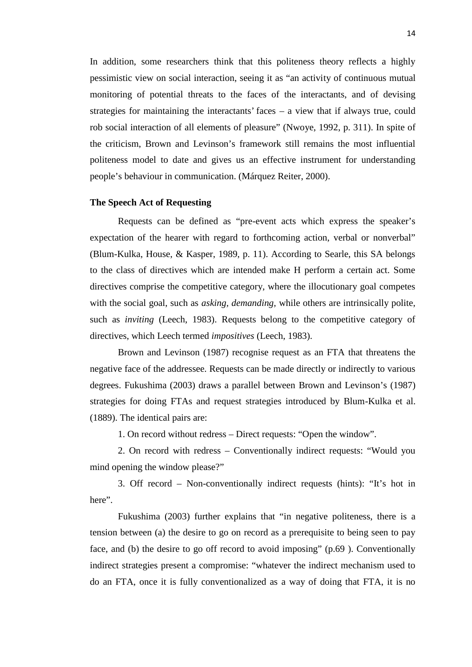In addition, some researchers think that this politeness theory reflects a highly pessimistic view on social interaction, seeing it as "an activity of continuous mutual monitoring of potential threats to the faces of the interactants, and of devising strategies for maintaining the interactants' faces – a view that if always true, could rob social interaction of all elements of pleasure" (Nwoye, 1992, p. 311). In spite of the criticism, Brown and Levinson's framework still remains the most influential politeness model to date and gives us an effective instrument for understanding people's behaviour in communication. (Márquez Reiter, 2000).

#### **The Speech Act of Requesting**

Requests can be defined as "pre-event acts which express the speaker's expectation of the hearer with regard to forthcoming action, verbal or nonverbal" (Blum-Kulka, House, & Kasper, 1989, p. 11). According to Searle, this SA belongs to the class of directives which are intended make H perform a certain act. Some directives comprise the competitive category, where the illocutionary goal competes with the social goal, such as *asking, demanding,* while others are intrinsically polite, such as *inviting* (Leech, 1983). Requests belong to the competitive category of directives, which Leech termed *impositives* (Leech, 1983).

Brown and Levinson (1987) recognise request as an FTA that threatens the negative face of the addressee. Requests can be made directly or indirectly to various degrees. Fukushima (2003) draws a parallel between Brown and Levinson's (1987) strategies for doing FTAs and request strategies introduced by Blum-Kulka et al. (1889). The identical pairs are:

1. On record without redress – Direct requests: "Open the window".

2. On record with redress – Conventionally indirect requests: "Would you mind opening the window please?"

3. Off record – Non-conventionally indirect requests (hints): "It's hot in here".

Fukushima (2003) further explains that "in negative politeness, there is a tension between (a) the desire to go on record as a prerequisite to being seen to pay face, and (b) the desire to go off record to avoid imposing" (p.69 ). Conventionally indirect strategies present a compromise: "whatever the indirect mechanism used to do an FTA, once it is fully conventionalized as a way of doing that FTA, it is no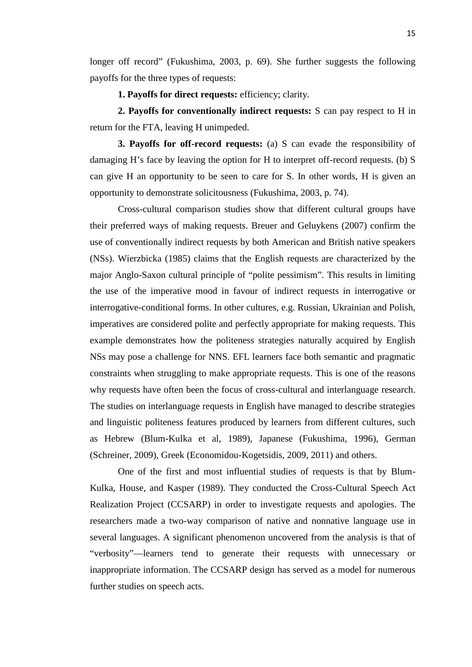longer off record" (Fukushima, 2003, p. 69). She further suggests the following payoffs for the three types of requests:

**1. Payoffs for direct requests:** efficiency; clarity.

**2. Payoffs for conventionally indirect requests:** S can pay respect to H in return for the FTA, leaving H unimpeded.

**3. Payoffs for off-record requests:** (a) S can evade the responsibility of damaging H's face by leaving the option for H to interpret off-record requests. (b) S can give H an opportunity to be seen to care for S. In other words, H is given an opportunity to demonstrate solicitousness (Fukushima, 2003, p. 74).

Cross-cultural comparison studies show that different cultural groups have their preferred ways of making requests. Breuer and Geluykens (2007) confirm the use of conventionally indirect requests by both American and British native speakers (NSs). Wierzbicka (1985) claims that the English requests are characterized by the major Anglo-Saxon cultural principle of "polite pessimism". This results in limiting the use of the imperative mood in favour of indirect requests in interrogative or interrogative-conditional forms. In other cultures, e.g. Russian, Ukrainian and Polish, imperatives are considered polite and perfectly appropriate for making requests. This example demonstrates how the politeness strategies naturally acquired by English NSs may pose a challenge for NNS. EFL learners face both semantic and pragmatic constraints when struggling to make appropriate requests. This is one of the reasons why requests have often been the focus of cross-cultural and interlanguage research. The studies on interlanguage requests in English have managed to describe strategies and linguistic politeness features produced by learners from different cultures, such as Hebrew (Blum-Kulka et al, 1989), Japanese (Fukushima, 1996), German (Schreiner, 2009), Greek (Economidou-Kogetsidis, 2009, 2011) and others.

One of the first and most influential studies of requests is that by Blum- Kulka, House, and Kasper (1989). They conducted the Cross-Cultural Speech Act Realization Project (CCSARP) in order to investigate requests and apologies. The researchers made a two-way comparison of native and nonnative language use in several languages. A significant phenomenon uncovered from the analysis is that of "verbosity"—learners tend to generate their requests with unnecessary or inappropriate information. The CCSARP design has served as a model for numerous further studies on speech acts.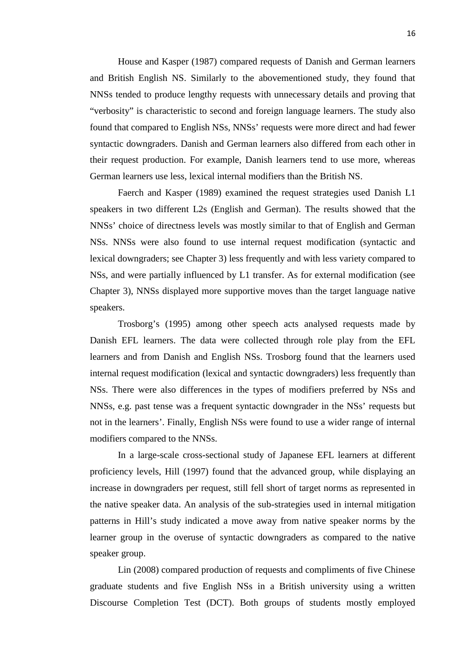House and Kasper (1987) compared requests of Danish and German learners and British English NS. Similarly to the abovementioned study, they found that NNSs tended to produce lengthy requests with unnecessary details and proving that "verbosity" is characteristic to second and foreign language learners. The study also found that compared to English NSs, NNSs' requests were more direct and had fewer syntactic downgraders. Danish and German learners also differed from each other in their request production. For example, Danish learners tend to use more, whereas German learners use less, lexical internal modifiers than the British NS.

Faerch and Kasper (1989) examined the request strategies used Danish L1 speakers in two different L2s (English and German). The results showed that the NNSs' choice of directness levels was mostly similar to that of English and German NSs. NNSs were also found to use internal request modification (syntactic and lexical downgraders; see Chapter 3) less frequently and with less variety compared to NSs, and were partially influenced by L1 transfer. As for external modification (see Chapter 3), NNSs displayed more supportive moves than the target language native speakers.

Trosborg's (1995) among other speech acts analysed requests made by Danish EFL learners. The data were collected through role play from the EFL learners and from Danish and English NSs. Trosborg found that the learners used internal request modification (lexical and syntactic downgraders) less frequently than NSs. There were also differences in the types of modifiers preferred by NSs and NNSs, e.g. past tense was a frequent syntactic downgrader in the NSs' requests but not in the learners'. Finally, English NSs were found to use a wider range of internal modifiers compared to the NNSs.

In a large-scale cross-sectional study of Japanese EFL learners at different proficiency levels, Hill (1997) found that the advanced group, while displaying an increase in downgraders per request, still fell short of target norms as represented in the native speaker data. An analysis of the sub-strategies used in internal mitigation patterns in Hill's study indicated a move away from native speaker norms by the learner group in the overuse of syntactic downgraders as compared to the native speaker group.

Lin (2008) compared production of requests and compliments of five Chinese graduate students and five English NSs in a British university using a written Discourse Completion Test (DCT). Both groups of students mostly employed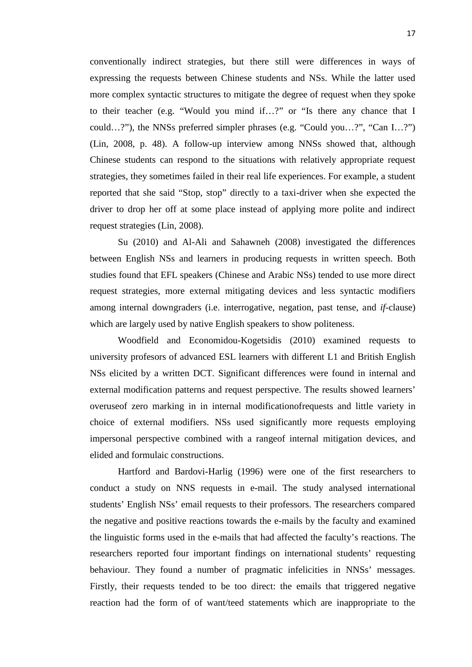conventionally indirect strategies, but there still were differences in ways of expressing the requests between Chinese students and NSs. While the latter used more complex syntactic structures to mitigate the degree of request when they spoke to their teacher (e.g. "Would you mind if…?" or "Is there any chance that I could…?"), the NNSs preferred simpler phrases (e.g. "Could you…?", "Can I…?") (Lin, 2008, p. 48). A follow-up interview among NNSs showed that, although Chinese students can respond to the situations with relatively appropriate request strategies, they sometimes failed in their real life experiences. For example, a student reported that she said "Stop, stop" directly to a taxi-driver when she expected the driver to drop her off at some place instead of applying more polite and indirect request strategies (Lin, 2008).

Su (2010) and Al-Ali and Sahawneh (2008) investigated the differences between English NSs and learners in producing requests in written speech. Both studies found that EFL speakers (Chinese and Arabic NSs) tended to use more direct request strategies, more external mitigating devices and less syntactic modifiers among internal downgraders (i.e. interrogative, negation, past tense, and *if*-clause) which are largely used by native English speakers to show politeness.

Woodfield and Economidou-Kogetsidis (2010) examined requests to university profesors of advanced ESL learners with different L1 and British English NSs elicited by a written DCT. Significant differences were found in internal and external modification patterns and request perspective. The results showed learners' overuseof zero marking in in internal modificationofrequests and little variety in choice of external modifiers. NSs used significantly more requests employing impersonal perspective combined with a rangeof internal mitigation devices, and elided and formulaic constructions.

Hartford and Bardovi-Harlig (1996) were one of the first researchers to conduct a study on NNS requests in e-mail. The study analysed international students' English NSs' email requests to their professors. The researchers compared the negative and positive reactions towards the e-mails by the faculty and examined the linguistic forms used in the e-mails that had affected the faculty's reactions. The researchers reported four important findings on international students' requesting behaviour. They found a number of pragmatic infelicities in NNSs' messages. Firstly, their requests tended to be too direct: the emails that triggered negative reaction had the form of of want/teed statements which are inappropriate to the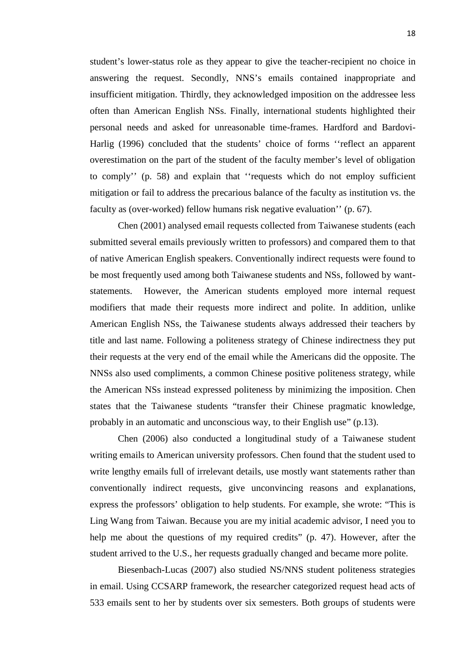student's lower-status role as they appear to give the teacher-recipient no choice in answering the request. Secondly, NNS's emails contained inappropriate and insufficient mitigation. Thirdly, they acknowledged imposition on the addressee less often than American English NSs. Finally, international students highlighted their personal needs and asked for unreasonable time-frames. Hardford and Bardovi- Harlig (1996) concluded that the students' choice of forms ''reflect an apparent overestimation on the part of the student of the faculty member's level of obligation to comply'' (p. 58) and explain that ''requests which do not employ sufficient mitigation or fail to address the precarious balance of the faculty as institution vs. the faculty as (over-worked) fellow humans risk negative evaluation'' (p. 67).

Chen (2001) analysed email requests collected from Taiwanese students (each submitted several emails previously written to professors) and compared them to that of native American English speakers. Conventionally indirect requests were found to be most frequently used among both Taiwanese students and NSs, followed by want statements. However, the American students employed more internal request modifiers that made their requests more indirect and polite. In addition, unlike American English NSs, the Taiwanese students always addressed their teachers by title and last name. Following a politeness strategy of Chinese indirectness they put their requests at the very end of the email while the Americans did the opposite. The NNSs also used compliments, a common Chinese positive politeness strategy, while the American NSs instead expressed politeness by minimizing the imposition. Chen states that the Taiwanese students "transfer their Chinese pragmatic knowledge, probably in an automatic and unconscious way, to their English use" (p.13).

Chen (2006) also conducted a longitudinal study of a Taiwanese student writing emails to American university professors. Chen found that the student used to write lengthy emails full of irrelevant details, use mostly want statements rather than conventionally indirect requests, give unconvincing reasons and explanations, express the professors' obligation to help students. For example, she wrote: "This is Ling Wang from Taiwan. Because you are my initial academic advisor, I need you to help me about the questions of my required credits" (p. 47). However, after the student arrived to the U.S., her requests gradually changed and became more polite.

Biesenbach-Lucas (2007) also studied NS/NNS student politeness strategies in email. Using CCSARP framework, the researcher categorized request head acts of 533 emails sent to her by students over six semesters. Both groups of students were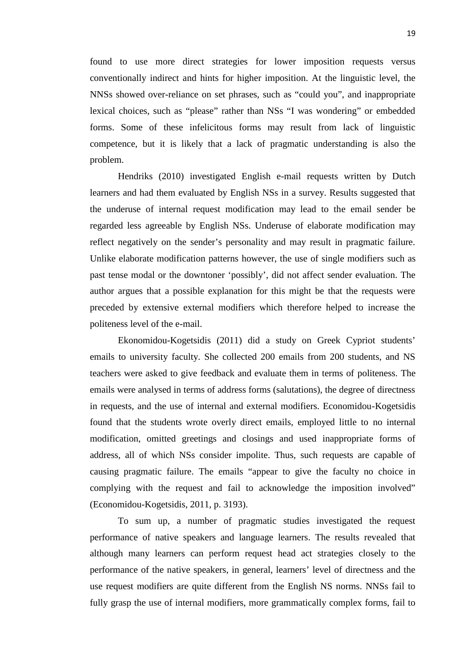found to use more direct strategies for lower imposition requests versus conventionally indirect and hints for higher imposition. At the linguistic level, the NNSs showed over-reliance on set phrases, such as "could you", and inappropriate lexical choices, such as "please" rather than NSs "I was wondering" or embedded forms. Some of these infelicitous forms may result from lack of linguistic competence, but it is likely that a lack of pragmatic understanding is also the problem.

Hendriks (2010) investigated English e-mail requests written by Dutch learners and had them evaluated by English NSs in a survey. Results suggested that the underuse of internal request modification may lead to the email sender be regarded less agreeable by English NSs. Underuse of elaborate modification may reflect negatively on the sender's personality and may result in pragmatic failure. Unlike elaborate modification patterns however, the use of single modifiers such as past tense modal or the downtoner 'possibly', did not affect sender evaluation. The author argues that a possible explanation for this might be that the requests were preceded by extensive external modifiers which therefore helped to increase the politeness level of the e-mail.

Ekonomidou-Kogetsidis (2011) did a study on Greek Cypriot students' emails to university faculty. She collected 200 emails from 200 students, and NS teachers were asked to give feedback and evaluate them in terms of politeness. The emails were analysed in terms of address forms (salutations), the degree of directness in requests, and the use of internal and external modifiers. Economidou-Kogetsidis found that the students wrote overly direct emails, employed little to no internal modification, omitted greetings and closings and used inappropriate forms of address, all of which NSs consider impolite. Thus, such requests are capable of causing pragmatic failure. The emails "appear to give the faculty no choice in complying with the request and fail to acknowledge the imposition involved" (Economidou-Kogetsidis, 2011, p. 3193).

To sum up, a number of pragmatic studies investigated the request performance of native speakers and language learners. The results revealed that although many learners can perform request head act strategies closely to the performance of the native speakers, in general, learners' level of directness and the use request modifiers are quite different from the English NS norms. NNSs fail to fully grasp the use of internal modifiers, more grammatically complex forms, fail to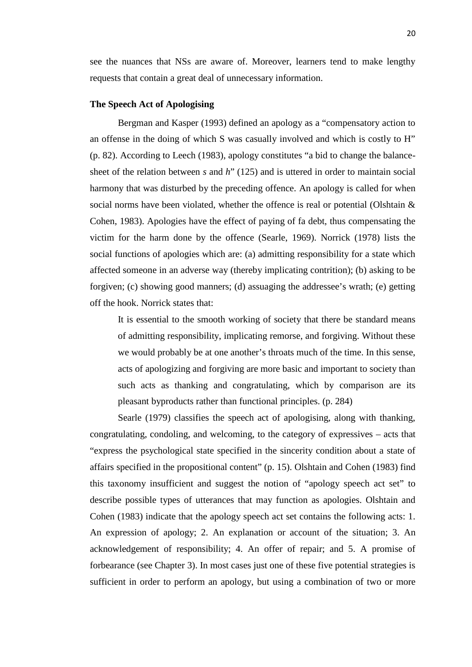see the nuances that NSs are aware of. Moreover, learners tend to make lengthy requests that contain a great deal of unnecessary information.

### **The Speech Act of Apologising**

Bergman and Kasper (1993) defined an apology as a "compensatory action to an offense in the doing of which S was casually involved and which is costly to H" (p. 82). According to Leech (1983), apology constitutes "a bid to change the balance sheet of the relation between *s* and *h*" (125) and is uttered in order to maintain social harmony that was disturbed by the preceding offence. An apology is called for when social norms have been violated, whether the offence is real or potential (Olshtain & Cohen, 1983). Apologies have the effect of paying of fa debt, thus compensating the victim for the harm done by the offence (Searle, 1969). Norrick (1978) lists the social functions of apologies which are: (a) admitting responsibility for a state which affected someone in an adverse way (thereby implicating contrition); (b) asking to be forgiven; (c) showing good manners; (d) assuaging the addressee's wrath; (e) getting off the hook. Norrick states that:

It is essential to the smooth working of society that there be standard means of admitting responsibility, implicating remorse, and forgiving. Without these we would probably be at one another's throats much of the time. In this sense, acts of apologizing and forgiving are more basic and important to society than such acts as thanking and congratulating, which by comparison are its pleasant byproducts rather than functional principles. (p. 284)

Searle (1979) classifies the speech act of apologising, along with thanking, congratulating, condoling, and welcoming, to the category of expressives – acts that "express the psychological state specified in the sincerity condition about a state of affairs specified in the propositional content" (p. 15). Olshtain and Cohen (1983) find this taxonomy insufficient and suggest the notion of "apology speech act set" to describe possible types of utterances that may function as apologies. Olshtain and Cohen (1983) indicate that the apology speech act set contains the following acts: 1. An expression of apology; 2. An explanation or account of the situation; 3. An acknowledgement of responsibility; 4. An offer of repair; and 5. A promise of forbearance (see Chapter 3). In most cases just one of these five potential strategies is sufficient in order to perform an apology, but using a combination of two or more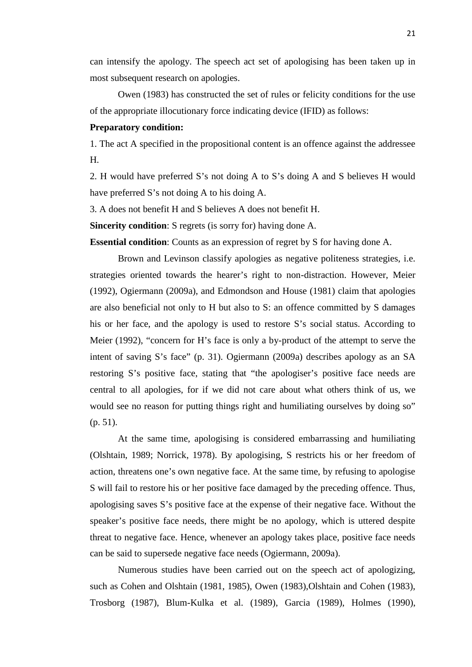can intensify the apology. The speech act set of apologising has been taken up in most subsequent research on apologies.

Owen (1983) has constructed the set of rules or felicity conditions for the use of the appropriate illocutionary force indicating device (IFID) as follows:

### **Preparatory condition:**

1. The act A specified in the propositional content is an offence against the addressee H.

2. H would have preferred S's not doing A to S's doing A and S believes H would have preferred S's not doing A to his doing A.

3. A does not benefit H and S believes A does not benefit H.

**Sincerity condition**: S regrets (is sorry for) having done A.

**Essential condition**: Counts as an expression of regret by S for having done A.

Brown and Levinson classify apologies as negative politeness strategies, i.e. strategies oriented towards the hearer's right to non-distraction. However, Meier (1992), Ogiermann (2009a), and Edmondson and House (1981) claim that apologies are also beneficial not only to H but also to S: an offence committed by S damages his or her face, and the apology is used to restore S's social status. According to Meier (1992), "concern for H's face is only a by-product of the attempt to serve the intent of saving S's face" (p. 31). Ogiermann (2009a) describes apology as an SA restoring S's positive face, stating that "the apologiser's positive face needs are central to all apologies, for if we did not care about what others think of us, we would see no reason for putting things right and humiliating ourselves by doing so" (p. 51).

At the same time, apologising is considered embarrassing and humiliating (Olshtain, 1989; Norrick, 1978). By apologising, S restricts his or her freedom of action, threatens one's own negative face. At the same time, by refusing to apologise S will fail to restore his or her positive face damaged by the preceding offence. Thus, apologising saves S's positive face at the expense of their negative face. Without the speaker's positive face needs, there might be no apology, which is uttered despite threat to negative face. Hence, whenever an apology takes place, positive face needs can be said to supersede negative face needs (Ogiermann, 2009a).

Numerous studies have been carried out on the speech act of apologizing, such as Cohen and Olshtain (1981, 1985), Owen (1983),Olshtain and Cohen (1983), Trosborg (1987), Blum-Kulka et al. (1989), Garcia (1989), Holmes (1990),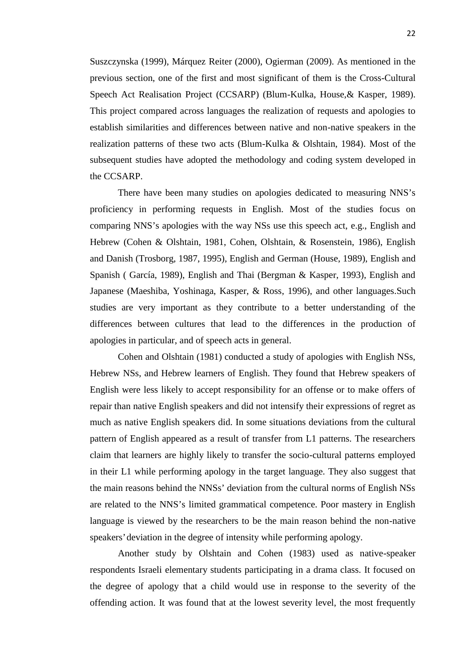Suszczynska (1999), Márquez Reiter (2000), Ogierman (2009). As mentioned in the previous section, one of the first and most significant of them is the Cross-Cultural Speech Act Realisation Project (CCSARP) (Blum-Kulka, House,& Kasper, 1989). This project compared across languages the realization of requests and apologies to establish similarities and differences between native and non-native speakers in the realization patterns of these two acts (Blum-Kulka & Olshtain, 1984). Most of the subsequent studies have adopted the methodology and coding system developed in the CCSARP.

There have been many studies on apologies dedicated to measuring NNS's proficiency in performing requests in English. Most of the studies focus on comparing NNS's apologies with the way NSs use this speech act, e.g., English and Hebrew (Cohen & Olshtain, 1981, Cohen, Olshtain, & Rosenstein, 1986), English and Danish (Trosborg, 1987, 1995), English and German (House, 1989), English and Spanish ( García, 1989), English and Thai (Bergman & Kasper, 1993), English and Japanese (Maeshiba, Yoshinaga, Kasper, & Ross, 1996), and other languages.Such studies are very important as they contribute to a better understanding of the differences between cultures that lead to the differences in the production of apologies in particular, and of speech acts in general.

Cohen and Olshtain (1981) conducted a study of apologies with English NSs, Hebrew NSs, and Hebrew learners of English. They found that Hebrew speakers of English were less likely to accept responsibility for an offense or to make offers of repair than native English speakers and did not intensify their expressions of regret as much as native English speakers did. In some situations deviations from the cultural pattern of English appeared as a result of transfer from L1 patterns. The researchers claim that learners are highly likely to transfer the socio-cultural patterns employed in their L1 while performing apology in the target language. They also suggest that the main reasons behind the NNSs' deviation from the cultural norms of English NSs are related to the NNS's limited grammatical competence. Poor mastery in English language is viewed by the researchers to be the main reason behind the non-native speakers' deviation in the degree of intensity while performing apology.

Another study by Olshtain and Cohen (1983) used as native-speaker respondents Israeli elementary students participating in a drama class. It focused on the degree of apology that a child would use in response to the severity of the offending action. It was found that at the lowest severity level, the most frequently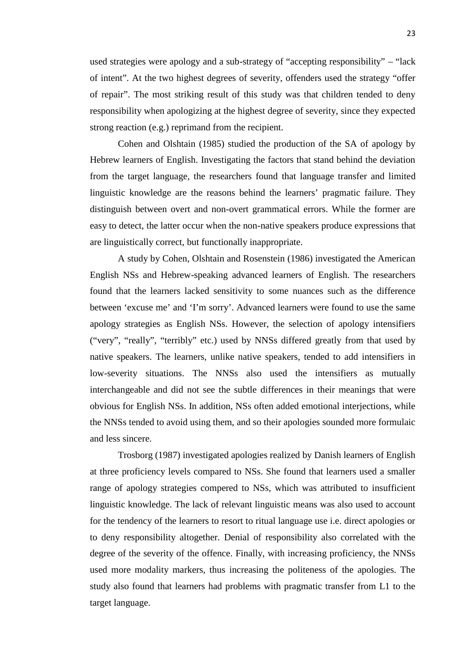used strategies were apology and a sub-strategy of "accepting responsibility" – "lack of intent". At the two highest degrees of severity, offenders used the strategy "offer of repair". The most striking result of this study was that children tended to deny responsibility when apologizing at the highest degree of severity, since they expected strong reaction (e.g.) reprimand from the recipient.

Cohen and Olshtain (1985) studied the production of the SA of apology by Hebrew learners of English. Investigating the factors that stand behind the deviation from the target language, the researchers found that language transfer and limited linguistic knowledge are the reasons behind the learners' pragmatic failure. They distinguish between overt and non-overt grammatical errors. While the former are easy to detect, the latter occur when the non-native speakers produce expressions that are linguistically correct, but functionally inappropriate.

A study by Cohen, Olshtain and Rosenstein (1986) investigated the American English NSs and Hebrew-speaking advanced learners of English. The researchers found that the learners lacked sensitivity to some nuances such as the difference between 'excuse me' and 'I'm sorry'. Advanced learners were found to use the same apology strategies as English NSs. However, the selection of apology intensifiers ("very", "really", "terribly" etc.) used by NNSs differed greatly from that used by native speakers. The learners, unlike native speakers, tended to add intensifiers in low-severity situations. The NNSs also used the intensifiers as mutually interchangeable and did not see the subtle differences in their meanings that were obvious for English NSs. In addition, NSs often added emotional interjections, while the NNSs tended to avoid using them, and so their apologies sounded more formulaic and less sincere.

Trosborg (1987) investigated apologies realized by Danish learners of English at three proficiency levels compared to NSs. She found that learners used a smaller range of apology strategies compered to NSs, which was attributed to insufficient linguistic knowledge. The lack of relevant linguistic means was also used to account for the tendency of the learners to resort to ritual language use i.e. direct apologies or to deny responsibility altogether. Denial of responsibility also correlated with the degree of the severity of the offence. Finally, with increasing proficiency, the NNSs used more modality markers, thus increasing the politeness of the apologies. The study also found that learners had problems with pragmatic transfer from L1 to the target language.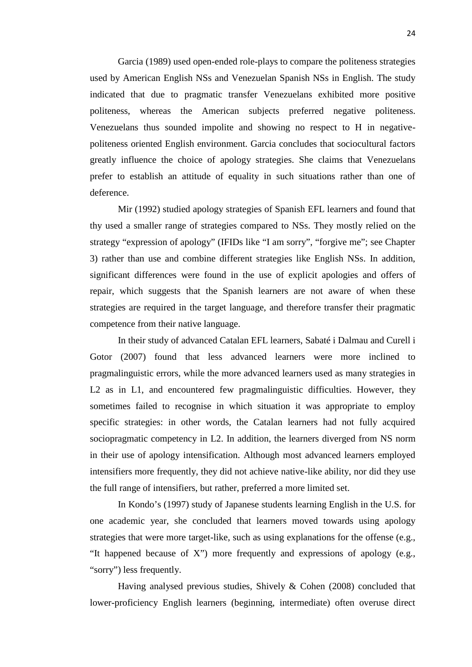Garcia (1989) used open-ended role-plays to compare the politeness strategies used by American English NSs and Venezuelan Spanish NSs in English. The study indicated that due to pragmatic transfer Venezuelans exhibited more positive politeness, whereas the American subjects preferred negative politeness. Venezuelans thus sounded impolite and showing no respect to H in negative politeness oriented English environment. Garcia concludes that sociocultural factors greatly influence the choice of apology strategies. She claims that Venezuelans prefer to establish an attitude of equality in such situations rather than one of deference.

Mir (1992) studied apology strategies of Spanish EFL learners and found that thy used a smaller range of strategies compared to NSs. They mostly relied on the strategy "expression of apology" (IFIDs like "I am sorry", "forgive me"; see Chapter 3) rather than use and combine different strategies like English NSs. In addition, significant differences were found in the use of explicit apologies and offers of repair, which suggests that the Spanish learners are not aware of when these strategies are required in the target language, and therefore transfer their pragmatic competence from their native language.

In their study of advanced Catalan EFL learners, Sabaté i Dalmau and Curell i Gotor (2007) found that less advanced learners were more inclined to pragmalinguistic errors, while the more advanced learners used as many strategies in L2 as in L1, and encountered few pragmalinguistic difficulties. However, they sometimes failed to recognise in which situation it was appropriate to employ specific strategies: in other words, the Catalan learners had not fully acquired sociopragmatic competency in L2. In addition, the learners diverged from NS norm in their use of apology intensification. Although most advanced learners employed intensifiers more frequently, they did not achieve native-like ability, nor did they use the full range of intensifiers, but rather, preferred a more limited set.

In Kondo's (1997) study of Japanese students learning English in the U.S. for one academic year, she concluded that learners moved towards using apology strategies that were more target-like, such as using explanations for the offense (e.g., "It happened because of X") more frequently and expressions of apology (e.g., "sorry") less frequently.

Having analysed previous studies, Shively & Cohen (2008) concluded that lower-proficiency English learners (beginning, intermediate) often overuse direct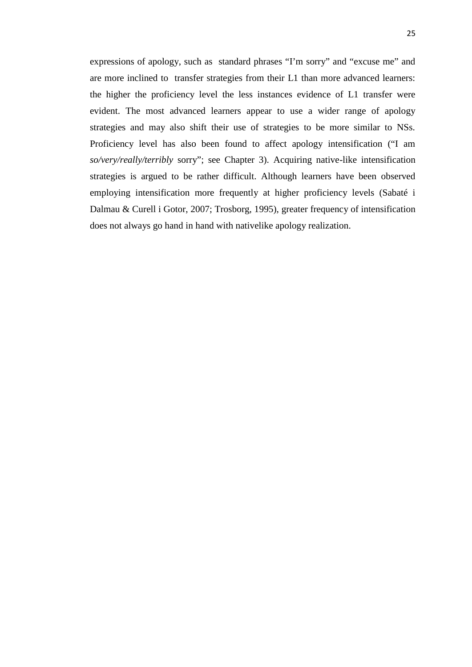expressions of apology, such as standard phrases "I'm sorry" and "excuse me" and are more inclined to transfer strategies from their L1 than more advanced learners: the higher the proficiency level the less instances evidence of L1 transfer were evident. The most advanced learners appear to use a wider range of apology strategies and may also shift their use of strategies to be more similar to NSs. Proficiency level has also been found to affect apology intensification ("I am *so/very/really/terribly* sorry"; see Chapter 3). Acquiring native-like intensification strategies is argued to be rather difficult. Although learners have been observed employing intensification more frequently at higher proficiency levels (Sabaté i Dalmau & Curell i Gotor, 2007; Trosborg, 1995), greater frequency of intensification does not always go hand in hand with nativelike apology realization.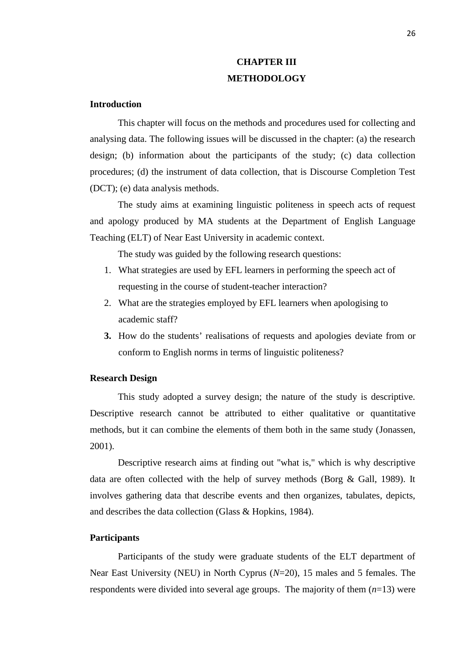# **CHAPTER III METHODOLOGY**

# **Introduction**

This chapter will focus on the methods and procedures used for collecting and analysing data. The following issues will be discussed in the chapter: (a) the research design; (b) information about the participants of the study; (c) data collection procedures; (d) the instrument of data collection, that is Discourse Completion Test (DCT); (e) data analysis methods.

The study aims at examining linguistic politeness in speech acts of request and apology produced by MA students at the Department of English Language Teaching (ELT) of Near East University in academic context.

The study was guided by the following research questions:

- 1. What strategies are used by EFL learners in performing the speech act of requesting in the course of student-teacher interaction?
- 2. What are the strategies employed by EFL learners when apologising to academic staff?
- **3.** How do the students' realisations of requests and apologies deviate from or conform to English norms in terms of linguistic politeness?

# **Research Design**

This study adopted a survey design; the nature of the study is descriptive. Descriptive research cannot be attributed to either qualitative or quantitative methods, but it can combine the elements of them both in the same study (Jonassen, 2001).

Descriptive research aims at finding out "what is," which is why descriptive data are often collected with the help of survey methods (Borg & Gall, 1989). It involves gathering data that describe events and then organizes, tabulates, depicts, and describes the data collection (Glass & Hopkins, 1984).

# **Participants**

Participants of the study were graduate students of the ELT department of Near East University (NEU) in North Cyprus (*N*=20), 15 males and 5 females. The respondents were divided into several age groups. The majority of them (*n*=13) were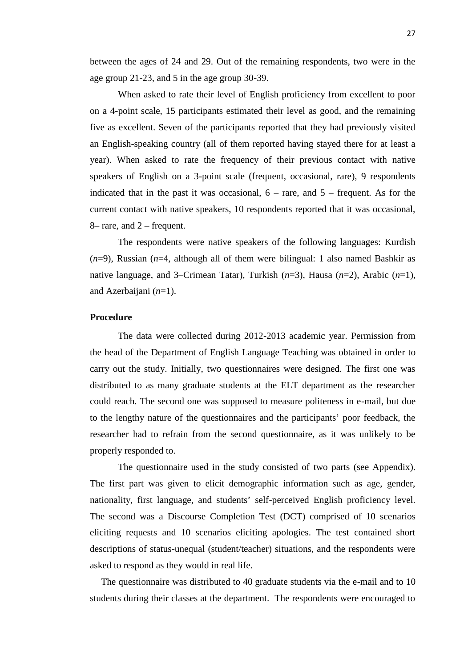between the ages of 24 and 29. Out of the remaining respondents, two were in the age group 21-23, and 5 in the age group 30-39.

When asked to rate their level of English proficiency from excellent to poor on a 4-point scale, 15 participants estimated their level as good, and the remaining five as excellent. Seven of the participants reported that they had previously visited an English-speaking country (all of them reported having stayed there for at least a year). When asked to rate the frequency of their previous contact with native speakers of English on a 3-point scale (frequent, occasional, rare), 9 respondents indicated that in the past it was occasional,  $6 - \text{rare}$ , and  $5 - \text{frequent}$ . As for the current contact with native speakers, 10 respondents reported that it was occasional, 8– rare, and 2 – frequent.

The respondents were native speakers of the following languages: Kurdish (*n*=9), Russian (*n*=4, although all of them were bilingual: 1 also named Bashkir as native language, and 3–Crimean Tatar), Turkish (*n*=3), Hausa (*n*=2), Arabic (*n*=1), and Azerbaijani (*n*=1).

# **Procedure**

The data were collected during 2012-2013 academic year. Permission from the head of the Department of English Language Teaching was obtained in order to carry out the study. Initially, two questionnaires were designed. The first one was distributed to as many graduate students at the ELT department as the researcher could reach. The second one was supposed to measure politeness in e-mail, but due to the lengthy nature of the questionnaires and the participants' poor feedback, the researcher had to refrain from the second questionnaire, as it was unlikely to be properly responded to.

The questionnaire used in the study consisted of two parts (see Appendix). The first part was given to elicit demographic information such as age, gender, nationality, first language, and students' self-perceived English proficiency level. The second was a Discourse Completion Test (DCT) comprised of 10 scenarios eliciting requests and 10 scenarios eliciting apologies. The test contained short descriptions of status-unequal (student/teacher) situations, and the respondents were asked to respond as they would in real life.

The questionnaire was distributed to 40 graduate students via the e-mail and to 10 students during their classes at the department. The respondents were encouraged to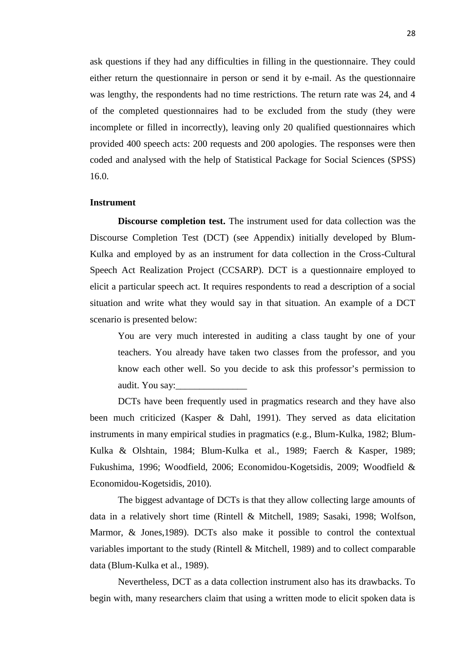ask questions if they had any difficulties in filling in the questionnaire. They could either return the questionnaire in person or send it by e-mail. As the questionnaire was lengthy, the respondents had no time restrictions. The return rate was 24, and 4 of the completed questionnaires had to be excluded from the study (they were incomplete or filled in incorrectly), leaving only 20 qualified questionnaires which provided 400 speech acts: 200 requests and 200 apologies. The responses were then coded and analysed with the help of Statistical Package for Social Sciences (SPSS) 16.0.

### **Instrument**

**Discourse completion test.** The instrument used for data collection was the Discourse Completion Test (DCT) (see Appendix) initially developed by Blum- Kulka and employed by as an instrument for data collection in the Cross-Cultural Speech Act Realization Project (CCSARP). DCT is a questionnaire employed to elicit a particular speech act. It requires respondents to read a description of a social situation and write what they would say in that situation. An example of a DCT scenario is presented below:

You are very much interested in auditing a class taught by one of your teachers. You already have taken two classes from the professor, and you know each other well. So you decide to ask this professor's permission to audit. You say:

DCTs have been frequently used in pragmatics research and they have also been much criticized (Kasper & Dahl, 1991). They served as data elicitation instruments in many empirical studies in pragmatics (e.g., Blum-Kulka, 1982; Blum- Kulka & Olshtain, 1984; Blum-Kulka et al., 1989; Faerch & Kasper, 1989; Fukushima, 1996; Woodfield, 2006; Economidou-Kogetsidis, 2009; Woodfield & Economidou-Kogetsidis, 2010).

The biggest advantage of DCTs is that they allow collecting large amounts of data in a relatively short time (Rintell & Mitchell, 1989; Sasaki, 1998; Wolfson, Marmor, & Jones, 1989). DCTs also make it possible to control the contextual variables important to the study (Rintell & Mitchell, 1989) and to collect comparable data (Blum-Kulka et al., 1989).

Nevertheless, DCT as a data collection instrument also has its drawbacks. To begin with, many researchers claim that using a written mode to elicit spoken data is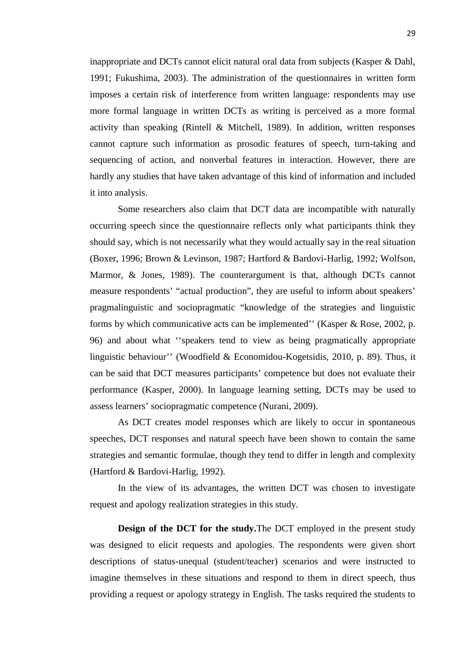inappropriate and DCTs cannot elicit natural oral data from subjects (Kasper & Dahl, 1991; Fukushima, 2003). The administration of the questionnaires in written form imposes a certain risk of interference from written language: respondents may use more formal language in written DCTs as writing is perceived as a more formal activity than speaking (Rintell  $\&$  Mitchell, 1989). In addition, written responses cannot capture such information as prosodic features of speech, turn-taking and sequencing of action, and nonverbal features in interaction. However, there are hardly any studies that have taken advantage of this kind of information and included it into analysis.

Some researchers also claim that DCT data are incompatible with naturally occurring speech since the questionnaire reflects only what participants think they should say, which is not necessarily what they would actually say in the real situation (Boxer, 1996; Brown & Levinson, 1987; Hartford & Bardovi-Harlig, 1992; Wolfson, Marmor, & Jones, 1989). The counterargument is that, although DCTs cannot measure respondents' "actual production", they are useful to inform about speakers' pragmalinguistic and sociopragmatic "knowledge of the strategies and linguistic forms by which communicative acts can be implemented'' (Kasper & Rose, 2002, p. 96) and about what ''speakers tend to view as being pragmatically appropriate linguistic behaviour'' (Woodfield & Economidou-Kogetsidis, 2010, p. 89). Thus, it can be said that DCT measures participants' competence but does not evaluate their performance (Kasper, 2000). In language learning setting, DCTs may be used to assess learners' sociopragmatic competence (Nurani, 2009).

As DCT creates model responses which are likely to occur in spontaneous speeches, DCT responses and natural speech have been shown to contain the same strategies and semantic formulae, though they tend to differ in length and complexity (Hartford & Bardovi-Harlig, 1992).

In the view of its advantages, the written DCT was chosen to investigate request and apology realization strategies in this study.

**Design of the DCT for the study.**The DCT employed in the present study was designed to elicit requests and apologies. The respondents were given short descriptions of status-unequal (student/teacher) scenarios and were instructed to imagine themselves in these situations and respond to them in direct speech, thus providing a request or apology strategy in English. The tasks required the students to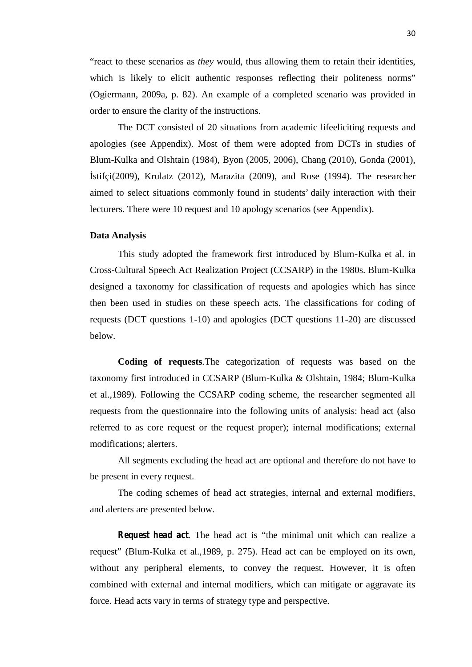"react to these scenarios as *they* would, thus allowing them to retain their identities, which is likely to elicit authentic responses reflecting their politeness norms" (Ogiermann, 2009a, p. 82). An example of a completed scenario was provided in order to ensure the clarity of the instructions.

The DCT consisted of 20 situations from academic lifeeliciting requests and apologies (see Appendix). Most of them were adopted from DCTs in studies of Blum-Kulka and Olshtain (1984), Byon (2005, 2006), Chang (2010), Gonda (2001), İstifçi(2009), Krulatz (2012), Marazita (2009), and Rose (1994). The researcher aimed to select situations commonly found in students' daily interaction with their lecturers. There were 10 request and 10 apology scenarios (see Appendix).

#### **Data Analysis**

This study adopted the framework first introduced by Blum-Kulka et al. in Cross-Cultural Speech Act Realization Project (CCSARP) in the 1980s. Blum-Kulka designed a taxonomy for classification of requests and apologies which has since then been used in studies on these speech acts. The classifications for coding of requests (DCT questions 1-10) and apologies (DCT questions 11-20) are discussed below.

**Coding of requests***.*The categorization of requests was based on the taxonomy first introduced in CCSARP (Blum-Kulka & Olshtain, 1984; Blum-Kulka et al.,1989). Following the CCSARP coding scheme, the researcher segmented all requests from the questionnaire into the following units of analysis: head act (also referred to as core request or the request proper); internal modifications; external modifications; alerters.

All segments excluding the head act are optional and therefore do not have to be present in every request.

The coding schemes of head act strategies, internal and external modifiers, and alerters are presented below.

*Request head act*. The head act is "the minimal unit which can realize a request" (Blum-Kulka et al.,1989, p. 275). Head act can be employed on its own, without any peripheral elements, to convey the request. However, it is often combined with external and internal modifiers, which can mitigate or aggravate its force. Head acts vary in terms of strategy type and perspective.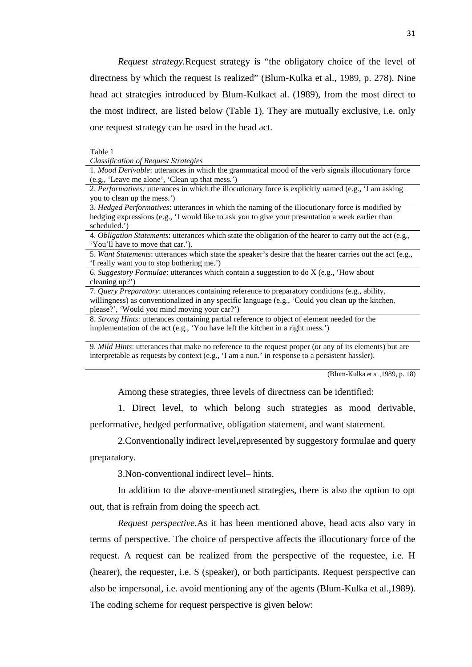*Request strategy.*Request strategy is "the obligatory choice of the level of directness by which the request is realized" (Blum-Kulka et al., 1989, p. 278). Nine head act strategies introduced by Blum-Kulkaet al. (1989), from the most direct to the most indirect, are listed below (Table 1). They are mutually exclusive, i.e. only one request strategy can be used in the head act.

Table 1

*Classification of Request Strategies*

1. *Mood Derivable*: utterances in which the grammatical mood of the verb signals illocutionary force (e.g., 'Leave me alone', 'Clean up that mess.')

2. *Performatives:* utterances in which the illocutionary force is explicitly named (e.g., 'I am asking you to clean up the mess.')

3. *Hedged Performatives*: utterances in which the naming of the illocutionary force is modified by hedging expressions (e.g., 'I would like to ask you to give your presentation a week earlier than scheduled.')

4. *Obligation Statements*: utterances which state the obligation of the hearer to carry out the act (e.g., 'You'll have to move that car.').

5. *Want Statements*: utterances which state the speaker's desire that the hearer carries out the act (e.g., 'I really want you to stop bothering me.')

6. *Suggestory Formulae*: utterances which contain a suggestion to do X (e.g., 'How about cleaning up?')

7. *Query Preparatory*: utterances containing reference to preparatory conditions (e.g., ability, willingness) as conventionalized in any specific language (e.g., 'Could you clean up the kitchen, please?', 'Would you mind moving your car?')

8. *Strong Hints*: utterances containing partial reference to object of element needed for the implementation of the act (e.g., 'You have left the kitchen in a right mess.')

9. *Mild Hints*: utterances that make no reference to the request proper (or any of its elements) but are interpretable as requests by context (e.g., 'I am a nun.' in response to a persistent hassler).

(Blum-Kulka et al.,1989, p. 18)

Among these strategies, three levels of directness can be identified:

1. Direct level, to which belong such strategies as mood derivable, performative, hedged performative, obligation statement, and want statement.

2.Conventionally indirect level**,**represented by suggestory formulae and query preparatory.

3.Non-conventional indirect level– hints.

In addition to the above-mentioned strategies, there is also the option to opt out, that is refrain from doing the speech act.

*Request perspective.*As it has been mentioned above, head acts also vary in terms of perspective. The choice of perspective affects the illocutionary force of the request. A request can be realized from the perspective of the requestee, i.e. H (hearer), the requester, i.e. S (speaker), or both participants. Request perspective can also be impersonal, i.e. avoid mentioning any of the agents (Blum-Kulka et al.,1989). The coding scheme for request perspective is given below: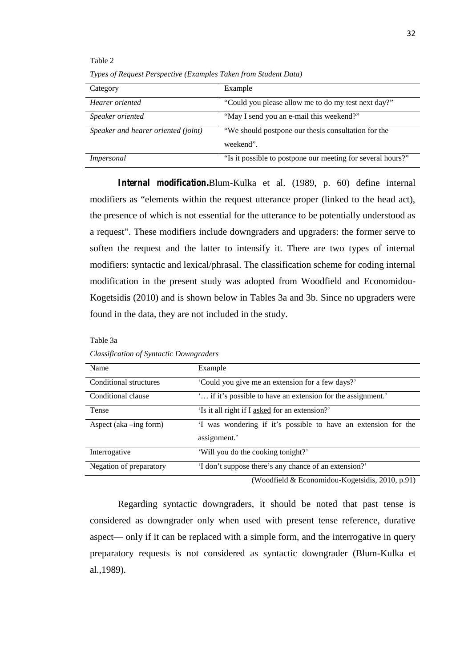| Category                            | Example                                                     |
|-------------------------------------|-------------------------------------------------------------|
| Hearer oriented                     | "Could you please allow me to do my test next day?"         |
| Speaker oriented                    | "May I send you an e-mail this weekend?"                    |
| Speaker and hearer oriented (joint) | "We should postpone our thesis consultation for the         |
|                                     | weekend".                                                   |
| Impersonal                          | "Is it possible to postpone our meeting for several hours?" |

*Types of Request Perspective (Examples Taken from Student Data)*

Table 2

*Internal modification.*Blum-Kulka et al. (1989, p. 60) define internal modifiers as "elements within the request utterance proper (linked to the head act), the presence of which is not essential for the utterance to be potentially understood as a request". These modifiers include downgraders and upgraders: the former serve to soften the request and the latter to intensify it. There are two types of internal modifiers: syntactic and lexical/phrasal. The classification scheme for coding internal modification in the present study was adopted from Woodfield and Economidou- Kogetsidis (2010) and is shown below in Tables 3a and 3b. Since no upgraders were found in the data, they are not included in the study.

| <b>Name</b>               | Example                                                                        |
|---------------------------|--------------------------------------------------------------------------------|
| Conditional structures    | 'Could you give me an extension for a few days?'                               |
| Conditional clause        | " if it's possible to have an extension for the assignment."                   |
| Tense                     | 'Is it all right if I asked for an extension?'                                 |
| Aspect (aka $-$ ing form) | 'I was wondering if it's possible to have an extension for the<br>assignment.' |
| Interrogative             | 'Will you do the cooking tonight?'                                             |
| Negation of preparatory   | 'I don't suppose there's any chance of an extension?'                          |

*Classification of Syntactic Downgraders*

Table 3a

(Woodfield & Economidou-Kogetsidis, 2010, p.91)

Regarding syntactic downgraders, it should be noted that past tense is considered as downgrader only when used with present tense reference, durative aspect— only if it can be replaced with a simple form, and the interrogative in query preparatory requests is not considered as syntactic downgrader (Blum-Kulka et al.,1989).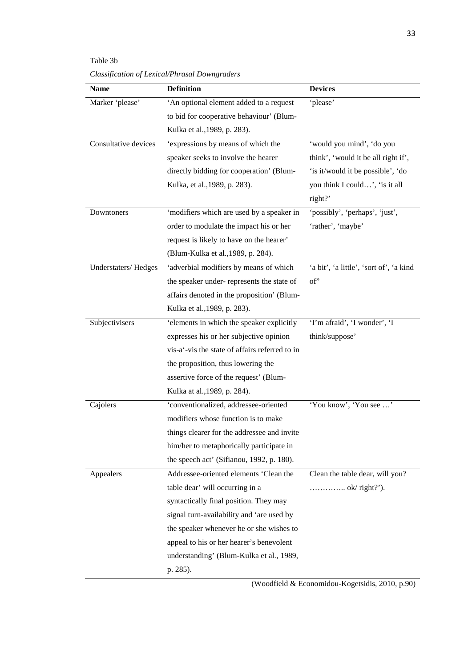Table 3b

*Classification of Lexical/Phrasal Downgraders*

| <b>Name</b>          | <b>Definition</b>                              | <b>Devices</b>                          |
|----------------------|------------------------------------------------|-----------------------------------------|
| Marker 'please'      | 'An optional element added to a request        | 'please'                                |
|                      | to bid for cooperative behaviour' (Blum-       |                                         |
|                      | Kulka et al., 1989, p. 283).                   |                                         |
| Consultative devices | 'expressions by means of which the             | 'would you mind', 'do you               |
|                      | speaker seeks to involve the hearer            | think', 'would it be all right if',     |
|                      | directly bidding for cooperation' (Blum-       | 'is it/would it be possible', 'do       |
|                      | Kulka, et al., 1989, p. 283).                  | you think I could', 'is it all          |
|                      |                                                | right?'                                 |
| Downtoners           | 'modifiers which are used by a speaker in      | 'possibly', 'perhaps', 'just',          |
|                      | order to modulate the impact his or her        | 'rather', 'maybe'                       |
|                      | request is likely to have on the hearer'       |                                         |
|                      | (Blum-Kulka et al., 1989, p. 284).             |                                         |
| Understaters/Hedges  | 'adverbial modifiers by means of which         | 'a bit', 'a little', 'sort of', 'a kind |
|                      | the speaker under-represents the state of      | of'                                     |
|                      | affairs denoted in the proposition' (Blum-     |                                         |
|                      | Kulka et al., 1989, p. 283).                   |                                         |
| Subjectivisers       | 'elements in which the speaker explicitly      | 'I'm afraid', 'I wonder', 'I            |
|                      | expresses his or her subjective opinion        | think/suppose'                          |
|                      | vis-a'-vis the state of affairs referred to in |                                         |
|                      | the proposition, thus lowering the             |                                         |
|                      | assertive force of the request' (Blum-         |                                         |
|                      | Kulka at al., 1989, p. 284).                   |                                         |
| Cajolers             | 'conventionalized, addressee-oriented          | 'You know', 'You see '                  |
|                      | modifiers whose function is to make            |                                         |
|                      | things clearer for the addressee and invite    |                                         |
|                      | him/her to metaphorically participate in       |                                         |
|                      | the speech act' (Sifianou, 1992, p. 180).      |                                         |
| Appealers            | Addressee-oriented elements 'Clean the         | Clean the table dear, will you?         |
|                      | table dear' will occurring in a                | $\ldots$ ok/right?').                   |
|                      | syntactically final position. They may         |                                         |
|                      | signal turn-availability and 'are used by      |                                         |
|                      | the speaker whenever he or she wishes to       |                                         |
|                      | appeal to his or her hearer's benevolent       |                                         |
|                      | understanding' (Blum-Kulka et al., 1989,       |                                         |
|                      | p. 285).                                       |                                         |

(Woodfield & Economidou-Kogetsidis, 2010, p.90)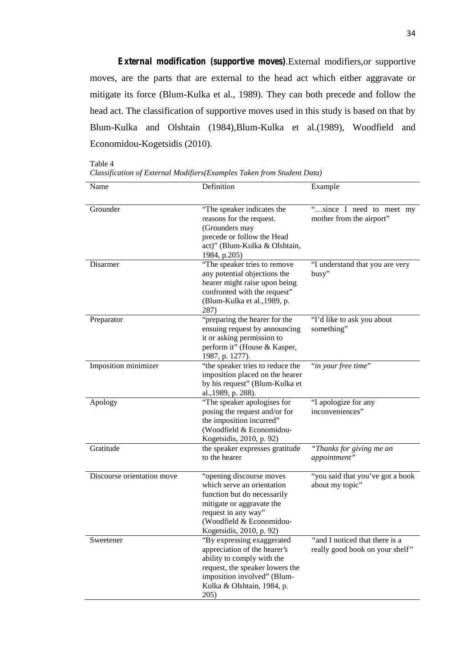*External modification (supportive moves).*External modifiers,or supportive moves, are the parts that are external to the head act which either aggravate or mitigate its force (Blum-Kulka et al., 1989). They can both precede and follow the head act. The classification of supportive moves used in this study is based on that by Blum-Kulka and Olshtain (1984),Blum-Kulka et al.(1989), Woodfield and Economidou-Kogetsidis (2010).

Table 4

|  | Classification of External Modifiers(Examples Taken from Student Data) |  |
|--|------------------------------------------------------------------------|--|
|  |                                                                        |  |

| Name                       | Definition                                                                                                                                                                                         | Example                                                           |
|----------------------------|----------------------------------------------------------------------------------------------------------------------------------------------------------------------------------------------------|-------------------------------------------------------------------|
| Grounder                   | "The speaker indicates the<br>reasons for the request.<br>(Grounders may<br>precede or follow the Head<br>act)" (Blum-Kulka & Olshtain,<br>1984, p.205)                                            | "since I need to meet my<br>mother from the airport"              |
| Disarmer                   | "The speaker tries to remove<br>any potential objections the<br>hearer might raise upon being<br>confronted with the request"<br>(Blum-Kulka et al., 1989, p.<br>287)                              | "I understand that you are very<br>busy"                          |
| Preparator                 | "preparing the hearer for the<br>ensuing request by announcing<br>it or asking permission to<br>perform it" (House & Kasper,<br>1987, p. 1277).                                                    | "I'd like to ask you about<br>something"                          |
| Imposition minimizer       | "the speaker tries to reduce the<br>imposition placed on the hearer<br>by his request" (Blum-Kulka et<br>al., 1989, p. 288).                                                                       | "in your free time"                                               |
| Apology                    | "The speaker apologises for<br>posing the request and/or for<br>the imposition incurred"<br>(Woodfield & Economidou-<br>Kogetsidis, 2010, p. 92)                                                   | "I apologize for any<br>inconveniences"                           |
| Gratitude                  | the speaker expresses gratitude<br>to the hearer                                                                                                                                                   | "Thanks for giving me an<br>appointment"                          |
| Discourse orientation move | "opening discourse moves"<br>which serve an orientation<br>function but do necessarily<br>mitigate or aggravate the<br>request in any way"<br>(Woodfield & Economidou-<br>Kogetsidis, 2010, p. 92) | "you said that you've got a book<br>about my topic"               |
| Sweetener                  | "By expressing exaggerated<br>appreciation of the hearer's<br>ability to comply with the<br>request, the speaker lowers the<br>imposition involved" (Blum-<br>Kulka & Olshtain, 1984, p.<br>205)   | "and I noticed that there is a<br>really good book on your shelf" |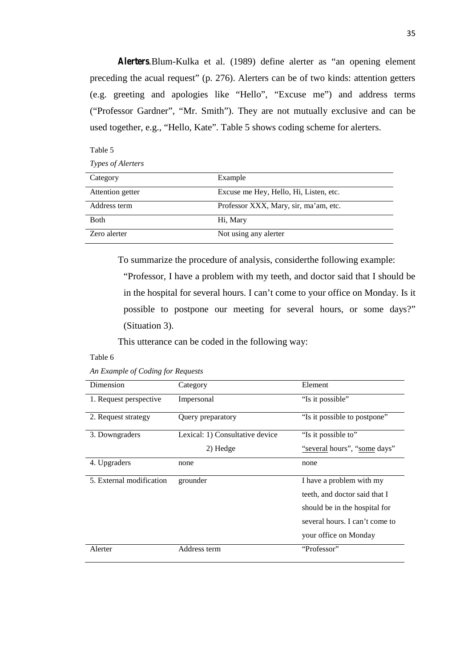*Alerters.*Blum-Kulka et al. (1989) define alerter as "an opening element preceding the acual request" (p. 276). Alerters can be of two kinds: attention getters (e.g. greeting and apologies like "Hello", "Excuse me") and address terms ("Professor Gardner", "Mr. Smith"). They are not mutually exclusive and can be used together, e.g., "Hello, Kate". Table 5 shows coding scheme for alerters.

| <i>Types of Alerters</i> |                                        |
|--------------------------|----------------------------------------|
| Category                 | Example                                |
| Attention getter         | Excuse me Hey, Hello, Hi, Listen, etc. |
| Address term             | Professor XXX, Mary, sir, ma'am, etc.  |
| Both                     | Hi, Mary                               |
| Zero alerter             | Not using any alerter                  |

To summarize the procedure of analysis, considerthe following example:

"Professor, I have a problem with my teeth, and doctor said that I should be in the hospital for several hours. I can't come to your office on Monday. Is it possible to postpone our meeting for several hours, or some days?" (Situation 3).

This utterance can be coded in the following way:

#### Table 6

Table 5

|  | An Example of Coding for Requests |
|--|-----------------------------------|
|  |                                   |

| Dimension                | Category                        | Element                        |
|--------------------------|---------------------------------|--------------------------------|
| 1. Request perspective   | Impersonal                      | "Is it possible"               |
| 2. Request strategy      | Query preparatory               | "Is it possible to postpone"   |
| 3. Downgraders           | Lexical: 1) Consultative device | "Is it possible to"            |
|                          | 2) Hedge                        | "several hours", "some days"   |
| 4. Upgraders             | none                            | none                           |
| 5. External modification | grounder                        | I have a problem with my       |
|                          |                                 | teeth, and doctor said that I  |
|                          |                                 | should be in the hospital for  |
|                          |                                 | several hours. I can't come to |
|                          |                                 | your office on Monday          |
| Alerter                  | Address term                    | "Professor"                    |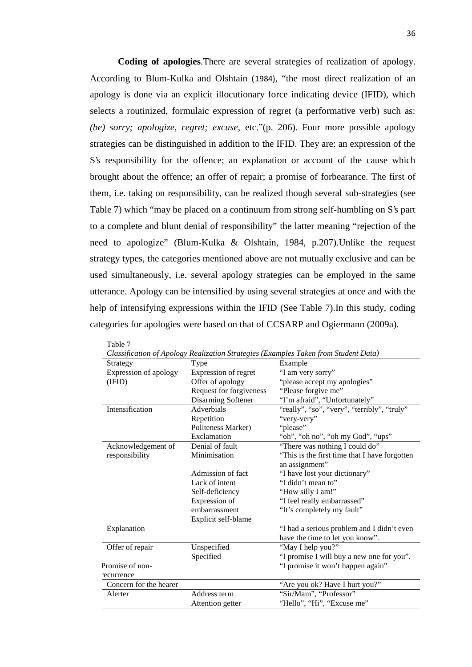**Coding of apologies**. There are several strategies of realization of apology. According to Blum-Kulka and Olshtain (1984), "the most direct realization of an apology is done via an explicit illocutionary force indicating device (IFID), which selects a routinized, formulaic expression of regret (a performative verb) such as: *(be) sorry; apologize, regret; excuse,* etc."(p. 206). Four more possible apology strategies can be distinguished in addition to the IFID. They are: an expression of the S's responsibility for the offence; an explanation or account of the cause which brought about the offence; an offer of repair; a promise of forbearance. The first of them, i.e. taking on responsibility, can be realized though several sub-strategies (see Table 7) which "may be placed on a continuum from strong self-humbling on S's part to a complete and blunt denial of responsibility" the latter meaning "rejection of the need to apologize" (Blum-Kulka & Olshtain, 1984, p.207).Unlike the request strategy types, the categories mentioned above are not mutually exclusive and can be used simultaneously, i.e. several apology strategies can be employed in the same utterance. Apology can be intensified by using several strategies at once and with the help of intensifying expressions within the IFID (See Table 7).In this study, coding categories for apologies were based on that of CCSARP and Ogiermann (2009a).

|                        |                         | Classification of Apology Realization Strategies (Examples Taken from Student Data) |
|------------------------|-------------------------|-------------------------------------------------------------------------------------|
| Strategy               | Type                    | Example                                                                             |
| Expression of apology  | Expression of regret    | "I am very sorry"                                                                   |
| (IFID)                 | Offer of apology        | "please accept my apologies"                                                        |
|                        | Request for forgiveness | "Please forgive me"                                                                 |
|                        | Disarming Softener      | "I'm afraid", "Unfortunately"                                                       |
| Intensification        | Adverbials              | "really", "so", "very", "terribly", "truly"                                         |
|                        | Repetition              | "very-very"                                                                         |
|                        | Politeness Marker)      | "please"                                                                            |
|                        | Exclamation             | "oh", "oh no", "oh my God", "ups"                                                   |
| Acknowledgement of     | Denial of fault         | "There was nothing I could do"                                                      |
| responsibility         | Minimisation            | "This is the first time that I have forgotten                                       |
|                        |                         | an assignment"                                                                      |
|                        | Admission of fact       | "I have lost your dictionary"                                                       |
|                        | Lack of intent          | "I didn't mean to"                                                                  |
|                        | Self-deficiency         | "How silly I am!"                                                                   |
|                        | Expression of           | "I feel really embarrassed"                                                         |
|                        | embarrassment           | "It's completely my fault"                                                          |
|                        | Explicit self-blame     |                                                                                     |
| Explanation            |                         | "I had a serious problem and I didn't even                                          |
|                        |                         | have the time to let you know".                                                     |
| Offer of repair        | Unspecified             | "May I help you?"                                                                   |
|                        | Specified               | "I promise I will buy a new one for you".                                           |
| Promise of non-        |                         | "I promise it won't happen again"                                                   |
| recurrence             |                         |                                                                                     |
| Concern for the hearer |                         | "Are you ok? Have I hurt you?"                                                      |
| Alerter                | Address term            | "Sir/Mam", "Professor"                                                              |
|                        | Attention getter        | "Hello", "Hi", "Excuse me"                                                          |
|                        |                         |                                                                                     |

| Classification of Apology Realization Strategies (Examples Taken from Student Data) |  |  |
|-------------------------------------------------------------------------------------|--|--|
|                                                                                     |  |  |

Table 7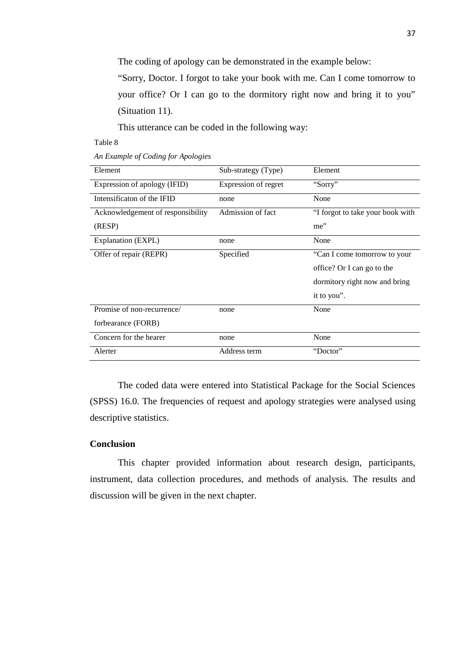The coding of apology can be demonstrated in the example below:

"Sorry, Doctor. I forgot to take your book with me. Can I come tomorrow to your office? Or I can go to the dormitory right now and bring it to you" (Situation 11).

This utterance can be coded in the following way:

Table 8

| An Example of Coding for Apologies |
|------------------------------------|
|------------------------------------|

| Element                           | Sub-strategy (Type)  | Element                          |
|-----------------------------------|----------------------|----------------------------------|
| Expression of apology (IFID)      | Expression of regret | "Sorry"                          |
| Intensificaton of the IFID        | none                 | None                             |
| Acknowledgement of responsibility | Admission of fact    | "I forgot to take your book with |
| (RESP)                            |                      | me"                              |
| Explanation (EXPL)                | none                 | None                             |
| Offer of repair (REPR)            | Specified            | "Can I come tomorrow to your     |
|                                   |                      | office? Or I can go to the       |
|                                   |                      | dormitory right now and bring    |
|                                   |                      | it to you".                      |
| Promise of non-recurrence/        | none                 | None                             |
| forbearance (FORB)                |                      |                                  |
| Concern for the hearer            | none                 | None                             |
| Alerter                           | Address term         | "Doctor"                         |

The coded data were entered into Statistical Package for the Social Sciences (SPSS) 16.0. The frequencies of request and apology strategies were analysed using descriptive statistics.

# **Conclusion**

This chapter provided information about research design, participants, instrument, data collection procedures, and methods of analysis. The results and discussion will be given in the next chapter.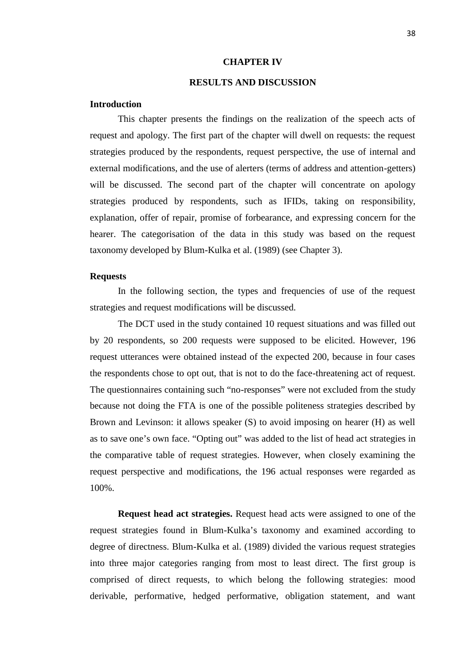### **CHAPTER IV**

# **RESULTS AND DISCUSSION**

### **Introduction**

This chapter presents the findings on the realization of the speech acts of request and apology. The first part of the chapter will dwell on requests: the request strategies produced by the respondents, request perspective, the use of internal and external modifications, and the use of alerters (terms of address and attention-getters) will be discussed. The second part of the chapter will concentrate on apology strategies produced by respondents, such as IFIDs, taking on responsibility, explanation, offer of repair, promise of forbearance, and expressing concern for the hearer. The categorisation of the data in this study was based on the request taxonomy developed by Blum-Kulka et al. (1989) (see Chapter 3).

# **Requests**

In the following section, the types and frequencies of use of the request strategies and request modifications will be discussed.

The DCT used in the study contained 10 request situations and was filled out by 20 respondents, so 200 requests were supposed to be elicited. However, 196 request utterances were obtained instead of the expected 200, because in four cases the respondents chose to opt out, that is not to do the face-threatening act of request. The questionnaires containing such "no-responses" were not excluded from the study because not doing the FTA is one of the possible politeness strategies described by Brown and Levinson: it allows speaker (S) to avoid imposing on hearer (H) as well as to save one's own face. "Opting out" was added to the list of head act strategies in the comparative table of request strategies. However, when closely examining the request perspective and modifications, the 196 actual responses were regarded as 100%.

**Request head act strategies.** Request head acts were assigned to one of the request strategies found in Blum-Kulka's taxonomy and examined according to degree of directness. Blum-Kulka et al. (1989) divided the various request strategies into three major categories ranging from most to least direct. The first group is comprised of direct requests, to which belong the following strategies: mood derivable, performative, hedged performative, obligation statement, and want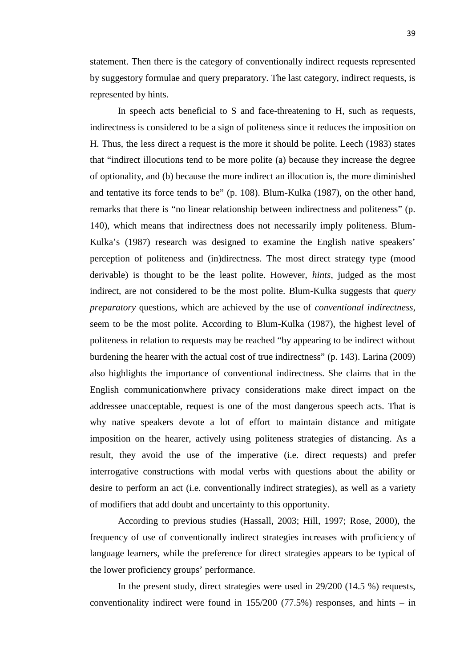statement. Then there is the category of conventionally indirect requests represented by suggestory formulae and query preparatory. The last category, indirect requests, is represented by hints.

In speech acts beneficial to S and face-threatening to H, such as requests, indirectness is considered to be a sign of politeness since it reduces the imposition on H. Thus, the less direct a request is the more it should be polite. Leech (1983) states that "indirect illocutions tend to be more polite (a) because they increase the degree of optionality, and (b) because the more indirect an illocution is, the more diminished and tentative its force tends to be" (p. 108). Blum-Kulka (1987), on the other hand, remarks that there is "no linear relationship between indirectness and politeness" (p. 140), which means that indirectness does not necessarily imply politeness. Blum- Kulka's (1987) research was designed to examine the English native speakers' perception of politeness and (in)directness. The most direct strategy type (mood derivable) is thought to be the least polite. However, *hints*, judged as the most indirect, are not considered to be the most polite. Blum-Kulka suggests that *query preparatory* questions, which are achieved by the use of *conventional indirectness*, seem to be the most polite*.* According to Blum-Kulka (1987), the highest level of politeness in relation to requests may be reached "by appearing to be indirect without burdening the hearer with the actual cost of true indirectness" (p. 143). Larina (2009) also highlights the importance of conventional indirectness. She claims that in the English communicationwhere privacy considerations make direct impact on the addressee unacceptable, request is one of the most dangerous speech acts. That is why native speakers devote a lot of effort to maintain distance and mitigate imposition on the hearer, actively using politeness strategies of distancing. As a result, they avoid the use of the imperative (i.e. direct requests) and prefer interrogative constructions with modal verbs with questions about the ability or desire to perform an act (i.e. conventionally indirect strategies), as well as a variety of modifiers that add doubt and uncertainty to this opportunity.

According to previous studies (Hassall, 2003; Hill, 1997; Rose, 2000), the frequency of use of conventionally indirect strategies increases with proficiency of language learners, while the preference for direct strategies appears to be typical of the lower proficiency groups' performance.

In the present study, direct strategies were used in 29/200 (14.5 %) requests, conventionality indirect were found in 155/200 (77.5%) responses, and hints – in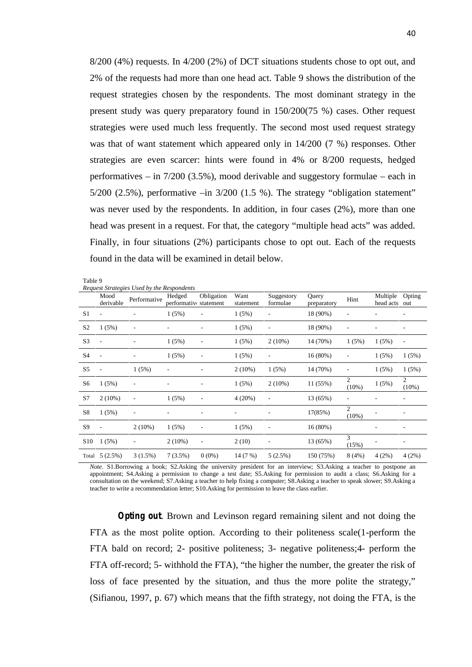8/200 (4%) requests. In 4/200 (2%) of DCT situations students chose to opt out, and 2% of the requests had more than one head act. Table 9 shows the distribution of the request strategies chosen by the respondents. The most dominant strategy in the present study was query preparatory found in 150/200(75 %) cases. Other request strategies were used much less frequently. The second most used request strategy was that of want statement which appeared only in 14/200 (7 %) responses. Other strategies are even scarcer: hints were found in 4% or 8/200 requests, hedged performatives – in 7/200 (3.5%), mood derivable and suggestory formulae – each in  $5/200$  (2.5%), performative  $-\text{in } 3/200$  (1.5 %). The strategy "obligation statement" was never used by the respondents. In addition, in four cases (2%), more than one head was present in a request. For that, the category "multiple head acts" was added. Finally, in four situations (2%) participants chose to opt out. Each of the requests found in the data will be examined in detail below.

Table 9

*Request Strategies Used by the Respondents*

|                 |                          | Request Strategies Osea by the Respondents |                        |                          |                   |                          |                      |                            |                       |                          |
|-----------------|--------------------------|--------------------------------------------|------------------------|--------------------------|-------------------|--------------------------|----------------------|----------------------------|-----------------------|--------------------------|
|                 | Mood<br>derivable        | Performative                               | Hedged<br>performativo | Obligation<br>statement  | Want<br>statement | Suggestory<br>formulae   | Query<br>preparatory | Hint                       | Multiple<br>head acts | Opting<br>out            |
| S <sub>1</sub>  | $\overline{\phantom{a}}$ |                                            | 1(5%)                  |                          | 1(5%)             |                          | 18 (90%)             |                            |                       |                          |
| S <sub>2</sub>  | 1(5%)                    | $\overline{\phantom{a}}$                   |                        | $\overline{\phantom{0}}$ | 1(5%)             | $\overline{\phantom{a}}$ | 18 (90%)             | $\qquad \qquad$            |                       | ٠                        |
| S <sub>3</sub>  | $\overline{\phantom{a}}$ | $\overline{\phantom{a}}$                   | 1(5%)                  | $\overline{\phantom{a}}$ | 1(5%)             | $2(10\%)$                | 14 (70%)             | 1(5%)                      | 1(5%)                 | $\overline{\phantom{a}}$ |
| <b>S4</b>       | $\overline{\phantom{a}}$ | ٠                                          | 1(5%)                  | $\overline{\phantom{a}}$ | 1(5%)             | $\overline{a}$           | 16(80%)              | ٠                          | 1(5%)                 | 1(5%)                    |
| S <sub>5</sub>  | $\overline{\phantom{a}}$ | 1(5%)                                      | $\qquad \qquad$        | ۰                        | $2(10\%)$         | 1(5%)                    | 14 (70%)             | ٠                          | 1(5%)                 | 1(5%)                    |
| S6              | 1(5%)                    | ٠                                          |                        | ۰                        | 1(5%)             | $2(10\%)$                | 11 (55%)             | $\overline{c}$<br>$(10\%)$ | 1(5%)                 | 2<br>(10%)               |
| S7              | $2(10\%)$                | $\overline{\phantom{a}}$                   | 1(5%)                  | $\overline{\phantom{a}}$ | 4(20%)            |                          | 13 (65%)             | ٠                          |                       |                          |
| S8              | 1(5%)                    | $\overline{\phantom{a}}$                   |                        | ۰                        |                   |                          | 17(85%)              | 2<br>$(10\%)$              |                       |                          |
| S9              | $\overline{\phantom{a}}$ | $2(10\%)$                                  | 1(5%)                  | $\overline{a}$           | 1(5%)             | -                        | 16(80%)              |                            |                       |                          |
| S <sub>10</sub> | 1(5%)                    | ٠                                          | $2(10\%)$              | $\overline{\phantom{a}}$ | 2(10)             | $\qquad \qquad$          | 13 (65%)             | 3<br>(15%)                 |                       |                          |
|                 | Total $5(2.5%)$          | 3(1.5%)                                    | $7(3.5\%)$             | $0(0\%)$                 | 14 (7 %)          | 5(2.5%)                  | 150 (75%)            | 8(4%)                      | 4(2%)                 | 4(2%)                    |

*Note*. S1.Borrowing a book; S2.Asking the university president for an interview; S3.Asking a teacher to postpone an appointment; S4.Asking a permission to change a test date; S5.Asking for permission to audit a class; S6.Asking for a consultation on the weekend; S7.Asking a teacher to help fixing a computer; S8.Asking a teacher to speak slower; S9.Asking a teacher to write a recommendation letter; S10.Asking for permission to leave the class earlier.

*Opting out*. Brown and Levinson regard remaining silent and not doing the FTA as the most polite option. According to their politeness scale(1-perform the FTA bald on record; 2- positive politeness; 3- negative politeness;4- perform the FTA off-record; 5- withhold the FTA), "the higher the number, the greater the risk of loss of face presented by the situation, and thus the more polite the strategy," (Sifianou, 1997, p. 67) which means that the fifth strategy, not doing the FTA, is the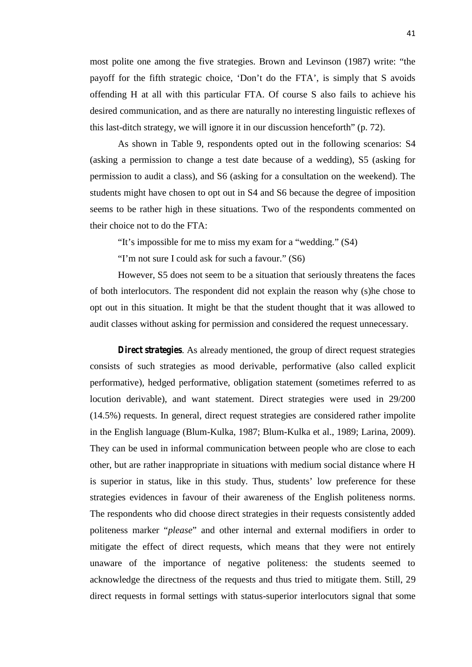most polite one among the five strategies. Brown and Levinson (1987) write: "the payoff for the fifth strategic choice, 'Don't do the FTA', is simply that S avoids offending H at all with this particular FTA. Of course S also fails to achieve his desired communication, and as there are naturally no interesting linguistic reflexes of this last-ditch strategy, we will ignore it in our discussion henceforth" (p. 72).

As shown in Table 9, respondents opted out in the following scenarios: S4 (asking a permission to change a test date because of a wedding), S5 (asking for permission to audit a class), and S6 (asking for a consultation on the weekend). The students might have chosen to opt out in S4 and S6 because the degree of imposition seems to be rather high in these situations. Two of the respondents commented on their choice not to do the FTA:

"It's impossible for me to miss my exam for a "wedding." (S4)

"I'm not sure I could ask for such a favour." (S6)

However, S5 does not seem to be a situation that seriously threatens the faces of both interlocutors. The respondent did not explain the reason why (s)he chose to opt out in this situation. It might be that the student thought that it was allowed to audit classes without asking for permission and considered the request unnecessary.

*Direct strategies*. As already mentioned, the group of direct request strategies consists of such strategies as mood derivable, performative (also called explicit performative), hedged performative, obligation statement (sometimes referred to as locution derivable), and want statement. Direct strategies were used in 29/200 (14.5%) requests. In general, direct request strategies are considered rather impolite in the English language (Blum-Kulka, 1987; Blum-Kulka et al., 1989; Larina, 2009). They can be used in informal communication between people who are close to each other, but are rather inappropriate in situations with medium social distance where H is superior in status, like in this study. Thus, students' low preference for these strategies evidences in favour of their awareness of the English politeness norms. The respondents who did choose direct strategies in their requests consistently added politeness marker "*please*" and other internal and external modifiers in order to mitigate the effect of direct requests, which means that they were not entirely unaware of the importance of negative politeness: the students seemed to acknowledge the directness of the requests and thus tried to mitigate them. Still, 29 direct requests in formal settings with status-superior interlocutors signal that some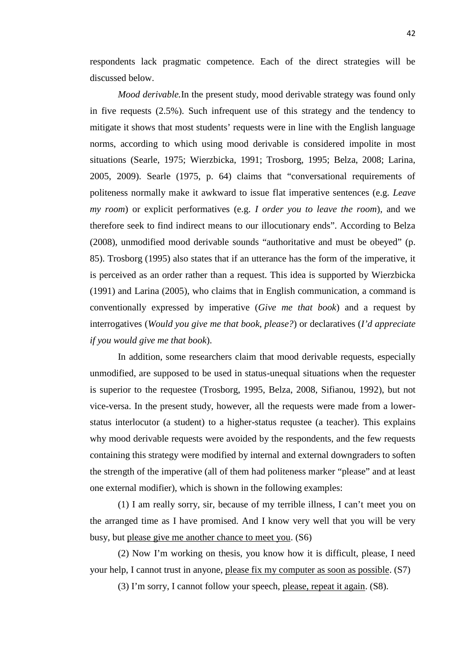respondents lack pragmatic competence. Each of the direct strategies will be discussed below.

*Mood derivable.*In the present study, mood derivable strategy was found only in five requests (2.5%). Such infrequent use of this strategy and the tendency to mitigate it shows that most students' requests were in line with the English language norms, according to which using mood derivable is considered impolite in most situations (Searle, 1975; Wierzbicka, 1991; Trosborg, 1995; Belza, 2008; Larina, 2005, 2009). Searle (1975, p. 64) claims that "conversational requirements of politeness normally make it awkward to issue flat imperative sentences (e.g. *Leave my room*) or explicit performatives (e.g. *I order you to leave the room*), and we therefore seek to find indirect means to our illocutionary ends". According to Belza (2008), unmodified mood derivable sounds "authoritative and must be obeyed" (p. 85). Trosborg (1995) also states that if an utterance has the form of the imperative, it is perceived as an order rather than a request. This idea is supported by Wierzbicka (1991) and Larina (2005), who claims that in English communication, a command is conventionally expressed by imperative (*Give me that book*) and a request by interrogatives (*Would you give me that book, please?*) or declaratives (*I'd appreciate if you would give me that book*).

In addition, some researchers claim that mood derivable requests, especially unmodified, are supposed to be used in status-unequal situations when the requester is superior to the requestee (Trosborg, 1995, Belza, 2008, Sifianou, 1992), but not vice-versa. In the present study, however, all the requests were made from a lower status interlocutor (a student) to a higher-status requstee (a teacher). This explains why mood derivable requests were avoided by the respondents, and the few requests containing this strategy were modified by internal and external downgraders to soften the strength of the imperative (all of them had politeness marker "please" and at least one external modifier), which is shown in the following examples:

(1) I am really sorry, sir, because of my terrible illness, I can't meet you on the arranged time as I have promised. And I know very well that you will be very busy, but please give me another chance to meet you. (S6)

(2) Now I'm working on thesis, you know how it is difficult, please, I need your help, I cannot trust in anyone, please fix my computer as soon as possible. (S7)

(3) I'm sorry, I cannot follow your speech, please, repeat it again. (S8).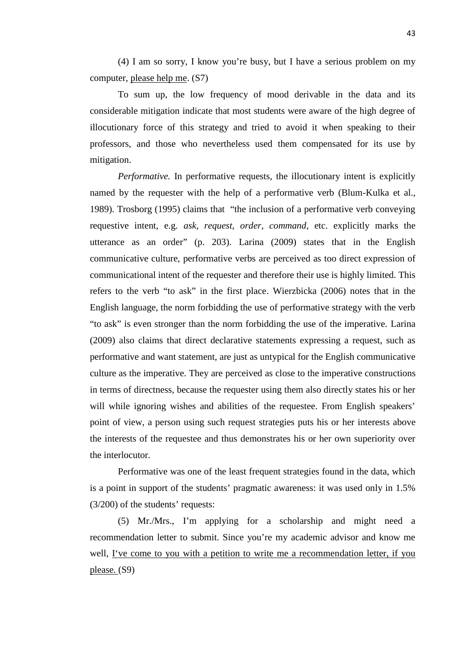(4) I am so sorry, I know you're busy, but I have a serious problem on my computer, please help me. (S7)

To sum up, the low frequency of mood derivable in the data and its considerable mitigation indicate that most students were aware of the high degree of illocutionary force of this strategy and tried to avoid it when speaking to their professors, and those who nevertheless used them compensated for its use by mitigation.

*Performative.* In performative requests, the illocutionary intent is explicitly named by the requester with the help of a performative verb (Blum-Kulka et al., 1989). Trosborg (1995) claims that "the inclusion of a performative verb conveying requestive intent, e.g. *ask, request, order, command*, etc. explicitly marks the utterance as an order" (p. 203). Larina (2009) states that in the English communicative culture, performative verbs are perceived as too direct expression of communicational intent of the requester and therefore their use is highly limited. This refers to the verb "to ask" in the first place. Wierzbicka (2006) notes that in the English language, the norm forbidding the use of performative strategy with the verb "to ask" is even stronger than the norm forbidding the use of the imperative. Larina (2009) also claims that direct declarative statements expressing a request, such as performative and want statement, are just as untypical for the English communicative culture as the imperative. They are perceived as close to the imperative constructions in terms of directness, because the requester using them also directly states his or her will while ignoring wishes and abilities of the requestee. From English speakers' point of view, a person using such request strategies puts his or her interests above the interests of the requestee and thus demonstrates his or her own superiority over the interlocutor*.*

Performative was one of the least frequent strategies found in the data, which is a point in support of the students' pragmatic awareness: it was used only in 1.5% (3/200) of the students' requests:

(5) Mr./Mrs., I'm applying for a scholarship and might need a recommendation letter to submit. Since you're my academic advisor and know me well, I've come to you with a petition to write me a recommendation letter, if you please. (S9)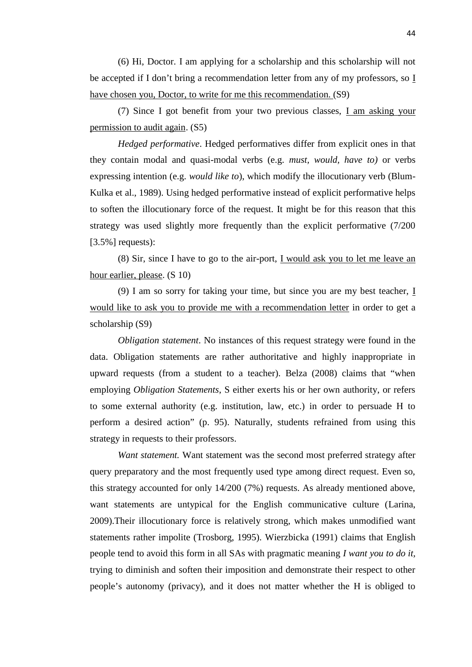(6) Hi, Doctor. I am applying for a scholarship and this scholarship will not be accepted if I don't bring a recommendation letter from any of my professors, so I have chosen you, Doctor, to write for me this recommendation. (S9)

(7) Since I got benefit from your two previous classes, I am asking your permission to audit again. (S5)

*Hedged performative*. Hedged performatives differ from explicit ones in that they contain modal and quasi-modal verbs (e.g. *must, would, have to)* or verbs expressing intention (e.g. *would like to*), which modify the illocutionary verb (Blum- Kulka et al., 1989). Using hedged performative instead of explicit performative helps to soften the illocutionary force of the request. It might be for this reason that this strategy was used slightly more frequently than the explicit performative (7/200  $[3.5\%]$  requests):

(8) Sir, since I have to go to the air-port, I would ask you to let me leave an hour earlier, please. (S 10)

(9) I am so sorry for taking your time, but since you are my best teacher, I would like to ask you to provide me with a recommendation letter in order to get a scholarship (S9)

*Obligation statement*. No instances of this request strategy were found in the data. Obligation statements are rather authoritative and highly inappropriate in upward requests (from a student to a teacher). Belza (2008) claims that "when employing *Obligation Statements*, S either exerts his or her own authority, or refers to some external authority (e.g. institution, law, etc.) in order to persuade H to perform a desired action" (p. 95). Naturally, students refrained from using this strategy in requests to their professors.

*Want statement.* Want statement was the second most preferred strategy after query preparatory and the most frequently used type among direct request. Even so, this strategy accounted for only 14/200 (7%) requests. As already mentioned above, want statements are untypical for the English communicative culture (Larina, 2009).Their illocutionary force is relatively strong, which makes unmodified want statements rather impolite (Trosborg, 1995). Wierzbicka (1991) claims that English people tend to avoid this form in all SAs with pragmatic meaning *I want you to do it,* trying to diminish and soften their imposition and demonstrate their respect to other people's autonomy (privacy), and it does not matter whether the H is obliged to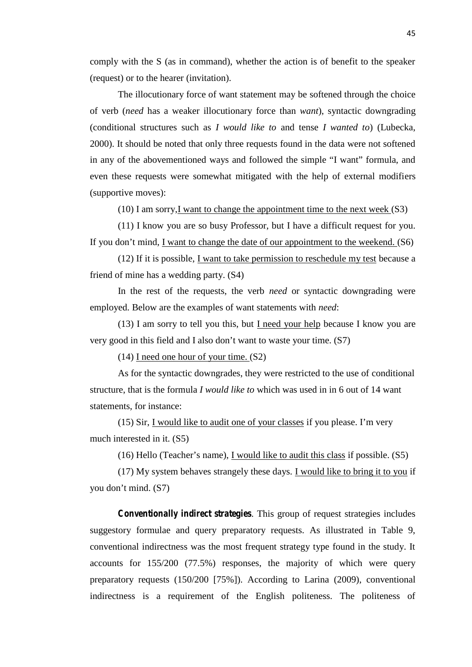comply with the S (as in command), whether the action is of benefit to the speaker (request) or to the hearer (invitation).

The illocutionary force of want statement may be softened through the choice of verb (*need* has a weaker illocutionary force than *want*), syntactic downgrading (conditional structures such as *I would like to* and tense *I wanted to*) (Lubecka, 2000). It should be noted that only three requests found in the data were not softened in any of the abovementioned ways and followed the simple "I want" formula, and even these requests were somewhat mitigated with the help of external modifiers (supportive moves):

(10) I am sorry, I want to change the appointment time to the next week  $(S3)$ 

(11) I know you are so busy Professor, but I have a difficult request for you. If you don't mind, I want to change the date of our appointment to the weekend. (S6)

(12) If it is possible, I want to take permission to reschedule my test because a friend of mine has a wedding party. (S4)

In the rest of the requests, the verb *need* or syntactic downgrading were employed. Below are the examples of want statements with *need*:

(13) I am sorry to tell you this, but  $I$  need your help because I know you are very good in this field and I also don't want to waste your time. (S7)

(14) I need one hour of your time. (S2)

As for the syntactic downgrades, they were restricted to the use of conditional structure, that is the formula *I would like to* which was used in in 6 out of 14 want statements, for instance:

(15) Sir, I would like to audit one of your classes if you please. I'm very much interested in it. (S5)

(16) Hello (Teacher's name), I would like to audit this class if possible. (S5)

(17) My system behaves strangely these days. I would like to bring it to you if you don't mind. (S7)

*Conventionally indirect strategies*. This group of request strategies includes suggestory formulae and query preparatory requests. As illustrated in Table 9, conventional indirectness was the most frequent strategy type found in the study. It accounts for 155/200 (77.5%) responses, the majority of which were query preparatory requests (150/200 [75%]). According to Larina (2009), conventional indirectness is a requirement of the English politeness. The politeness of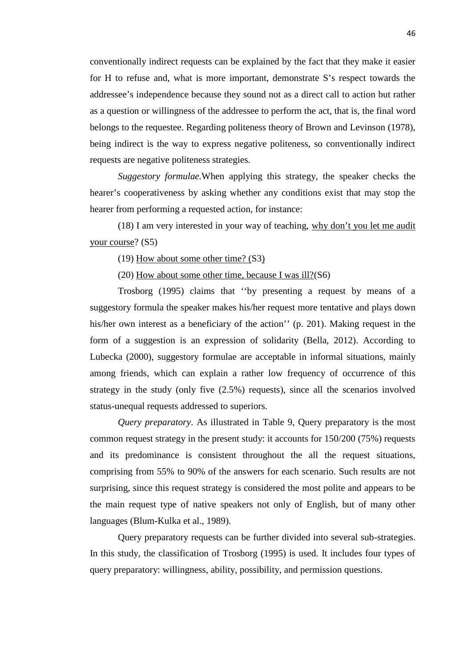conventionally indirect requests can be explained by the fact that they make it easier for H to refuse and, what is more important, demonstrate S's respect towards the addressee's independence because they sound not as a direct call to action but rather as a question or willingness of the addressee to perform the act, that is, the final word belongs to the requestee. Regarding politeness theory of Brown and Levinson (1978), being indirect is the way to express negative politeness, so conventionally indirect requests are negative politeness strategies.

*Suggestory formulae.*When applying this strategy, the speaker checks the hearer's cooperativeness by asking whether any conditions exist that may stop the hearer from performing a requested action, for instance:

(18) I am very interested in your way of teaching, why don't you let me audit your course? (S5)

(19) How about some other time? (S3)

(20) How about some other time, because I was ill?(S6)

Trosborg (1995) claims that ''by presenting a request by means of a suggestory formula the speaker makes his/her request more tentative and plays down his/her own interest as a beneficiary of the action'' (p. 201). Making request in the form of a suggestion is an expression of solidarity (Bella, 2012). According to Lubecka (2000), suggestory formulae are acceptable in informal situations, mainly among friends, which can explain a rather low frequency of occurrence of this strategy in the study (only five (2.5%) requests), since all the scenarios involved status-unequal requests addressed to superiors.

*Query preparatory*. As illustrated in Table 9, Query preparatory is the most common request strategy in the present study: it accounts for 150/200 (75%) requests and its predominance is consistent throughout the all the request situations, comprising from 55% to 90% of the answers for each scenario. Such results are not surprising, since this request strategy is considered the most polite and appears to be the main request type of native speakers not only of English, but of many other languages (Blum-Kulka et al., 1989).

Query preparatory requests can be further divided into several sub-strategies. In this study, the classification of Trosborg (1995) is used. It includes four types of query preparatory: willingness, ability, possibility, and permission questions.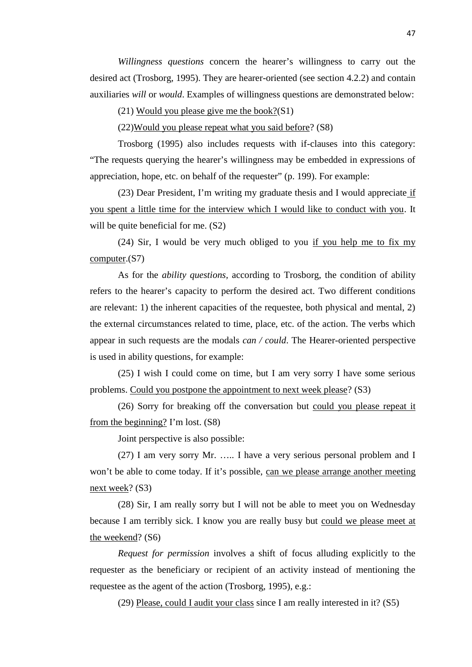*Willingness questions* concern the hearer's willingness to carry out the desired act (Trosborg, 1995). They are hearer-oriented (see section 4.2.2) and contain auxiliaries *will* or *would*. Examples of willingness questions are demonstrated below:

(21) Would you please give me the book?(S1)

(22)Would you please repeat what you said before? (S8)

Trosborg (1995) also includes requests with if-clauses into this category: "The requests querying the hearer's willingness may be embedded in expressions of appreciation, hope, etc. on behalf of the requester" (p. 199). For example:

(23) Dear President, I'm writing my graduate thesis and I would appreciate if you spent a little time for the interview which I would like to conduct with you. It will be quite beneficial for me.  $(S2)$ 

(24) Sir, I would be very much obliged to you if you help me to fix my computer.(S7)

As for the *ability questions,* according to Trosborg, the condition of ability refers to the hearer's capacity to perform the desired act. Two different conditions are relevant: 1) the inherent capacities of the requestee, both physical and mental, 2) the external circumstances related to time, place, etc. of the action. The verbs which appear in such requests are the modals *can / could*. The Hearer-oriented perspective is used in ability questions, for example:

(25) I wish I could come on time, but I am very sorry I have some serious problems. Could you postpone the appointment to next week please? (S3)

(26) Sorry for breaking off the conversation but could you please repeat it from the beginning? I'm lost. (S8)

Joint perspective is also possible:

(27) I am very sorry Mr. ….. I have a very serious personal problem and I won't be able to come today. If it's possible, can we please arrange another meeting next week? (S3)

(28) Sir, I am really sorry but I will not be able to meet you on Wednesday because I am terribly sick. I know you are really busy but could we please meet at the weekend? (S6)

*Request for permission* involves a shift of focus alluding explicitly to the requester as the beneficiary or recipient of an activity instead of mentioning the requestee as the agent of the action (Trosborg, 1995), e.g.:

(29) Please, could I audit your class since I am really interested in it? (S5)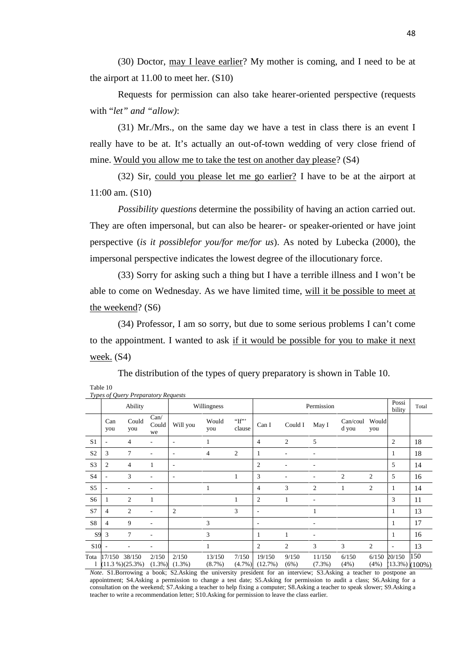(30) Doctor, may I leave earlier? My mother is coming, and I need to be at the airport at 11.00 to meet her. (S10)

Requests for permission can also take hearer-oriented perspective (requests with "*let" and "allow)*:

(31) Mr./Mrs., on the same day we have a test in class there is an event I really have to be at. It's actually an out-of-town wedding of very close friend of mine. Would you allow me to take the test on another day please? (S4)

(32) Sir, could you please let me go earlier? I have to be at the airport at 11:00 am. (S10)

*Possibility questions* determine the possibility of having an action carried out. They are often impersonal, but can also be hearer- or speaker-oriented or have joint perspective (*is it possiblefor you/for me/for us*). As noted by Lubecka (2000), the impersonal perspective indicates the lowest degree of the illocutionary force.

(33) Sorry for asking such a thing but I have a terrible illness and I won't be able to come on Wednesday. As we have limited time, will it be possible to meet at the weekend? (S6)

(34) Professor, I am so sorry, but due to some serious problems I can't come to the appointment. I wanted to ask if it would be possible for you to make it next week. (S4)

|                 |                          | Types of Query Preparatory Requests |                     |                            |                     |                              |                                |                |                     |                   |                |                          |                       |
|-----------------|--------------------------|-------------------------------------|---------------------|----------------------------|---------------------|------------------------------|--------------------------------|----------------|---------------------|-------------------|----------------|--------------------------|-----------------------|
|                 | Ability                  |                                     |                     | Willingness                |                     |                              |                                | Permission     | Possi<br>bility     | Total             |                |                          |                       |
|                 | Can<br>you               | Could<br>you                        | Can/<br>Could<br>we | Will you                   | Would<br>you        | $T^{\prime\prime}$<br>clause | Can I                          | Could I        | May I               | Can/coul<br>d you | Would<br>you   |                          |                       |
| S <sub>1</sub>  | ۰                        | 4                                   |                     | ٠                          |                     |                              | $\overline{4}$                 | $\overline{2}$ | 5                   |                   |                | $\overline{2}$           | 18                    |
| S <sub>2</sub>  | 3                        | 7                                   |                     | ٠                          | 4                   | 2                            | 1                              |                |                     |                   |                | 1                        | 18                    |
| S <sub>3</sub>  | $\overline{2}$           | 4                                   |                     | -                          |                     |                              | $\overline{2}$                 |                |                     |                   |                | 5                        | 14                    |
| S <sub>4</sub>  | ٠                        | 3                                   |                     | ٠                          |                     |                              | 3                              |                |                     | 2                 | 2              | 5                        | 16                    |
| S <sub>5</sub>  | $\overline{\phantom{a}}$ |                                     |                     |                            |                     |                              | $\overline{4}$                 | 3              | 2                   | 1                 | 2              | 1                        | 14                    |
| S <sub>6</sub>  | 1                        | $\overline{c}$                      |                     |                            |                     | 1                            | $\overline{2}$                 | 1              |                     |                   |                | 3                        | 11                    |
| S7              | $\overline{4}$           | 2                                   |                     | 2                          |                     | 3                            | $\overline{\phantom{a}}$       |                |                     |                   |                | 1                        | 13                    |
| S8              | $\overline{4}$           | 9                                   |                     |                            | 3                   |                              | ٠                              |                | $\overline{a}$      |                   |                | 1                        | 17                    |
| S <sub>9</sub>  | 3                        | 7                                   |                     |                            | 3                   |                              |                                | 1              |                     |                   |                | 1                        | 16                    |
| S <sub>10</sub> |                          |                                     |                     |                            | 1                   |                              | $\overline{2}$                 | $\mathfrak{2}$ | 3                   | 3                 | $\overline{c}$ | $\overline{\phantom{a}}$ | 13                    |
| Tota            | 17/150                   | 38/150<br>$(11.3\%)$ $(25.3\%)$     | 2/150               | 2/150<br>$(1.3\%) (1.3\%)$ | 13/150<br>$(8.7\%)$ | 7/150                        | 19/150<br>$(4.7\%)$ $(12.7\%)$ | 9/150<br>(6%)  | 11/150<br>$(7.3\%)$ | 6/150<br>(4%)     | 6/150<br>(4%)  | 20/150                   | 150<br>(13.3%) (100%) |

The distribution of the types of query preparatory is shown in Table 10.

Table 10

*Note*. S1.Borrowing a book; S2.Asking the university president for an interview; S3.Asking a teacher to postpone an appointment; S4.Asking a permission to change a test date; S5.Asking for permission to audit a class; S6.Asking for a consultation on the weekend; S7.Asking a teacher to help fixing a computer; S8.Asking a teacher to speak slower; S9.Asking a teacher to write a recommendation letter; S10.Asking for permission to leave the class earlier.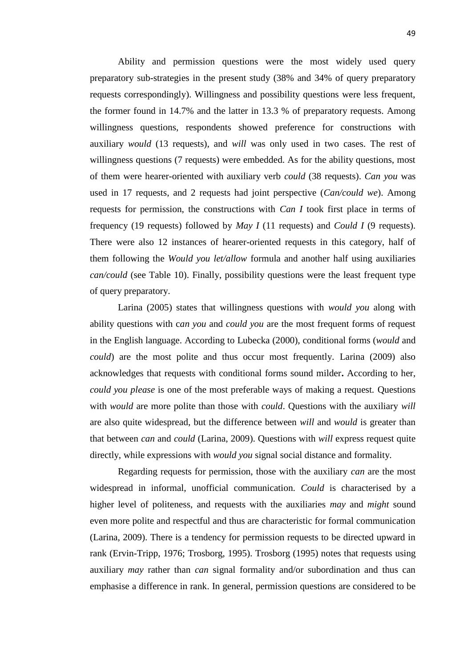Ability and permission questions were the most widely used query preparatory sub-strategies in the present study (38% and 34% of query preparatory requests correspondingly). Willingness and possibility questions were less frequent, the former found in 14.7% and the latter in 13.3 % of preparatory requests. Among willingness questions, respondents showed preference for constructions with auxiliary *would* (13 requests), and *will* was only used in two cases. The rest of willingness questions (7 requests) were embedded. As for the ability questions, most of them were hearer-oriented with auxiliary verb *could* (38 requests). *Can you* was used in 17 requests, and 2 requests had joint perspective (*Can/could we*). Among requests for permission, the constructions with *Can I* took first place in terms of frequency (19 requests) followed by *May I* (11 requests) and *Could I* (9 requests). There were also 12 instances of hearer-oriented requests in this category, half of them following the *Would you let/allow* formula and another half using auxiliaries *can/could* (see Table 10). Finally, possibility questions were the least frequent type of query preparatory.

Larina (2005) states that willingness questions with *would you* along with ability questions with c*an you* and *could you* are the most frequent forms of request in the English language. According to Lubecka (2000), conditional forms (*would* and *could*) are the most polite and thus occur most frequently. Larina (2009) also acknowledges that requests with conditional forms sound milder**.** According to her, *could you please* is one of the most preferable ways of making a request. Questions with *would* are more polite than those with *could*. Questions with the auxiliary *will* are also quite widespread, but the difference between *will* and *would* is greater than that between *can* and *could* (Larina, 2009). Questions with *will* express request quite directly, while expressions with *would you* signal social distance and formality.

Regarding requests for permission, those with the auxiliary *can* are the most widespread in informal, unofficial communication. *Could* is characterised by a higher level of politeness, and requests with the auxiliaries *may* and *might* sound even more polite and respectful and thus are characteristic for formal communication (Larina, 2009). There is a tendency for permission requests to be directed upward in rank (Ervin-Tripp, 1976; Trosborg, 1995). Trosborg (1995) notes that requests using auxiliary *may* rather than *can* signal formality and/or subordination and thus can emphasise a difference in rank. In general, permission questions are considered to be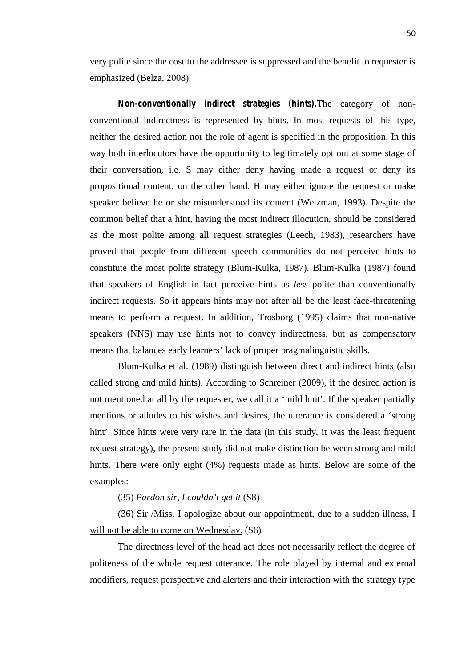very polite since the cost to the addressee is suppressed and the benefit to requester is emphasized (Belza, 2008).

*Non-conventionally indirect strategies (hints).*The category of non conventional indirectness is represented by hints. In most requests of this type, neither the desired action nor the role of agent is specified in the proposition. In this way both interlocutors have the opportunity to legitimately opt out at some stage of their conversation, i.e. S may either deny having made a request or deny its propositional content; on the other hand, H may either ignore the request or make speaker believe he or she misunderstood its content (Weizman, 1993). Despite the common belief that a hint*,* having the most indirect illocution, should be considered as the most polite among all request strategies (Leech, 1983), researchers have proved that people from different speech communities do not perceive hints to constitute the most polite strategy (Blum-Kulka, 1987). Blum-Kulka (1987) found that speakers of English in fact perceive hints as *less* polite than conventionally indirect requests. So it appears hints may not after all be the least face-threatening means to perform a request. In addition, Trosborg (1995) claims that non-native speakers (NNS) may use hints not to convey indirectness, but as compensatory means that balances early learners' lack of proper pragmalinguistic skills.

Blum-Kulka et al. (1989) distinguish between direct and indirect hints (also called strong and mild hints). According to Schreiner (2009), if the desired action is not mentioned at all by the requester, we call it a 'mild hint'. If the speaker partially mentions or alludes to his wishes and desires, the utterance is considered a 'strong hint'. Since hints were very rare in the data (in this study, it was the least frequent request strategy), the present study did not make distinction between strong and mild hints. There were only eight (4%) requests made as hints. Below are some of the examples:

# (35) *Pardon sir, I couldn't get it* (S8)

(36) Sir /Miss. I apologize about our appointment, due to a sudden illness, I will not be able to come on Wednesday. (S6)

The directness level of the head act does not necessarily reflect the degree of politeness of the whole request utterance. The role played by internal and external modifiers, request perspective and alerters and their interaction with the strategy type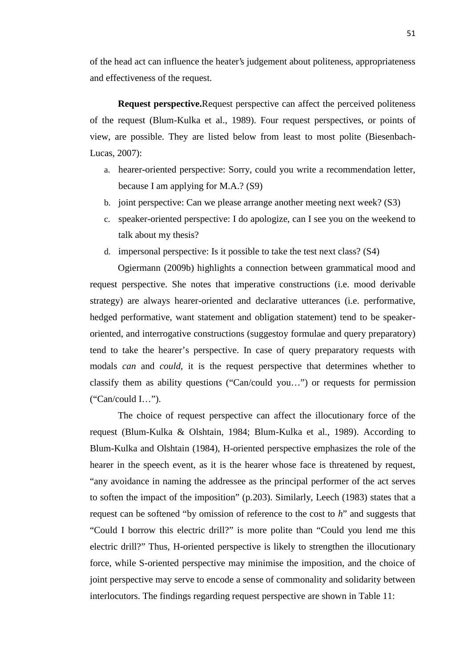of the head act can influence the heater's judgement about politeness, appropriateness and effectiveness of the request.

**Request perspective.**Request perspective can affect the perceived politeness of the request (Blum-Kulka et al., 1989). Four request perspectives, or points of view, are possible. They are listed below from least to most polite (Biesenbach- Lucas, 2007):

- a. hearer-oriented perspective: Sorry, could you write a recommendation letter, because I am applying for M.A.? (S9)
- b. joint perspective: Can we please arrange another meeting next week? (S3)
- c. speaker-oriented perspective: I do apologize, can I see you on the weekend to talk about my thesis?
- d. impersonal perspective: Is it possible to take the test next class? (S4)

Ogiermann (2009b) highlights a connection between grammatical mood and request perspective. She notes that imperative constructions (i.e. mood derivable strategy) are always hearer-oriented and declarative utterances (i.e. performative, hedged performative, want statement and obligation statement) tend to be speaker oriented, and interrogative constructions (suggestoy formulae and query preparatory) tend to take the hearer's perspective. In case of query preparatory requests with modals *can* and *could*, it is the request perspective that determines whether to classify them as ability questions ("Can/could you…") or requests for permission ("Can/could I…").

The choice of request perspective can affect the illocutionary force of the request (Blum-Kulka & Olshtain, 1984; Blum-Kulka et al., 1989). According to Blum-Kulka and Olshtain (1984), H-oriented perspective emphasizes the role of the hearer in the speech event, as it is the hearer whose face is threatened by request, "any avoidance in naming the addressee as the principal performer of the act serves to soften the impact of the imposition" (p.203). Similarly, Leech (1983) states that a request can be softened "by omission of reference to the cost to *h*" and suggests that "Could I borrow this electric drill?" is more polite than "Could you lend me this electric drill?" Thus, H-oriented perspective is likely to strengthen the illocutionary force, while S-oriented perspective may minimise the imposition, and the choice of joint perspective may serve to encode a sense of commonality and solidarity between interlocutors. The findings regarding request perspective are shown in Table 11: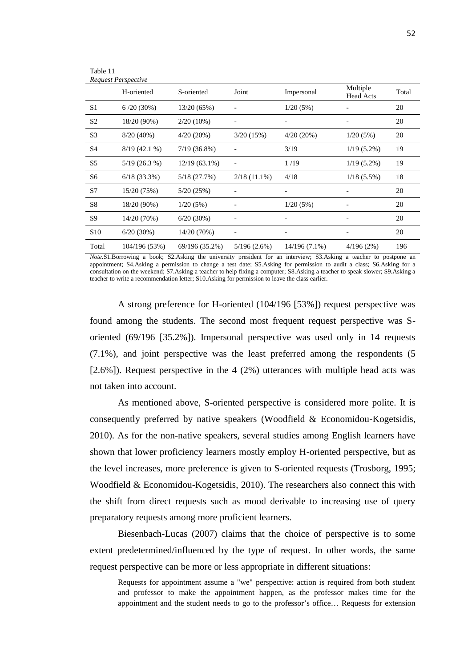|                 | <b>Request Perspective</b><br>H-oriented | S-oriented      | Joint          | Impersonal               | Multiple<br><b>Head Acts</b> | Total |
|-----------------|------------------------------------------|-----------------|----------------|--------------------------|------------------------------|-------|
| S <sub>1</sub>  | $6/20(30\%)$                             | 13/20 (65%)     |                | 1/20(5%)                 |                              | 20    |
| S <sub>2</sub>  | 18/20 (90%)                              | $2/20(10\%)$    |                |                          |                              | 20    |
| S <sub>3</sub>  | $8/20(40\%)$                             | $4/20(20\%)$    | 3/20(15%)      | $4/20(20\%)$             | 1/20(5%)                     | 20    |
| S <sub>4</sub>  | $8/19(42.1\%)$                           | $7/19(36.8\%)$  |                | 3/19                     | $1/19(5.2\%)$                | 19    |
| S <sub>5</sub>  | $5/19(26.3\%)$                           | $12/19(63.1\%)$ | $\overline{a}$ | 1/19                     | $1/19(5.2\%)$                | 19    |
| S6              | $6/18(33.3\%)$                           | 5/18 (27.7%)    | $2/18(11.1\%)$ | 4/18                     | $1/18(5.5\%)$                | 18    |
| S7              | 15/20 (75%)                              | 5/20(25%)       |                |                          |                              | 20    |
| S8              | 18/20 (90%)                              | 1/20(5%)        |                | 1/20(5%)                 |                              | 20    |
| S <sub>9</sub>  | 14/20 (70%)                              | $6/20(30\%)$    |                |                          |                              | 20    |
| S <sub>10</sub> | 6/20(30%)                                | 14/20 (70%)     |                | $\overline{\phantom{a}}$ | $\overline{\phantom{a}}$     | 20    |
| Total           | 104/196 (53%)                            | 69/196 (35.2%)  | 5/196(2.6%)    | $14/196(7.1\%)$          | 4/196(2%)                    | 196   |

Table 11

*Note.*S1.Borrowing a book; S2.Asking the university president for an interview; S3.Asking a teacher to postpone an appointment; S4.Asking a permission to change a test date; S5.Asking for permission to audit a class; S6.Asking for a consultation on the weekend; S7.Asking a teacher to help fixing a computer; S8.Asking a teacher to speak slower; S9.Asking a teacher to write a recommendation letter; S10.Asking for permission to leave the class earlier.

A strong preference for H-oriented (104/196 [53%]) request perspective was found among the students. The second most frequent request perspective was S oriented (69/196 [35.2%]). Impersonal perspective was used only in 14 requests (7.1%), and joint perspective was the least preferred among the respondents (5 [2.6%]). Request perspective in the 4 (2%) utterances with multiple head acts was not taken into account.

As mentioned above, S-oriented perspective is considered more polite. It is consequently preferred by native speakers (Woodfield & Economidou-Kogetsidis, 2010). As for the non-native speakers, several studies among English learners have shown that lower proficiency learners mostly employ H-oriented perspective, but as the level increases, more preference is given to S-oriented requests (Trosborg, 1995; Woodfield & Economidou-Kogetsidis, 2010). The researchers also connect this with the shift from direct requests such as mood derivable to increasing use of query preparatory requests among more proficient learners.

Biesenbach-Lucas (2007) claims that the choice of perspective is to some extent predetermined/influenced by the type of request. In other words, the same request perspective can be more or less appropriate in different situations:

Requests for appointment assume a "we" perspective: action is required from both student and professor to make the appointment happen, as the professor makes time for the appointment and the student needs to go to the professor's office… Requests for extension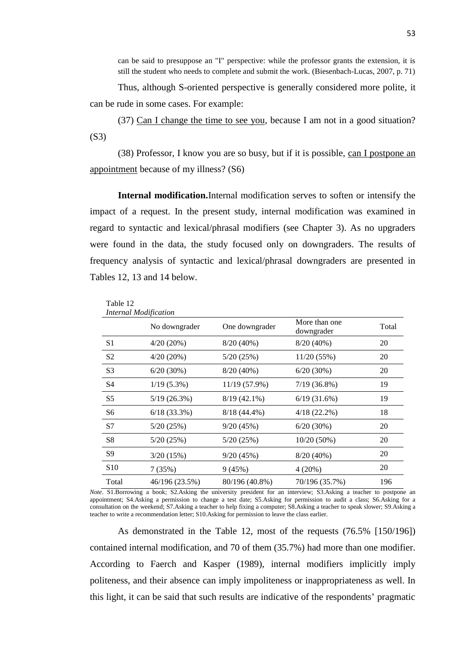can be said to presuppose an "I" perspective: while the professor grants the extension, it is still the student who needs to complete and submit the work. (Biesenbach-Lucas, 2007, p. 71)

Thus, although S-oriented perspective is generally considered more polite, it can be rude in some cases. For example:

(37) Can I change the time to see you, because I am not in a good situation? (S3)

(38) Professor, I know you are so busy, but if it is possible, can I postpone an appointment because of my illness? (S6)

**Internal modification.**Internal modification serves to soften or intensify the impact of a request. In the present study, internal modification was examined in regard to syntactic and lexical/phrasal modifiers (see Chapter 3). As no upgraders were found in the data, the study focused only on downgraders. The results of frequency analysis of syntactic and lexical/phrasal downgraders are presented in Tables 12, 13 and 14 below.

|                 | No downgrader  | One downgrader | More than one<br>downgrader | Total |
|-----------------|----------------|----------------|-----------------------------|-------|
| S <sub>1</sub>  | 4/20(20%)      | 8/20(40%)      | 8/20(40%)                   | 20    |
| S <sub>2</sub>  | $4/20(20\%)$   | 5/20(25%)      | 11/20(55%)                  | 20    |
| S <sub>3</sub>  | 6/20(30%)      | $8/20(40\%)$   | $6/20(30\%)$                | 20    |
| S4              | $1/19(5.3\%)$  | 11/19 (57.9%)  | $7/19(36.8\%)$              | 19    |
| S <sub>5</sub>  | 5/19(26.3%)    | $8/19(42.1\%)$ | 6/19(31.6%)                 | 19    |
| S6              | $6/18$ (33.3%) | $8/18(44.4\%)$ | $4/18(22.2\%)$              | 18    |
| S7              | 5/20(25%)      | 9/20(45%)      | 6/20(30%)                   | 20    |
| S8              | 5/20(25%)      | 5/20(25%)      | $10/20(50\%)$               | 20    |
| S9              | 3/20(15%)      | 9/20(45%)      | $8/20(40\%)$                | 20    |
| S <sub>10</sub> | 7(35%)         | 9(45%)         | 4(20%)                      | 20    |
| Total           | 46/196 (23.5%) | 80/196 (40.8%) | 70/196 (35.7%)              | 196   |

Table 12 *Internal Modification*

*Note*. S1.Borrowing a book; S2.Asking the university president for an interview; S3.Asking a teacher to postpone an appointment; S4.Asking a permission to change a test date; S5.Asking for permission to audit a class; S6.Asking for a consultation on the weekend; S7.Asking a teacher to help fixing a computer; S8.Asking a teacher to speak slower; S9.Asking a teacher to write a recommendation letter; S10.Asking for permission to leave the class earlier.

As demonstrated in the Table 12, most of the requests (76.5% [150/196]) contained internal modification, and 70 of them (35.7%) had more than one modifier. According to Faerch and Kasper (1989), internal modifiers implicitly imply politeness, and their absence can imply impoliteness or inappropriateness as well. In this light, it can be said that such results are indicative of the respondents' pragmatic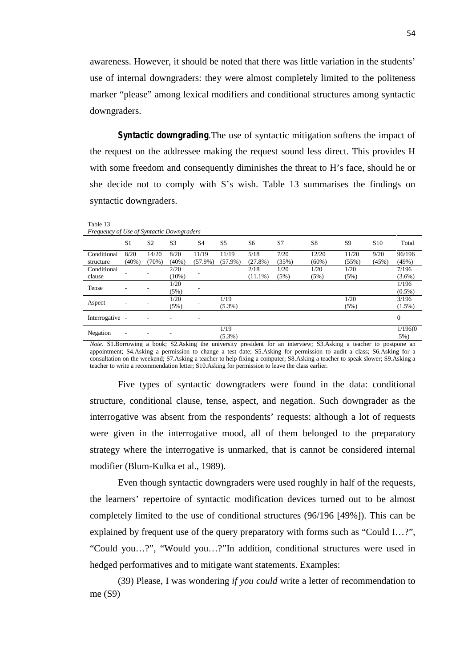awareness. However, it should be noted that there was little variation in the students' use of internal downgraders: they were almost completely limited to the politeness marker "please" among lexical modifiers and conditional structures among syntactic downgraders.

*Syntactic downgrading.*The use of syntactic mitigation softens the impact of the request on the addressee making the request sound less direct. This provides H with some freedom and consequently diminishes the threat to H's face, should he or she decide not to comply with S's wish. Table 13 summarises the findings on syntactic downgraders.

Table 13

*Frequency of Use of Syntactic Downgraders*

| Prequency of Ose of Synucute Downgruuers |                          |                |                  |                     |                     |                    |               |                   |                |                 |                     |
|------------------------------------------|--------------------------|----------------|------------------|---------------------|---------------------|--------------------|---------------|-------------------|----------------|-----------------|---------------------|
|                                          | S1                       | S <sub>2</sub> | S <sub>3</sub>   | S <sub>4</sub>      | S5                  | S6                 | S7            | S8                | S <sub>9</sub> | S <sub>10</sub> | Total               |
| Conditional<br>structure                 | 8/20<br>$(40\%)$         | 14/20<br>(70%) | 8/20<br>$(40\%)$ | 11/19<br>$(57.9\%)$ | 11/19<br>$(57.9\%)$ | 5/18<br>$(27.8\%)$ | 7/20<br>(35%) | 12/20<br>$(60\%)$ | 11/20<br>(55%) | 9/20<br>(45%)   | 96/196<br>(49%)     |
| Conditional<br>clause                    |                          |                | 2/20<br>$(10\%)$ |                     |                     | 2/18<br>$(11.1\%)$ | 1/20<br>(5%)  | 1/20<br>(5%)      | 1/20<br>(5%)   |                 | 7/196<br>$(3.6\%)$  |
| Tense                                    |                          |                | 1/20<br>(5%)     |                     |                     |                    |               |                   |                |                 | 1/196<br>$(0.5\%)$  |
| Aspect                                   | ۰                        |                | 1/20<br>(5%)     |                     | 1/19<br>$(5.3\%)$   |                    |               |                   | 1/20<br>(5%)   |                 | 3/196<br>$(1.5\%)$  |
| Interrogative -                          |                          |                |                  |                     |                     |                    |               |                   |                |                 | $\boldsymbol{0}$    |
| Negation                                 | $\overline{\phantom{a}}$ |                |                  |                     | 1/19<br>$(5.3\%)$   |                    |               |                   |                |                 | 1/196(0)<br>$.5\%)$ |

*Note*. S1.Borrowing a book; S2.Asking the university president for an interview; S3.Asking a teacher to postpone an appointment; S4.Asking a permission to change a test date; S5.Asking for permission to audit a class; S6.Asking for a consultation on the weekend; S7.Asking a teacher to help fixing a computer; S8.Asking a teacher to speak slower; S9.Asking a teacher to write a recommendation letter; S10.Asking for permission to leave the class earlier.

Five types of syntactic downgraders were found in the data: conditional structure, conditional clause, tense, aspect, and negation. Such downgrader as the interrogative was absent from the respondents' requests: although a lot of requests were given in the interrogative mood, all of them belonged to the preparatory strategy where the interrogative is unmarked, that is cannot be considered internal modifier (Blum-Kulka et al., 1989).

Even though syntactic downgraders were used roughly in half of the requests, the learners' repertoire of syntactic modification devices turned out to be almost completely limited to the use of conditional structures (96/196 [49%]). This can be explained by frequent use of the query preparatory with forms such as "Could I…?", "Could you…?", "Would you…?"In addition, conditional structures were used in hedged performatives and to mitigate want statements. Examples:

(39) Please, I was wondering *if you could* write a letter of recommendation to me (S9)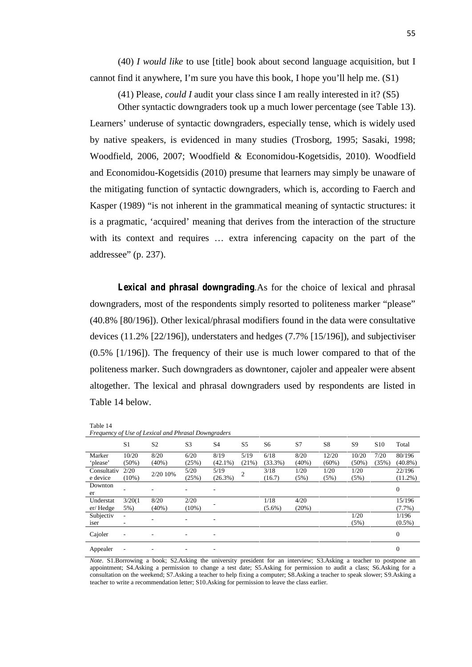(40) *I would like* to use [title] book about second language acquisition, but I cannot find it anywhere, I'm sure you have this book, I hope you'll help me. (S1)

(41) Please, *could I* audit your class since I am really interested in it? (S5)

Other syntactic downgraders took up a much lower percentage (see Table 13). Learners' underuse of syntactic downgraders, especially tense, which is widely used by native speakers, is evidenced in many studies (Trosborg, 1995; Sasaki, 1998; Woodfield, 2006, 2007; Woodfield & Economidou-Kogetsidis, 2010). Woodfield and Economidou-Kogetsidis (2010) presume that learners may simply be unaware of the mitigating function of syntactic downgraders, which is, according to Faerch and Kasper (1989) "is not inherent in the grammatical meaning of syntactic structures: it is a pragmatic, 'acquired' meaning that derives from the interaction of the structure with its context and requires ... extra inferencing capacity on the part of the addressee" (p. 237).

*Lexical and phrasal downgrading.*As for the choice of lexical and phrasal downgraders, most of the respondents simply resorted to politeness marker "please" (40.8% [80/196]). Other lexical/phrasal modifiers found in the data were consultative devices (11.2% [22/196]), understaters and hedges (7.7% [15/196]), and subjectiviser (0.5% [1/196]). The frequency of their use is much lower compared to that of the politeness marker. Such downgraders as downtoner, cajoler and appealer were absent altogether. The lexical and phrasal downgraders used by respondents are listed in Table 14 below.

Table 14

| Frequency of Use of Lexical and Phrasal Downgraders |
|-----------------------------------------------------|
|-----------------------------------------------------|

| $\overline{\phantom{a}}$<br>$\tilde{\phantom{a}}$ | $\cdot$                  |                |                | $\tilde{}$     |                |                |       |                |          |                 |                  |
|---------------------------------------------------|--------------------------|----------------|----------------|----------------|----------------|----------------|-------|----------------|----------|-----------------|------------------|
|                                                   | S <sub>1</sub>           | S <sub>2</sub> | S <sub>3</sub> | S <sub>4</sub> | S <sub>5</sub> | S <sub>6</sub> | S7    | S <sub>8</sub> | S9       | S <sub>10</sub> | Total            |
| Marker                                            | 10/20                    | 8/20           | 6/20           | 8/19           | 5/19           | 6/18           | 8/20  | 12/20          | 10/20    | 7/20            | 80/196           |
| 'please'                                          | $(50\%)$                 | (40%)          | (25%)          | $(42.1\%)$     | (21%)          | $(33.3\%)$     | (40%) | $(60\%)$       | $(50\%)$ | (35%)           | $(40.8\%)$       |
| Consultativ                                       | 2/20                     | 2/20 10%       | 5/20           | 5/19           | 2              | 3/18           | 1/20  | 1/20           | 1/20     |                 | 22/196           |
| e device                                          | $(10\%)$                 |                | (25%)          | $(26.3\%)$     |                | (16.7)         | (5%)  | (5%)           | (5%)     |                 | $(11.2\%)$       |
| Downton                                           |                          |                |                | ۰              |                |                |       |                |          |                 | $\boldsymbol{0}$ |
| er                                                |                          |                |                |                |                |                |       |                |          |                 |                  |
| Understat                                         | 3/20(1)                  | 8/20           | 2/20           |                |                | 1/18           | 4/20  |                |          |                 | 15/196           |
| er/Hedge                                          | 5%)                      | (40%)          | $(10\%)$       |                |                | $(5.6\%)$      | (20%) |                |          |                 | $(7.7\%)$        |
| Subjectiv                                         | $\overline{\phantom{a}}$ |                |                |                |                |                |       |                | 1/20     |                 | 1/196            |
| iser                                              | ۰.                       |                |                | ۰              |                |                |       |                | (5%)     |                 | $(0.5\%)$        |
| Cajoler                                           | ۰.                       |                | ۰              | -              |                |                |       |                |          |                 | $\theta$         |
| Appealer                                          | ۰                        |                |                |                |                |                |       |                |          |                 | $\theta$         |

*Note*. S1.Borrowing a book; S2.Asking the university president for an interview; S3.Asking a teacher to postpone an appointment; S4.Asking a permission to change a test date; S5.Asking for permission to audit a class; S6.Asking for a consultation on the weekend; S7.Asking a teacher to help fixing a computer; S8.Asking a teacher to speak slower; S9.Asking a teacher to write a recommendation letter; S10.Asking for permission to leave the class earlier.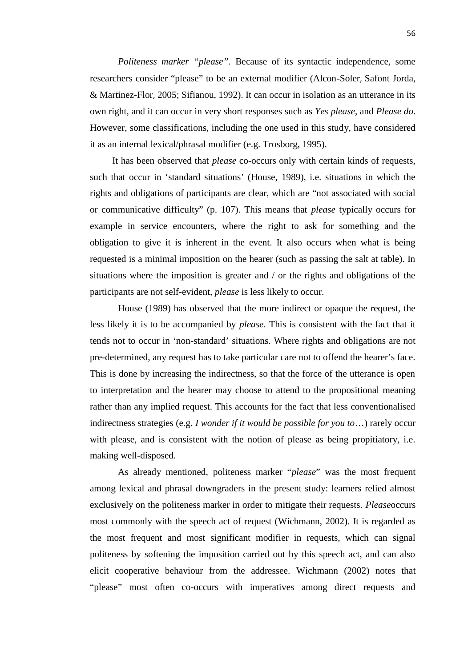*Politeness marker "please".* Because of its syntactic independence, some researchers consider "please" to be an external modifier (Alcon-Soler, Safont Jorda, & Martinez-Flor, 2005; Sifianou, 1992). It can occur in isolation as an utterance in its own right, and it can occur in very short responses such as *Yes please*, and *Please do*. However, some classifications, including the one used in this study, have considered it as an internal lexical/phrasal modifier (e.g. Trosborg, 1995).

It has been observed that *please* co-occurs only with certain kinds of requests, such that occur in 'standard situations' (House, 1989), i.e. situations in which the rights and obligations of participants are clear, which are "not associated with social or communicative difficulty" (p. 107). This means that *please* typically occurs for example in service encounters, where the right to ask for something and the obligation to give it is inherent in the event. It also occurs when what is being requested is a minimal imposition on the hearer (such as passing the salt at table). In situations where the imposition is greater and / or the rights and obligations of the participants are not self-evident, *please* is less likely to occur.

House (1989) has observed that the more indirect or opaque the request, the less likely it is to be accompanied by *please*. This is consistent with the fact that it tends not to occur in 'non-standard' situations. Where rights and obligations are not pre-determined, any request has to take particular care not to offend the hearer's face. This is done by increasing the indirectness, so that the force of the utterance is open to interpretation and the hearer may choose to attend to the propositional meaning rather than any implied request. This accounts for the fact that less conventionalised indirectness strategies (e.g. *I wonder if it would be possible for you to*…) rarely occur with please, and is consistent with the notion of please as being propitiatory, i.e. making well-disposed.

As already mentioned, politeness marker "*please*" was the most frequent among lexical and phrasal downgraders in the present study: learners relied almost exclusively on the politeness marker in order to mitigate their requests. *Please*occurs most commonly with the speech act of request (Wichmann, 2002). It is regarded as the most frequent and most significant modifier in requests, which can signal politeness by softening the imposition carried out by this speech act, and can also elicit cooperative behaviour from the addressee. Wichmann (2002) notes that "please" most often co-occurs with imperatives among direct requests and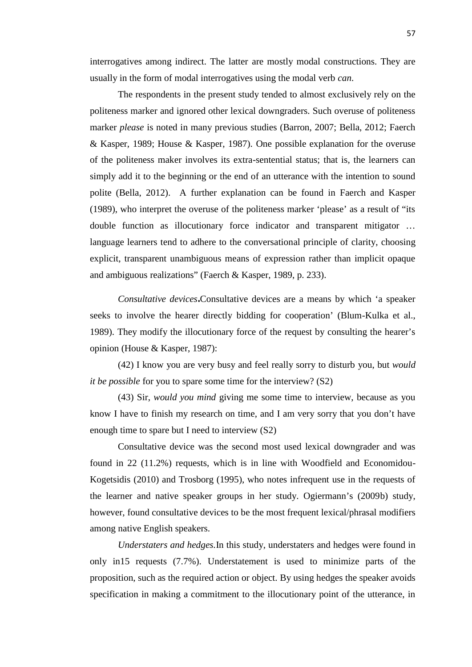interrogatives among indirect. The latter are mostly modal constructions. They are usually in the form of modal interrogatives using the modal verb *can*.

The respondents in the present study tended to almost exclusively rely on the politeness marker and ignored other lexical downgraders. Such overuse of politeness marker *please* is noted in many previous studies (Barron, 2007; Bella, 2012; Faerch & Kasper, 1989; House & Kasper, 1987). One possible explanation for the overuse of the politeness maker involves its extra-sentential status; that is, the learners can simply add it to the beginning or the end of an utterance with the intention to sound polite (Bella, 2012). A further explanation can be found in Faerch and Kasper (1989), who interpret the overuse of the politeness marker 'please' as a result of "its double function as illocutionary force indicator and transparent mitigator … language learners tend to adhere to the conversational principle of clarity, choosing explicit, transparent unambiguous means of expression rather than implicit opaque and ambiguous realizations" (Faerch & Kasper, 1989, p. 233).

*Consultative devices.*Consultative devices are a means by which 'a speaker seeks to involve the hearer directly bidding for cooperation' (Blum-Kulka et al., 1989). They modify the illocutionary force of the request by consulting the hearer's opinion (House & Kasper, 1987):

(42) I know you are very busy and feel really sorry to disturb you, but *would it be possible* for you to spare some time for the interview? (S2)

(43) Sir, *would you mind* giving me some time to interview, because as you know I have to finish my research on time, and I am very sorry that you don't have enough time to spare but I need to interview (S2)

Consultative device was the second most used lexical downgrader and was found in 22 (11.2%) requests, which is in line with Woodfield and Economidou- Kogetsidis (2010) and Trosborg (1995), who notes infrequent use in the requests of the learner and native speaker groups in her study. Ogiermann's (2009b) study, however, found consultative devices to be the most frequent lexical/phrasal modifiers among native English speakers.

*Understaters and hedges.*In this study, understaters and hedges were found in only in15 requests (7.7%). Understatement is used to minimize parts of the proposition, such as the required action or object. By using hedges the speaker avoids specification in making a commitment to the illocutionary point of the utterance, in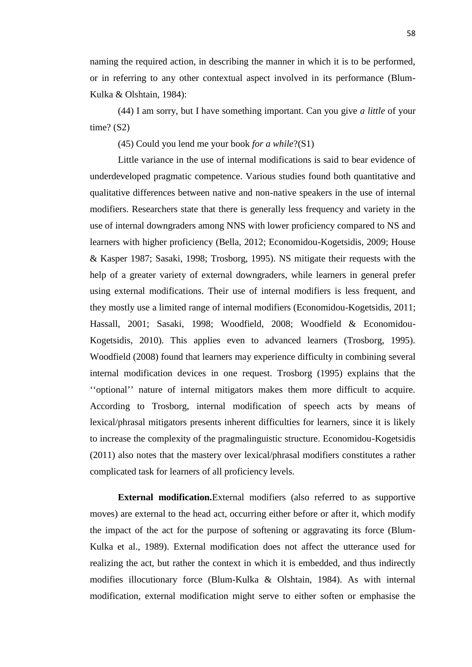naming the required action, in describing the manner in which it is to be performed, or in referring to any other contextual aspect involved in its performance (Blum- Kulka & Olshtain, 1984):

(44) I am sorry, but I have something important. Can you give *a little* of your time?  $(S2)$ 

(45) Could you lend me your book *for a while*?(S1)

Little variance in the use of internal modifications is said to bear evidence of underdeveloped pragmatic competence. Various studies found both quantitative and qualitative differences between native and non-native speakers in the use of internal modifiers. Researchers state that there is generally less frequency and variety in the use of internal downgraders among NNS with lower proficiency compared to NS and learners with higher proficiency (Bella, 2012; Economidou-Kogetsidis, 2009; House & Kasper 1987; Sasaki, 1998; Trosborg, 1995). NS mitigate their requests with the help of a greater variety of external downgraders, while learners in general prefer using external modifications. Their use of internal modifiers is less frequent, and they mostly use a limited range of internal modifiers (Economidou-Kogetsidis, 2011; Hassall, 2001; Sasaki, 1998; Woodfield, 2008; Woodfield & Economidou- Kogetsidis, 2010). This applies even to advanced learners (Trosborg, 1995). Woodfield (2008) found that learners may experience difficulty in combining several internal modification devices in one request. Trosborg (1995) explains that the ''optional'' nature of internal mitigators makes them more difficult to acquire. According to Trosborg, internal modification of speech acts by means of lexical/phrasal mitigators presents inherent difficulties for learners, since it is likely to increase the complexity of the pragmalinguistic structure. Economidou-Kogetsidis (2011) also notes that the mastery over lexical/phrasal modifiers constitutes a rather complicated task for learners of all proficiency levels.

**External modification.**External modifiers (also referred to as supportive moves) are external to the head act, occurring either before or after it, which modify the impact of the act for the purpose of softening or aggravating its force (Blum- Kulka et al., 1989). External modification does not affect the utterance used for realizing the act, but rather the context in which it is embedded, and thus indirectly modifies illocutionary force (Blum-Kulka & Olshtain, 1984). As with internal modification, external modification might serve to either soften or emphasise the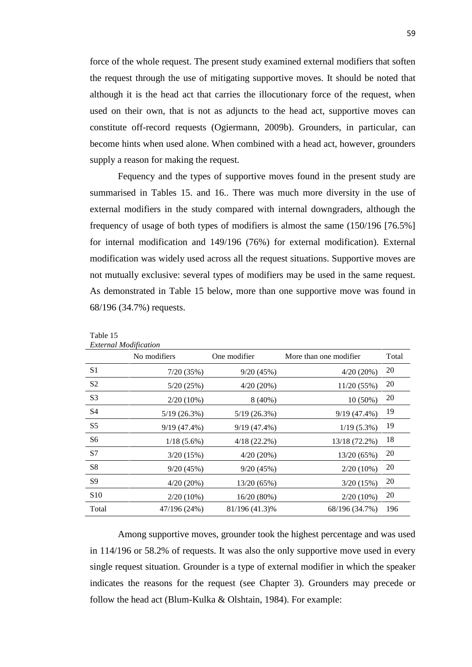force of the whole request. The present study examined external modifiers that soften the request through the use of mitigating supportive moves. It should be noted that although it is the head act that carries the illocutionary force of the request, when used on their own, that is not as adjuncts to the head act, supportive moves can constitute off-record requests (Ogiermann, 2009b). Grounders, in particular, can become hints when used alone. When combined with a head act, however, grounders supply a reason for making the request.

Fequency and the types of supportive moves found in the present study are summarised in Tables 15. and 16.. There was much more diversity in the use of external modifiers in the study compared with internal downgraders, although the frequency of usage of both types of modifiers is almost the same (150/196 [76.5%] for internal modification and 149/196 (76%) for external modification). External modification was widely used across all the request situations. Supportive moves are not mutually exclusive: several types of modifiers may be used in the same request. As demonstrated in Table 15 below, more than one supportive move was found in 68/196 (34.7%) requests.

|                 | No modifiers   | One modifier   | More than one modifier | Total |
|-----------------|----------------|----------------|------------------------|-------|
| S <sub>1</sub>  | 7/20(35%)      | 9/20(45%)      | $4/20(20\%)$           | 20    |
| S <sub>2</sub>  | 5/20(25%)      | $4/20(20\%)$   | 11/20(55%)             | 20    |
| S <sub>3</sub>  | $2/20(10\%)$   | $8(40\%)$      | $10(50\%)$             | 20    |
| S4              | 5/19(26.3%)    | 5/19(26.3%)    | $9/19(47.4\%)$         | 19    |
| S5              | $9/19(47.4\%)$ | $9/19(47.4\%)$ | $1/19(5.3\%)$          | 19    |
| S6              | $1/18(5.6\%)$  | $4/18$ (22.2%) | 13/18 (72.2%)          | 18    |
| S7              | 3/20(15%)      | $4/20(20\%)$   | 13/20 (65%)            | 20    |
| S8              | 9/20(45%)      | 9/20(45%)      | $2/20(10\%)$           | 20    |
| S9              | $4/20(20\%)$   | 13/20(65%)     | 3/20(15%)              | 20    |
| S <sub>10</sub> | $2/20(10\%)$   | 16/20 (80%)    | $2/20(10\%)$           | 20    |
| Total           | 47/196 (24%)   | 81/196 (41.3)% | 68/196 (34.7%)         | 196   |

| Table 15 |                       |
|----------|-----------------------|
|          | External Modification |

 $T_{\rm{C}}$  1.1. 15

Among supportive moves, grounder took the highest percentage and was used in 114/196 or 58.2% of requests. It was also the only supportive move used in every single request situation. Grounder is a type of external modifier in which the speaker indicates the reasons for the request (see Chapter 3). Grounders may precede or follow the head act (Blum-Kulka & Olshtain, 1984). For example: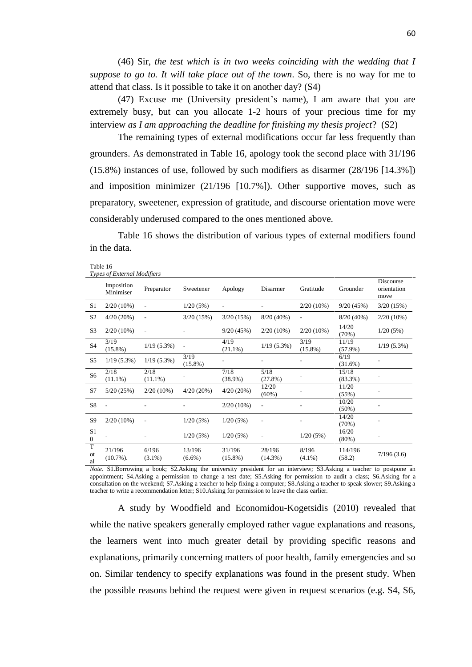(46) Sir, *the test which is in two weeks coinciding with the wedding that I suppose to go to. It will take place out of the town*. So, there is no way for me to attend that class. Is it possible to take it on another day? (S4)

(47) Excuse me (University president's name), I am aware that you are extremely busy, but can you allocate 1-2 hours of your precious time for my interview *as I am approaching the deadline for finishing my thesis project*? (S2)

The remaining types of external modifications occur far less frequently than grounders. As demonstrated in Table 16, apology took the second place with 31/196 (15.8%) instances of use, followed by such modifiers as disarmer (28/196 [14.3%]) and imposition minimizer (21/196 [10.7%]). Other supportive moves, such as preparatory, sweetener, expression of gratitude, and discourse orientation move were considerably underused compared to the ones mentioned above.

Table 16 shows the distribution of various types of external modifiers found in the data.

Table 16

|                                  | <b>Types of External Modifiers</b> |                          |                     |                          |                      |                    |                     |                                  |
|----------------------------------|------------------------------------|--------------------------|---------------------|--------------------------|----------------------|--------------------|---------------------|----------------------------------|
|                                  | Imposition<br>Minimiser            | Preparator               | Sweetener           | Apology                  | Disarmer             | Gratitude          | Grounder            | Discourse<br>orientation<br>move |
| S1                               | $2/20(10\%)$                       |                          | 1/20(5%)            | $\overline{\phantom{a}}$ |                      | $2/20(10\%)$       | 9/20(45%)           | 3/20(15%)                        |
| S <sub>2</sub>                   | 4/20(20%)                          | $\overline{\phantom{a}}$ | 3/20(15%)           | 3/20(15%)                | $8/20(40\%)$         | ÷,                 | $8/20(40\%)$        | $2/20(10\%)$                     |
| S <sub>3</sub>                   | $2/20(10\%)$                       | $\overline{\phantom{a}}$ |                     | 9/20(45%)                | $2/20(10\%)$         | $2/20(10\%)$       | 14/20<br>(70%)      | 1/20(5%)                         |
| <b>S4</b>                        | 3/19<br>$(15.8\%)$                 | $1/19(5.3\%)$            |                     | 4/19<br>$(21.1\%)$       | $1/19(5.3\%)$        | 3/19<br>$(15.8\%)$ | 11/19<br>$(57.9\%)$ | $1/19(5.3\%)$                    |
| S <sub>5</sub>                   | $1/19(5.3\%)$                      | $1/19(5.3\%)$            | 3/19<br>$(15.8\%)$  |                          |                      |                    | 6/19<br>$(31.6\%)$  |                                  |
| S <sub>6</sub>                   | 2/18<br>$(11.1\%)$                 | 2/18<br>$(11.1\%)$       |                     | 7/18<br>$(38.9\%)$       | 5/18<br>(27.8%)      |                    | 15/18<br>$(83.3\%)$ |                                  |
| S7                               | 5/20(25%)                          | $2/20(10\%)$             | $4/20(20\%)$        | $4/20(20\%)$             | 12/20<br>$(60\%)$    |                    | 11/20<br>(55%)      |                                  |
| S8                               |                                    |                          |                     | $2/20(10\%)$             |                      |                    | 10/20<br>$(50\%)$   |                                  |
| S <sub>9</sub>                   | $2/20(10\%)$                       | $\overline{a}$           | 1/20(5%)            | 1/20(5%)                 | $\overline{a}$       |                    | 14/20<br>(70%)      |                                  |
| S <sub>1</sub><br>$\overline{0}$ |                                    |                          | 1/20(5%)            | 1/20(5%)                 | $\overline{a}$       | 1/20(5%)           | 16/20<br>$(80\%)$   |                                  |
| T<br><b>ot</b><br>al             | 21/196<br>$(10.7\%)$ .             | 6/196<br>$(3.1\%)$       | 13/196<br>$(6.6\%)$ | 31/196<br>$(15.8\%)$     | 28/196<br>$(14.3\%)$ | 8/196<br>$(4.1\%)$ | 114/196<br>(58.2)   | 7/196(3.6)                       |

*Note*. S1.Borrowing a book; S2.Asking the university president for an interview; S3.Asking a teacher to postpone an appointment; S4.Asking a permission to change a test date; S5.Asking for permission to audit a class; S6.Asking for a consultation on the weekend; S7.Asking a teacher to help fixing a computer; S8.Asking a teacher to speak slower; S9.Asking a teacher to write a recommendation letter; S10.Asking for permission to leave the class earlier.

A study by Woodfield and Economidou-Kogetsidis (2010) revealed that while the native speakers generally employed rather vague explanations and reasons, the learners went into much greater detail by providing specific reasons and explanations, primarily concerning matters of poor health, family emergencies and so on. Similar tendency to specify explanations was found in the present study. When the possible reasons behind the request were given in request scenarios (e.g. S4, S6,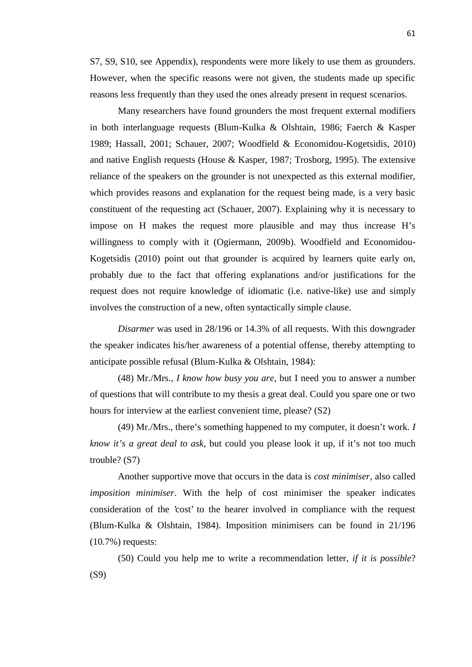S7, S9, S10, see Appendix), respondents were more likely to use them as grounders. However, when the specific reasons were not given, the students made up specific reasons less frequently than they used the ones already present in request scenarios.

Many researchers have found grounders the most frequent external modifiers in both interlanguage requests (Blum-Kulka & Olshtain, 1986; Faerch & Kasper 1989; Hassall, 2001; Schauer, 2007; Woodfield & Economidou-Kogetsidis, 2010) and native English requests (House & Kasper, 1987; Trosborg, 1995). The extensive reliance of the speakers on the grounder is not unexpected as this external modifier, which provides reasons and explanation for the request being made, is a very basic constituent of the requesting act (Schauer, 2007). Explaining why it is necessary to impose on H makes the request more plausible and may thus increase H's willingness to comply with it (Ogiermann, 2009b). Woodfield and Economidou- Kogetsidis (2010) point out that grounder is acquired by learners quite early on, probably due to the fact that offering explanations and/or justifications for the request does not require knowledge of idiomatic (i.e. native-like) use and simply involves the construction of a new, often syntactically simple clause.

*Disarmer* was used in 28/196 or 14.3% of all requests. With this downgrader the speaker indicates his/her awareness of a potential offense, thereby attempting to anticipate possible refusal (Blum-Kulka & Olshtain, 1984):

(48) Mr./Mrs., *I know how busy you are*, but I need you to answer a number of questions that will contribute to my thesis a great deal. Could you spare one or two hours for interview at the earliest convenient time, please? (S2)

(49) Mr./Mrs., there's something happened to my computer, it doesn't work. *I know it's a great deal to ask*, but could you please look it up, if it's not too much trouble? (S7)

Another supportive move that occurs in the data is *cost minimiser*, also called *imposition minimiser*. With the help of cost minimiser the speaker indicates consideration of the 'cost' to the hearer involved in compliance with the request (Blum-Kulka & Olshtain, 1984). Imposition minimisers can be found in 21/196 (10.7%) requests:

(50) Could you help me to write a recommendation letter, *if it is possible*? (S9)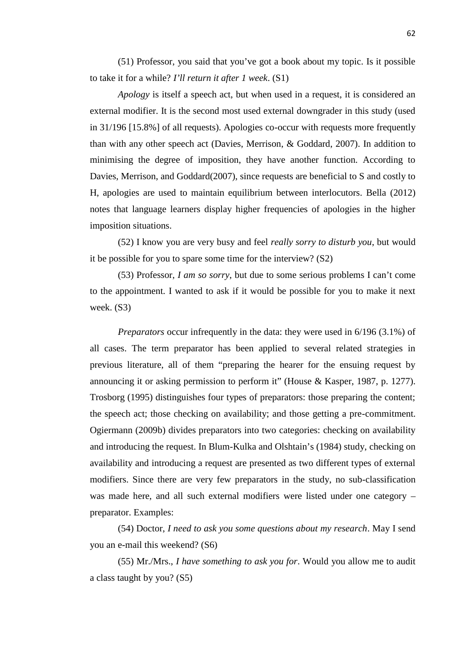(51) Professor, you said that you've got a book about my topic. Is it possible to take it for a while? *I'll return it after 1 week*. (S1)

*Apology* is itself a speech act, but when used in a request, it is considered an external modifier. It is the second most used external downgrader in this study (used in 31/196 [15.8%] of all requests). Apologies co-occur with requests more frequently than with any other speech act (Davies, Merrison, & Goddard, 2007). In addition to minimising the degree of imposition, they have another function. According to Davies, Merrison, and Goddard(2007), since requests are beneficial to S and costly to H, apologies are used to maintain equilibrium between interlocutors. Bella (2012) notes that language learners display higher frequencies of apologies in the higher imposition situations.

(52) I know you are very busy and feel *really sorry to disturb you*, but would it be possible for you to spare some time for the interview? (S2)

(53) Professor, *I am so sorry*, but due to some serious problems I can't come to the appointment. I wanted to ask if it would be possible for you to make it next week. (S3)

*Preparators* occur infrequently in the data: they were used in 6/196 (3.1%) of all cases. The term preparator has been applied to several related strategies in previous literature, all of them "preparing the hearer for the ensuing request by announcing it or asking permission to perform it" (House & Kasper, 1987, p. 1277). Trosborg (1995) distinguishes four types of preparators: those preparing the content; the speech act; those checking on availability; and those getting a pre-commitment. Ogiermann (2009b) divides preparators into two categories: checking on availability and introducing the request. In Blum-Kulka and Olshtain's (1984) study, checking on availability and introducing a request are presented as two different types of external modifiers. Since there are very few preparators in the study, no sub-classification was made here, and all such external modifiers were listed under one category – preparator. Examples:

(54) Doctor, *I need to ask you some questions about my research*. May I send you an e-mail this weekend? (S6)

(55) Mr./Mrs., *I have something to ask you for*. Would you allow me to audit a class taught by you? (S5)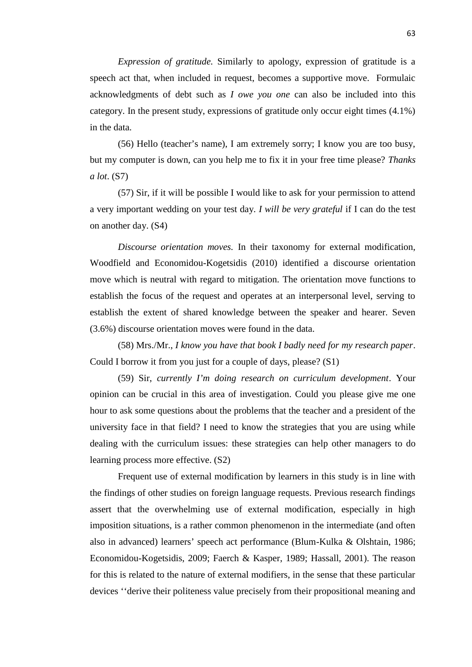*Expression of gratitude.* Similarly to apology, expression of gratitude is a speech act that, when included in request, becomes a supportive move. Formulaic acknowledgments of debt such as *I owe you one* can also be included into this category. In the present study, expressions of gratitude only occur eight times (4.1%) in the data.

(56) Hello (teacher's name), I am extremely sorry; I know you are too busy, but my computer is down, can you help me to fix it in your free time please? *Thanks a lot*. (S7)

(57) Sir, if it will be possible I would like to ask for your permission to attend a very important wedding on your test day*. I will be very grateful* if I can do the test on another day. (S4)

*Discourse orientation moves.* In their taxonomy for external modification, Woodfield and Economidou-Kogetsidis (2010) identified a discourse orientation move which is neutral with regard to mitigation. The orientation move functions to establish the focus of the request and operates at an interpersonal level, serving to establish the extent of shared knowledge between the speaker and hearer. Seven (3.6%) discourse orientation moves were found in the data.

(58) Mrs./Mr., *I know you have that book I badly need for my research paper*. Could I borrow it from you just for a couple of days, please? (S1)

(59) Sir, *currently I'm doing research on curriculum development*. Your opinion can be crucial in this area of investigation. Could you please give me one hour to ask some questions about the problems that the teacher and a president of the university face in that field? I need to know the strategies that you are using while dealing with the curriculum issues: these strategies can help other managers to do learning process more effective. (S2)

Frequent use of external modification by learners in this study is in line with the findings of other studies on foreign language requests. Previous research findings assert that the overwhelming use of external modification, especially in high imposition situations, is a rather common phenomenon in the intermediate (and often also in advanced) learners' speech act performance (Blum-Kulka & Olshtain, 1986; Economidou-Kogetsidis, 2009; Faerch & Kasper, 1989; Hassall, 2001). The reason for this is related to the nature of external modifiers, in the sense that these particular devices ''derive their politeness value precisely from their propositional meaning and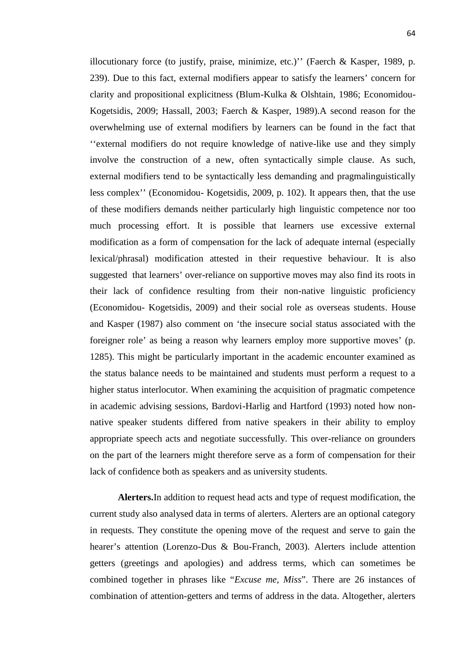illocutionary force (to justify, praise, minimize, etc.)'' (Faerch & Kasper, 1989, p. 239). Due to this fact, external modifiers appear to satisfy the learners' concern for clarity and propositional explicitness (Blum-Kulka & Olshtain, 1986; Economidou- Kogetsidis, 2009; Hassall, 2003; Faerch & Kasper, 1989).A second reason for the overwhelming use of external modifiers by learners can be found in the fact that ''external modifiers do not require knowledge of native-like use and they simply involve the construction of a new, often syntactically simple clause. As such, external modifiers tend to be syntactically less demanding and pragmalinguistically less complex'' (Economidou- Kogetsidis, 2009, p. 102). It appears then, that the use of these modifiers demands neither particularly high linguistic competence nor too much processing effort. It is possible that learners use excessive external modification as a form of compensation for the lack of adequate internal (especially lexical/phrasal) modification attested in their requestive behaviour. It is also suggested that learners' over-reliance on supportive moves may also find its roots in their lack of confidence resulting from their non-native linguistic proficiency (Economidou- Kogetsidis, 2009) and their social role as overseas students. House and Kasper (1987) also comment on 'the insecure social status associated with the foreigner role' as being a reason why learners employ more supportive moves' (p. 1285). This might be particularly important in the academic encounter examined as the status balance needs to be maintained and students must perform a request to a higher status interlocutor. When examining the acquisition of pragmatic competence in academic advising sessions, Bardovi-Harlig and Hartford (1993) noted how non native speaker students differed from native speakers in their ability to employ appropriate speech acts and negotiate successfully. This over-reliance on grounders on the part of the learners might therefore serve as a form of compensation for their lack of confidence both as speakers and as university students.

**Alerters.**In addition to request head acts and type of request modification, the current study also analysed data in terms of alerters. Alerters are an optional category in requests. They constitute the opening move of the request and serve to gain the hearer's attention (Lorenzo-Dus & Bou-Franch, 2003). Alerters include attention getters (greetings and apologies) and address terms, which can sometimes be combined together in phrases like "*Excuse me, Miss*". There are 26 instances of combination of attention-getters and terms of address in the data. Altogether, alerters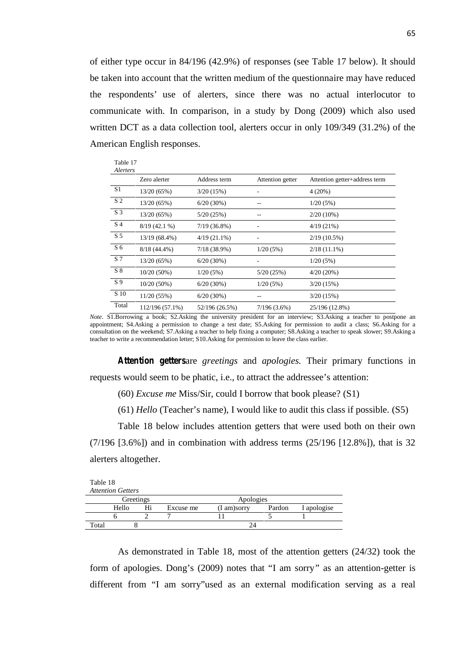of either type occur in 84/196 (42.9%) of responses (see Table 17 below). It should be taken into account that the written medium of the questionnaire may have reduced the respondents' use of alerters, since there was no actual interlocutor to communicate with. In comparison, in a study by Dong (2009) which also used written DCT as a data collection tool, alerters occur in only 109/349 (31.2%) of the American English responses.

| Zero alerter    | Address term         | Attention getter | Attention getter+address term |
|-----------------|----------------------|------------------|-------------------------------|
| 13/20(65%)      | 3/20(15%)            |                  | 4(20%)                        |
| 13/20 (65%)     | $6/20(30\%)$         |                  | 1/20(5%)                      |
| 13/20 (65%)     | 5/20(25%)            |                  | $2/20(10\%)$                  |
| $8/19(42.1\%)$  | $7/19(36.8\%)$       |                  | 4/19(21%)                     |
| 13/19 (68.4%)   | $4/19(21.1\%)$       |                  | $2/19(10.5\%)$                |
| $8/18(44.4\%)$  | $7/18(38.9\%)$       | 1/20(5%)         | $2/18(11.1\%)$                |
| 13/20(65%)      | $6/20(30\%)$         |                  | 1/20(5%)                      |
| $10/20(50\%)$   | 1/20(5%)             | 5/20(25%)        | $4/20(20\%)$                  |
| $10/20(50\%)$   | 6/20(30%)            | 1/20(5%)         | 3/20(15%)                     |
| 11/20 (55%)     | 6/20(30%)            |                  | 3/20(15%)                     |
| 112/196 (57.1%) | 52/196 (26.5%)       | $7/196(3.6\%)$   | 25/196 (12.8%)                |
|                 | Table 17<br>Alerters |                  |                               |

*Note*. S1.Borrowing a book; S2.Asking the university president for an interview; S3.Asking a teacher to postpone an appointment; S4.Asking a permission to change a test date; S5.Asking for permission to audit a class; S6.Asking for a consultation on the weekend; S7.Asking a teacher to help fixing a computer; S8.Asking a teacher to speak slower; S9.Asking a teacher to write a recommendation letter; S10.Asking for permission to leave the class earlier.

*Attention getters*are *greetings* and *apologies.* Their primary functions in requests would seem to be phatic, i.e., to attract the addressee's attention:

(60) *Excuse me* Miss/Sir, could I borrow that book please? (S1)

(61) *Hello* (Teacher's name), I would like to audit this class if possible*.* (S5)

Table 18 below includes attention getters that were used both on their own  $(7/196 \; [3.6\%])$  and in combination with address terms  $(25/196 \; [12.8\%])$ , that is 32 alerters altogether.

| Table 18 | <b>Attention Getters</b> |           |             |        |             |
|----------|--------------------------|-----------|-------------|--------|-------------|
|          | Greetings                |           | Apologies   |        |             |
|          | Hello                    | Excuse me | (I am)sorry | Pardon | I apologise |
|          |                          |           |             |        |             |
| Total    |                          |           | 24          |        |             |

As demonstrated in Table 18, most of the attention getters (24/32) took the form of apologies. Dong's (2009) notes that "I am sorry*"* as an attention-getter is different from "I am sorry"used as an external modification serving as a real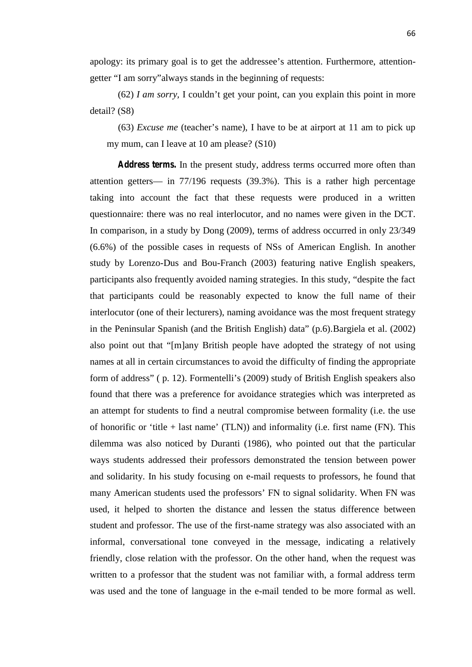apology: its primary goal is to get the addressee's attention. Furthermore, attention getter "I am sorry"always stands in the beginning of requests:

(62) *I am sorry,* I couldn't get your point, can you explain this point in more detail? (S8)

(63) *Excuse me* (teacher's name), I have to be at airport at 11 am to pick up my mum, can I leave at 10 am please? (S10)

*Address terms.* In the present study, address terms occurred more often than attention getters— in 77/196 requests (39.3%). This is a rather high percentage taking into account the fact that these requests were produced in a written questionnaire: there was no real interlocutor, and no names were given in the DCT. In comparison, in a study by Dong (2009), terms of address occurred in only 23/349 (6.6%) of the possible cases in requests of NSs of American English. In another study by Lorenzo-Dus and Bou-Franch (2003) featuring native English speakers, participants also frequently avoided naming strategies. In this study, "despite the fact that participants could be reasonably expected to know the full name of their interlocutor (one of their lecturers), naming avoidance was the most frequent strategy in the Peninsular Spanish (and the British English) data" (p.6).Bargiela et al. (2002) also point out that "[m]any British people have adopted the strategy of not using names at all in certain circumstances to avoid the difficulty of finding the appropriate form of address" ( p. 12). Formentelli's (2009) study of British English speakers also found that there was a preference for avoidance strategies which was interpreted as an attempt for students to find a neutral compromise between formality (i.e. the use of honorific or 'title  $+$  last name' (TLN)) and informality (i.e. first name (FN). This dilemma was also noticed by Duranti (1986), who pointed out that the particular ways students addressed their professors demonstrated the tension between power and solidarity. In his study focusing on e-mail requests to professors, he found that many American students used the professors' FN to signal solidarity. When FN was used, it helped to shorten the distance and lessen the status difference between student and professor. The use of the first-name strategy was also associated with an informal, conversational tone conveyed in the message, indicating a relatively friendly, close relation with the professor. On the other hand, when the request was written to a professor that the student was not familiar with, a formal address term was used and the tone of language in the e-mail tended to be more formal as well.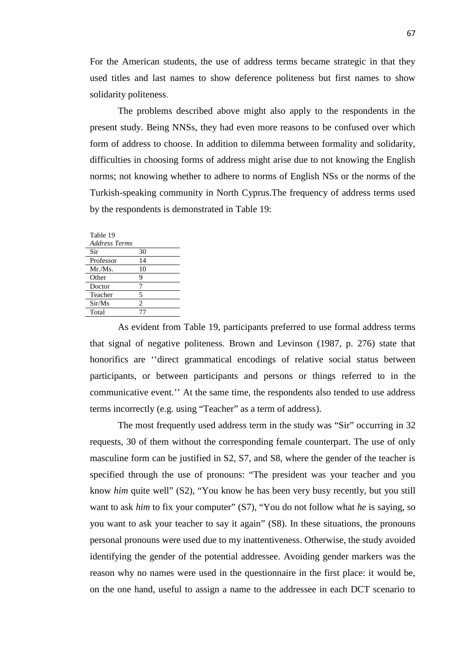For the American students, the use of address terms became strategic in that they used titles and last names to show deference politeness but first names to show solidarity politeness.

The problems described above might also apply to the respondents in the present study. Being NNSs, they had even more reasons to be confused over which form of address to choose. In addition to dilemma between formality and solidarity, difficulties in choosing forms of address might arise due to not knowing the English norms; not knowing whether to adhere to norms of English NSs or the norms of the Turkish-speaking community in North Cyprus.The frequency of address terms used by the respondents is demonstrated in Table 19:

| Table 19             |                |
|----------------------|----------------|
| <b>Address Terms</b> |                |
| Sir                  | 30             |
| Professor            | 14             |
| Mr.Ms.               | 10             |
| Other                | 9              |
| Doctor               | 7              |
| Teacher              | 5              |
| Sir/Ms               | $\mathfrak{D}$ |
| Total                |                |
|                      |                |

As evident from Table 19, participants preferred to use formal address terms that signal of negative politeness. Brown and Levinson (1987, p. 276) state that honorifics are ''direct grammatical encodings of relative social status between participants, or between participants and persons or things referred to in the communicative event.'' At the same time, the respondents also tended to use address terms incorrectly (e.g. using "Teacher" as a term of address).

The most frequently used address term in the study was "Sir" occurring in 32 requests, 30 of them without the corresponding female counterpart. The use of only masculine form can be justified in S2, S7, and S8, where the gender of the teacher is specified through the use of pronouns: "The president was your teacher and you know *him* quite well" (S2), "You know he has been very busy recently, but you still want to ask *him* to fix your computer" (S7), "You do not follow what *he* is saying, so you want to ask your teacher to say it again" (S8). In these situations, the pronouns personal pronouns were used due to my inattentiveness. Otherwise, the study avoided identifying the gender of the potential addressee. Avoiding gender markers was the reason why no names were used in the questionnaire in the first place: it would be, on the one hand, useful to assign a name to the addressee in each DCT scenario to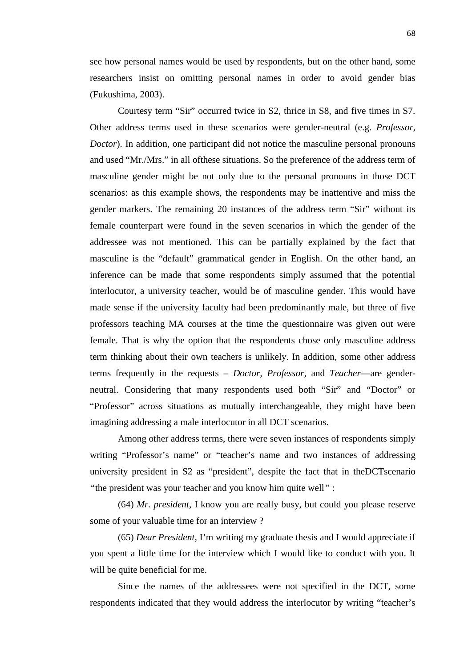see how personal names would be used by respondents, but on the other hand, some researchers insist on omitting personal names in order to avoid gender bias (Fukushima, 2003).

Courtesy term "Sir" occurred twice in S2, thrice in S8, and five times in S7. Other address terms used in these scenarios were gender-neutral (e.g. *Professor, Doctor*). In addition, one participant did not notice the masculine personal pronouns and used "Mr./Mrs." in all ofthese situations. So the preference of the address term of masculine gender might be not only due to the personal pronouns in those DCT scenarios: as this example shows, the respondents may be inattentive and miss the gender markers. The remaining 20 instances of the address term "Sir" without its female counterpart were found in the seven scenarios in which the gender of the addressee was not mentioned. This can be partially explained by the fact that masculine is the "default" grammatical gender in English. On the other hand, an inference can be made that some respondents simply assumed that the potential interlocutor, a university teacher, would be of masculine gender. This would have made sense if the university faculty had been predominantly male, but three of five professors teaching MA courses at the time the questionnaire was given out were female. That is why the option that the respondents chose only masculine address term thinking about their own teachers is unlikely. In addition, some other address terms frequently in the requests – *Doctor, Professor,* and *Teacher*—are gender neutral. Considering that many respondents used both "Sir" and "Doctor" or "Professor" across situations as mutually interchangeable, they might have been imagining addressing a male interlocutor in all DCT scenarios.

Among other address terms, there were seven instances of respondents simply writing "Professor's name" or "teacher's name and two instances of addressing university president in S2 as "president", despite the fact that in theDCTscenario *"*the president was your teacher and you know him quite well*"* :

(64) *Mr. president*, I know you are really busy, but could you please reserve some of your valuable time for an interview ?

(65) *Dear President*, I'm writing my graduate thesis and I would appreciate if you spent a little time for the interview which I would like to conduct with you. It will be quite beneficial for me.

Since the names of the addressees were not specified in the DCT, some respondents indicated that they would address the interlocutor by writing "teacher's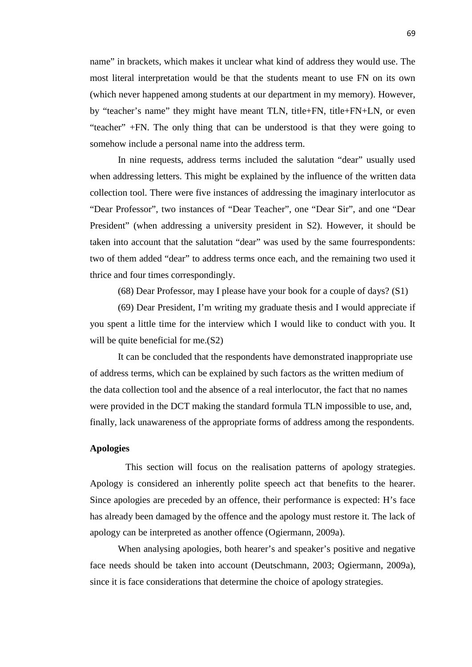name" in brackets, which makes it unclear what kind of address they would use. The most literal interpretation would be that the students meant to use FN on its own (which never happened among students at our department in my memory). However, by "teacher's name" they might have meant TLN, title+FN, title+FN+LN, or even "teacher" +FN. The only thing that can be understood is that they were going to somehow include a personal name into the address term.

In nine requests, address terms included the salutation "dear" usually used when addressing letters. This might be explained by the influence of the written data collection tool. There were five instances of addressing the imaginary interlocutor as "Dear Professor", two instances of "Dear Teacher", one "Dear Sir", and one "Dear President" (when addressing a university president in S2). However, it should be taken into account that the salutation "dear" was used by the same fourrespondents: two of them added "dear" to address terms once each, and the remaining two used it thrice and four times correspondingly.

(68) Dear Professor, may I please have your book for a couple of days? (S1)

(69) Dear President, I'm writing my graduate thesis and I would appreciate if you spent a little time for the interview which I would like to conduct with you. It will be quite beneficial for me. (S2)

It can be concluded that the respondents have demonstrated inappropriate use of address terms, which can be explained by such factors as the written medium of the data collection tool and the absence of a real interlocutor, the fact that no names were provided in the DCT making the standard formula TLN impossible to use, and, finally, lack unawareness of the appropriate forms of address among the respondents.

# **Apologies**

This section will focus on the realisation patterns of apology strategies. Apology is considered an inherently polite speech act that benefits to the hearer. Since apologies are preceded by an offence, their performance is expected: H's face has already been damaged by the offence and the apology must restore it. The lack of apology can be interpreted as another offence (Ogiermann, 2009a).

When analysing apologies, both hearer's and speaker's positive and negative face needs should be taken into account (Deutschmann, 2003; Ogiermann, 2009a), since it is face considerations that determine the choice of apology strategies.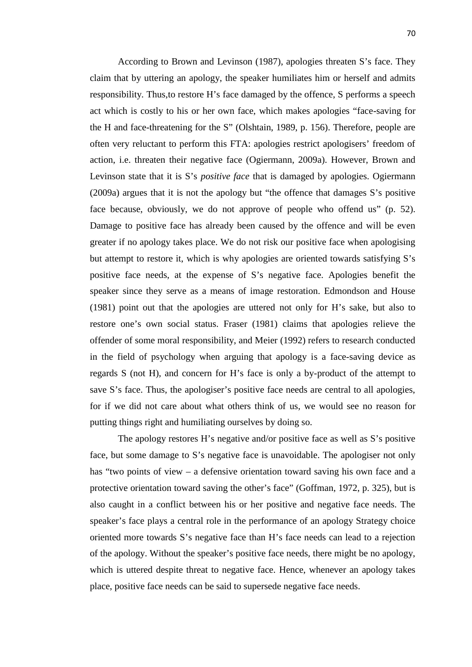According to Brown and Levinson (1987), apologies threaten S's face. They claim that by uttering an apology, the speaker humiliates him or herself and admits responsibility. Thus,to restore H's face damaged by the offence, S performs a speech act which is costly to his or her own face, which makes apologies "face-saving for the H and face-threatening for the S" (Olshtain, 1989, p. 156). Therefore, people are often very reluctant to perform this FTA: apologies restrict apologisers' freedom of action, i.e. threaten their negative face (Ogiermann, 2009a). However, Brown and Levinson state that it is S's *positive face* that is damaged by apologies. Ogiermann (2009a) argues that it is not the apology but "the offence that damages S's positive face because, obviously, we do not approve of people who offend us" (p. 52). Damage to positive face has already been caused by the offence and will be even greater if no apology takes place. We do not risk our positive face when apologising but attempt to restore it, which is why apologies are oriented towards satisfying S's positive face needs, at the expense of S's negative face. Apologies benefit the speaker since they serve as a means of image restoration. Edmondson and House (1981) point out that the apologies are uttered not only for H's sake, but also to restore one's own social status. Fraser (1981) claims that apologies relieve the offender of some moral responsibility, and Meier (1992) refers to research conducted in the field of psychology when arguing that apology is a face-saving device as regards S (not H), and concern for H's face is only a by-product of the attempt to save S's face. Thus, the apologiser's positive face needs are central to all apologies, for if we did not care about what others think of us, we would see no reason for putting things right and humiliating ourselves by doing so.

The apology restores H's negative and/or positive face as well as S's positive face, but some damage to S's negative face is unavoidable. The apologiser not only has "two points of view – a defensive orientation toward saving his own face and a protective orientation toward saving the other's face" (Goffman, 1972, p. 325), but is also caught in a conflict between his or her positive and negative face needs. The speaker's face plays a central role in the performance of an apology Strategy choice oriented more towards S's negative face than H's face needs can lead to a rejection of the apology. Without the speaker's positive face needs, there might be no apology, which is uttered despite threat to negative face. Hence, whenever an apology takes place, positive face needs can be said to supersede negative face needs.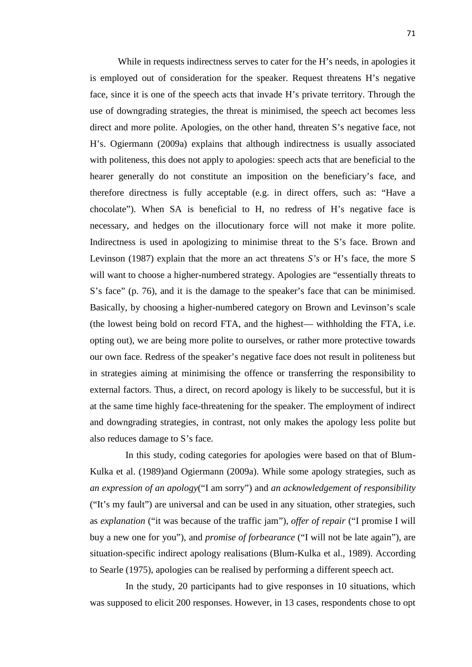While in requests indirectness serves to cater for the H's needs, in apologies it is employed out of consideration for the speaker. Request threatens H's negative face, since it is one of the speech acts that invade H's private territory. Through the use of downgrading strategies, the threat is minimised, the speech act becomes less direct and more polite. Apologies, on the other hand, threaten S's negative face, not H's. Ogiermann (2009a) explains that although indirectness is usually associated with politeness, this does not apply to apologies: speech acts that are beneficial to the hearer generally do not constitute an imposition on the beneficiary's face, and therefore directness is fully acceptable (e.g. in direct offers, such as: "Have a chocolate"). When SA is beneficial to H, no redress of H's negative face is necessary, and hedges on the illocutionary force will not make it more polite. Indirectness is used in apologizing to minimise threat to the S's face. Brown and Levinson (1987) explain that the more an act threatens *S's* or H's face, the more S will want to choose a higher-numbered strategy. Apologies are "essentially threats to S's face" (p. 76), and it is the damage to the speaker's face that can be minimised. Basically, by choosing a higher-numbered category on Brown and Levinson's scale (the lowest being bold on record FTA, and the highest— withholding the FTA, i.e. opting out), we are being more polite to ourselves, or rather more protective towards our own face. Redress of the speaker's negative face does not result in politeness but in strategies aiming at minimising the offence or transferring the responsibility to external factors. Thus, a direct, on record apology is likely to be successful, but it is at the same time highly face-threatening for the speaker. The employment of indirect and downgrading strategies, in contrast, not only makes the apology less polite but also reduces damage to S's face.

In this study, coding categories for apologies were based on that of Blum- Kulka et al. (1989)and Ogiermann (2009a). While some apology strategies, such as *an expression of an apology*("I am sorry") and *an acknowledgement of responsibility* ("It's my fault") are universal and can be used in any situation, other strategies, such as *explanation* ("it was because of the traffic jam"), *offer of repair* ("I promise I will buy a new one for you"), and *promise of forbearance* ("I will not be late again"), are situation-specific indirect apology realisations (Blum-Kulka et al., 1989). According to Searle (1975), apologies can be realised by performing a different speech act.

In the study, 20 participants had to give responses in 10 situations, which was supposed to elicit 200 responses. However, in 13 cases, respondents chose to opt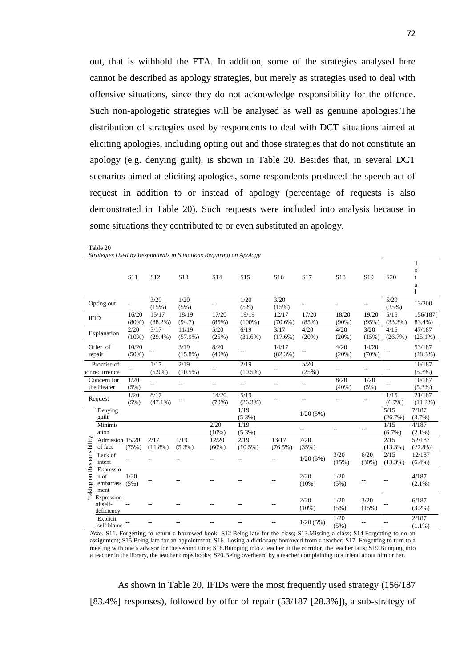out, that is withhold the FTA. In addition, some of the strategies analysed here cannot be described as apology strategies, but merely as strategies used to deal with offensive situations, since they do not acknowledge responsibility for the offence. Such non-apologetic strategies will be analysed as well as genuine apologies.The distribution of strategies used by respondents to deal with DCT situations aimed at eliciting apologies, including opting out and those strategies that do not constitute an apology (e.g. denying guilt), is shown in Table 20. Besides that, in several DCT scenarios aimed at eliciting apologies, some respondents produced the speech act of request in addition to or instead of apology (percentage of requests is also demonstrated in Table 20). Such requests were included into analysis because in some situations they contributed to or even substituted an apology.

|                |                 |                 |                          |                 |                 |                 |                 |                          |                 |                 |                 | T            |
|----------------|-----------------|-----------------|--------------------------|-----------------|-----------------|-----------------|-----------------|--------------------------|-----------------|-----------------|-----------------|--------------|
|                |                 |                 |                          |                 |                 |                 |                 |                          |                 |                 |                 | $\mathbf{o}$ |
|                |                 | S <sub>11</sub> | S <sub>12</sub>          | S <sub>13</sub> | S <sub>14</sub> | S <sub>15</sub> | S <sub>16</sub> | S <sub>17</sub>          | S <sub>18</sub> | S <sub>19</sub> | S <sub>20</sub> |              |
|                |                 |                 |                          |                 |                 |                 |                 |                          |                 |                 |                 | a            |
|                |                 |                 |                          |                 |                 |                 |                 |                          |                 |                 |                 | 1            |
|                | Opting out      |                 | 3/20                     | 1/20            |                 | 1/20            | 3/20            | $\overline{\phantom{m}}$ |                 |                 | 5/20            | 13/200       |
|                |                 |                 | (15%)                    | (5%)            |                 | (5%)            | (15%)           |                          |                 |                 | (25%)           |              |
|                | <b>IFID</b>     | 16/20           | 15/17                    | 18/19           | 17/20           | 19/19           | 12/17           | 17/20                    | 18/20           | 19/20           | 5/15            | 156/187(     |
|                |                 | $(80\%)$        | $(88.2\%)$               | (94.7)          | (85%)           | $(100\%)$       | $(70.6\%)$      | (85%)                    | $(90\%)$        | (95%)           | (33.3%)         | 83.4%)       |
|                | Explanation     | 2/20            | 5/17                     | 11/19           | 5/20            | 6/19            | 3/17            | 4/20                     | 4/20            | 3/20            | 4/15            | 47/187       |
|                |                 | $(10\%)$        | $(29.4\%)$               | $(57.9\%)$      | (25%)           | (31.6%)         | $(17.6\%)$      | (20%)                    | (20%)           | (15%)           | (26.7%)         | $(25.1\%)$   |
|                | Offer of        | 10/20           |                          | 3/19            | 8/20            |                 | 14/17           |                          | 4/20            | 14/20           |                 | 53/187       |
|                | repair          | (50%)           |                          | $(15.8\%)$      | $(40\%)$        |                 | $(82.3\%)$      |                          | (20%)           | (70%)           | $\overline{a}$  | (28.3%)      |
|                |                 |                 |                          |                 |                 |                 |                 | 5/20                     |                 |                 |                 |              |
|                | Promise of      | $\overline{a}$  | 1/17                     | 2/19            |                 | 2/19            |                 |                          |                 |                 |                 | 10/187       |
|                | nonrecurrence   |                 | $(5.9\%)$                | $(10.5\%)$      |                 | $(10.5\%)$      |                 | (25%)                    |                 |                 |                 | $(5.3\%)$    |
|                | Concern for     | 1/20            | $\overline{\phantom{a}}$ | --              | --              | --              |                 | $-$                      | 8/20            | 1/20            | $-$             | 10/187       |
|                | the Hearer      | (5%)            |                          |                 |                 |                 |                 |                          | $(40\%)$        | (5%)            |                 | $(5.3\%)$    |
|                | Request         | 1/20            | 8/17                     |                 | 14/20           | 5/19            |                 | --                       | --              | $\overline{a}$  | 1/15            | 21/187       |
|                |                 | (5%)            | $(47.1\%)$               |                 | (70%)           | (26.3%)         |                 |                          |                 |                 | $(6.7\%)$       | $(11.2\%)$   |
|                | Denying         |                 |                          |                 |                 | 1/19            |                 | 1/20(5%)                 |                 |                 | 5/15            | 7/187        |
|                | guilt           |                 |                          |                 |                 | $(5.3\%)$       |                 |                          |                 |                 | (26.7%)         | $(3.7\%)$    |
|                | Minimis         |                 |                          |                 | 2/20            | 1/19            |                 | $-1$                     |                 | $\sim$          | 1/15            | 4/187        |
|                | ation           |                 |                          |                 | $(10\%)$        | $(5.3\%)$       |                 |                          |                 |                 | $(6.7\%)$       | $(2.1\%)$    |
|                | Admission 15/20 |                 | 2/17                     | 1/19            | 12/20           | 2/19            | 13/17           | 7/20                     |                 |                 | 2/15            | 52/187       |
|                | of fact         | (75%)           | $(11.8\%)$               | $(5.3\%)$       | $(60\%)$        | $(10.5\%)$      | $(76.5\%)$      | (35%)                    |                 |                 | $(13.3\%)$      | (27.8%)      |
|                | Lack of         |                 |                          | $\overline{a}$  |                 | $\overline{a}$  | $-$             |                          | 3/20            | 6/20            | 2/15            | 12/187       |
| Responsibility | intent          |                 |                          |                 |                 |                 |                 | 1/20(5%)                 | (15%)           | (30%)           | $(13.3\%)$      | $(6.4\%)$    |
|                | Expressio       |                 |                          |                 |                 |                 |                 |                          |                 |                 |                 |              |
|                | n of            | 1/20            | $-$                      |                 |                 |                 |                 | 2/20                     | 1/20            |                 |                 | 4/187        |
|                | embarrass       | (5%)            |                          |                 |                 |                 |                 | $(10\%)$                 | (5%)            |                 |                 | $(2.1\%)$    |
| Taking on      | ment            |                 |                          |                 |                 |                 |                 |                          |                 |                 |                 |              |
|                | Expression      |                 |                          |                 |                 |                 |                 | 2/20                     | 1/20            | 3/20            |                 | 6/187        |
|                | of self-        |                 |                          |                 |                 |                 |                 | $(10\%)$                 | (5%)            | (15%)           |                 | $(3.2\%)$    |
|                | deficiency      |                 |                          |                 |                 |                 |                 |                          |                 |                 |                 |              |
|                | Explicit        |                 |                          |                 |                 |                 |                 | 1/20(5%)                 | 1/20            |                 |                 | 2/187        |
|                | self-blame      |                 |                          |                 |                 |                 |                 |                          | (5%)            |                 |                 | $(1.1\%)$    |

| Strategies Used by Respondents in Situations Requiring an Apology |  |  |
|-------------------------------------------------------------------|--|--|

Table 20

*Note*. S11. Forgetting to return a borrowed book; S12.Being late for the class; S13.Missing a class; S14.Forgetting to do an assignment; S15.Being late for an appointment; S16. Losing a dictionary borrowed from a teacher; S17. Forgetting to turn to a meeting with one's advisor for the second time; S18.Bumping into a teacher in the corridor, the teacher falls; S19.Bumping into a teacher in the library, the teacher drops books; S20.Being overheard by a teacher complaining to a friend about him or her.

As shown in Table 20, IFIDs were the most frequently used strategy (156/187 [83.4%] responses), followed by offer of repair (53/187 [28.3%]), a sub-strategy of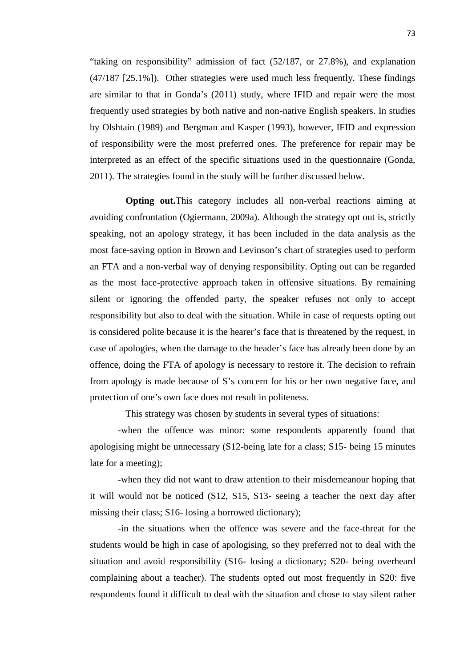"taking on responsibility" admission of fact (52/187, or 27.8%), and explanation (47/187 [25.1%]). Other strategies were used much less frequently. These findings are similar to that in Gonda's (2011) study, where IFID and repair were the most frequently used strategies by both native and non-native English speakers. In studies by Olshtain (1989) and Bergman and Kasper (1993), however, IFID and expression of responsibility were the most preferred ones. The preference for repair may be interpreted as an effect of the specific situations used in the questionnaire (Gonda, 2011). The strategies found in the study will be further discussed below.

**Opting out.**This category includes all non-verbal reactions aiming at avoiding confrontation (Ogiermann, 2009a). Although the strategy opt out is, strictly speaking, not an apology strategy, it has been included in the data analysis as the most face-saving option in Brown and Levinson's chart of strategies used to perform an FTA and a non-verbal way of denying responsibility. Opting out can be regarded as the most face-protective approach taken in offensive situations. By remaining silent or ignoring the offended party, the speaker refuses not only to accept responsibility but also to deal with the situation. While in case of requests opting out is considered polite because it is the hearer's face that is threatened by the request, in case of apologies, when the damage to the header's face has already been done by an offence, doing the FTA of apology is necessary to restore it. The decision to refrain from apology is made because of S's concern for his or her own negative face, and protection of one's own face does not result in politeness.

This strategy was chosen by students in several types of situations:

-when the offence was minor: some respondents apparently found that apologising might be unnecessary (S12-being late for a class; S15- being 15 minutes late for a meeting);

-when they did not want to draw attention to their misdemeanour hoping that it will would not be noticed (S12, S15, S13- seeing a teacher the next day after missing their class; S16- losing a borrowed dictionary);

-in the situations when the offence was severe and the face-threat for the students would be high in case of apologising, so they preferred not to deal with the situation and avoid responsibility (S16- losing a dictionary; S20- being overheard complaining about a teacher). The students opted out most frequently in S20: five respondents found it difficult to deal with the situation and chose to stay silent rather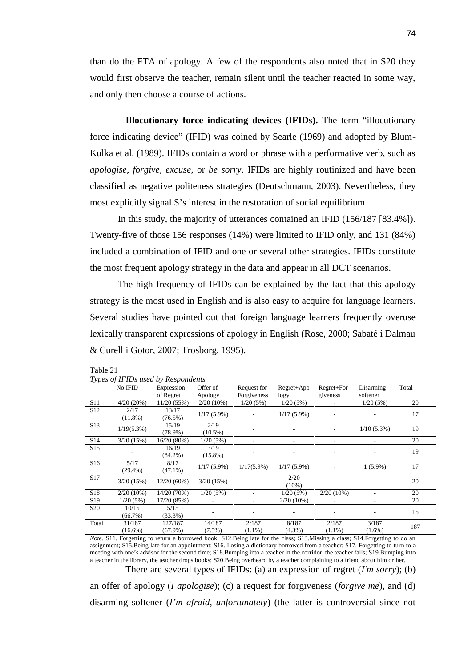than do the FTA of apology. A few of the respondents also noted that in S20 they would first observe the teacher, remain silent until the teacher reacted in some way, and only then choose a course of actions.

**Illocutionary force indicating devices (IFIDs).** The term "illocutionary force indicating device" (IFID) was coined by Searle (1969) and adopted by Blum- Kulka et al. (1989). IFIDs contain a word or phrase with a performative verb, such as *apologise, forgive, excuse*, or *be sorry*. IFIDs are highly routinized and have been classified as negative politeness strategies (Deutschmann, 2003). Nevertheless, they most explicitly signal S's interest in the restoration of social equilibrium

In this study, the majority of utterances contained an IFID (156/187 [83.4%]). Twenty-five of those 156 responses (14%) were limited to IFID only, and 131 (84%) included a combination of IFID and one or several other strategies. IFIDs constitute the most frequent apology strategy in the data and appear in all DCT scenarios.

The high frequency of IFIDs can be explained by the fact that this apology strategy is the most used in English and is also easy to acquire for language learners. Several studies have pointed out that foreign language learners frequently overuse lexically transparent expressions of apology in English (Rose, 2000; Sabaté i Dalmau & Curell i Gotor, 2007; Trosborg, 1995).

#### Table 21

|  |  | Types of IFIDs used by Respondents |  |
|--|--|------------------------------------|--|
|--|--|------------------------------------|--|

|                 | No IFID       | <i>Lypes of If IDs used by Respondents</i><br>Expression | Offer of      | Request for   | $Regret+Apo$             | $Regret + For$ | Disarming     | Total |
|-----------------|---------------|----------------------------------------------------------|---------------|---------------|--------------------------|----------------|---------------|-------|
|                 |               | of Regret                                                | Apology       | Forgiveness   | logy                     | giveness       | softener      |       |
| S <sub>11</sub> | 4/20(20%)     | 11/20(55%)                                               | $2/20(10\%)$  | 1/20(5%)      | 1/20(5%)                 |                | 1/20(5%)      | 20    |
| S <sub>12</sub> | 2/17          | 13/17                                                    |               |               |                          |                |               |       |
|                 | $(11.8\%)$    | $(76.5\%)$                                               | $1/17(5.9\%)$ |               | $1/17(5.9\%)$            |                | ٠             | 17    |
| S <sub>13</sub> | $1/19(5.3\%)$ | 15/19                                                    | 2/19          |               |                          |                | $1/10(5.3\%)$ | 19    |
|                 |               | $(78.9\%)$                                               | $(10.5\%)$    |               |                          |                |               |       |
| S <sub>14</sub> | 3/20(15%)     | 16/20(80%)                                               | 1/20(5%)      |               |                          |                |               | 20    |
| S <sub>15</sub> |               | 16/19                                                    | 3/19          |               | $\overline{\phantom{a}}$ | ٠              | ٠             | 19    |
|                 |               | $(84.2\%)$                                               | $(15.8\%)$    |               |                          |                |               |       |
| S <sub>16</sub> | 5/17          | 8/17                                                     | $1/17(5.9\%)$ | $1/17(5.9\%)$ | $1/17(5.9\%)$            |                | $1(5.9\%)$    | 17    |
|                 | $(29.4\%)$    | $(47.1\%)$                                               |               |               |                          |                |               |       |
| S17             | 3/20(15%)     | $12/20(60\%)$                                            | 3/20(15%)     |               | 2/20                     |                |               | 20    |
|                 |               |                                                          |               |               | (10%)                    |                |               |       |
| S18             | $2/20(10\%)$  | 14/20 (70%)                                              | 1/20(5%)      |               | 1/20(5%)                 | $2/20(10\%)$   | ٠             | 20    |
| S <sub>19</sub> | 1/20(5%)      | 17/20 (85%)                                              |               | ۰.            | $2/20(10\%)$             |                |               | 20    |
| S <sub>20</sub> | 10/15         | 5/15                                                     |               |               |                          |                |               | 15    |
|                 | (66.7%)       | $(33.3\%)$                                               |               |               |                          |                |               |       |
| Total           | 31/187        | 127/187                                                  | 14/187        | 2/187         | 8/187                    | 2/187          | 3/187         | 187   |
|                 | $(16.6\%)$    | $(67.9\%)$                                               | $(7.5\%)$     | $(1.1\%)$     | $(4.3\%)$                | $(1.1\%)$      | $(1.6\%)$     |       |

*Note*. S11. Forgetting to return a borrowed book; S12.Being late for the class; S13.Missing a class; S14.Forgetting to do an assignment; S15.Being late for an appointment; S16. Losing a dictionary borrowed from a teacher; S17. Forgetting to turn to a meeting with one's advisor for the second time; S18.Bumping into a teacher in the corridor, the teacher falls; S19.Bumping into a teacher in the library, the teacher drops books; S20.Being overheard by a teacher complaining to a friend about him or her.

There are several types of IFIDs: (a) an expression of regret (*I'm sorry*); (b) an offer of apology (*I apologise*); (c) a request for forgiveness (*forgive me*), and (d)

disarming softener (*I'm afraid, unfortunately*) (the latter is controversial since not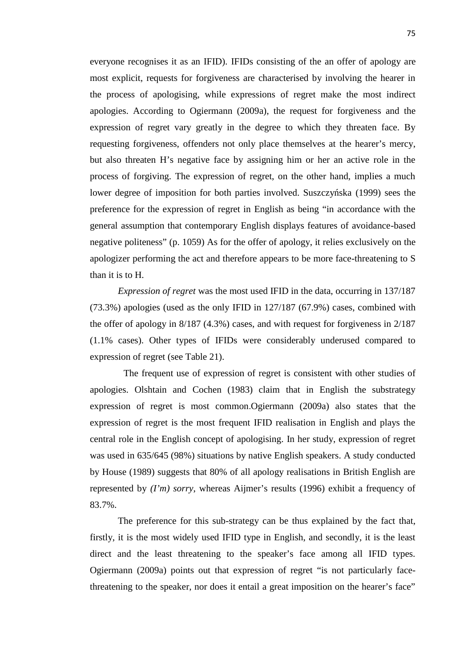everyone recognises it as an IFID). IFIDs consisting of the an offer of apology are most explicit, requests for forgiveness are characterised by involving the hearer in the process of apologising, while expressions of regret make the most indirect apologies. According to Ogiermann (2009a), the request for forgiveness and the expression of regret vary greatly in the degree to which they threaten face. By requesting forgiveness, offenders not only place themselves at the hearer's mercy, but also threaten H's negative face by assigning him or her an active role in the process of forgiving. The expression of regret, on the other hand, implies a much lower degree of imposition for both parties involved. Suszczy ska (1999) sees the preference for the expression of regret in English as being "in accordance with the general assumption that contemporary English displays features of avoidance-based negative politeness" (p. 1059) As for the offer of apology, it relies exclusively on the apologizer performing the act and therefore appears to be more face-threatening to S than it is to H.

*Expression of regret* was the most used IFID in the data, occurring in 137/187 (73.3%) apologies (used as the only IFID in 127/187 (67.9%) cases, combined with the offer of apology in 8/187 (4.3%) cases, and with request for forgiveness in 2/187 (1.1% cases). Other types of IFIDs were considerably underused compared to expression of regret (see Table 21).

The frequent use of expression of regret is consistent with other studies of apologies. Olshtain and Cochen (1983) claim that in English the substrategy expression of regret is most common.Ogiermann (2009a) also states that the expression of regret is the most frequent IFID realisation in English and plays the central role in the English concept of apologising. In her study, expression of regret was used in 635/645 (98%) situations by native English speakers. A study conducted by House (1989) suggests that 80% of all apology realisations in British English are represented by *(I'm) sorry*, whereas Aijmer's results (1996) exhibit a frequency of 83.7%.

The preference for this sub-strategy can be thus explained by the fact that, firstly, it is the most widely used IFID type in English, and secondly, it is the least direct and the least threatening to the speaker's face among all IFID types. Ogiermann (2009a) points out that expression of regret "is not particularly facethreatening to the speaker, nor does it entail a great imposition on the hearer's face"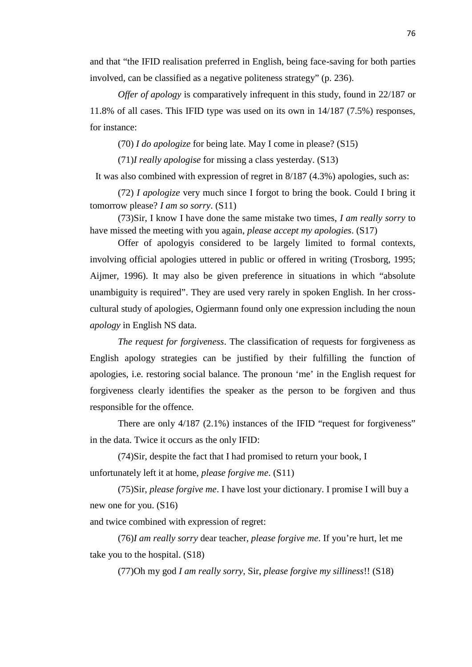and that "the IFID realisation preferred in English, being face-saving for both parties involved, can be classified as a negative politeness strategy" (p. 236).

*Offer of apology* is comparatively infrequent in this study, found in 22/187 or 11.8% of all cases. This IFID type was used on its own in 14/187 (7.5%) responses, for instance:

(70) *I do apologize* for being late. May I come in please? (S15)

(71)*I really apologise* for missing a class yesterday. (S13)

It was also combined with expression of regret in 8/187 (4.3%) apologies, such as:

(72) *I apologize* very much since I forgot to bring the book. Could I bring it tomorrow please? *I am so sorry*. (S11)

(73)Sir, I know I have done the same mistake two times, *I am really sorry* to have missed the meeting with you again, *please accept my apologies*. (S17)

Offer of apologyis considered to be largely limited to formal contexts, involving official apologies uttered in public or offered in writing (Trosborg, 1995; Aijmer, 1996). It may also be given preference in situations in which "absolute unambiguity is required". They are used very rarely in spoken English. In her cross cultural study of apologies, Ogiermann found only one expression including the noun *apology* in English NS data.

*The request for forgiveness*. The classification of requests for forgiveness as English apology strategies can be justified by their fulfilling the function of apologies, i.e. restoring social balance. The pronoun 'me' in the English request for forgiveness clearly identifies the speaker as the person to be forgiven and thus responsible for the offence.

There are only 4/187 (2.1%) instances of the IFID "request for forgiveness" in the data. Twice it occurs as the only IFID:

(74)Sir, despite the fact that I had promised to return your book, I unfortunately left it at home, *please forgive me*. (S11)

(75)Sir, *please forgive me*. I have lost your dictionary. I promise I will buy a new one for you. (S16)

and twice combined with expression of regret:

(76)*I am really sorry* dear teacher*, please forgive me*. If you're hurt, let me take you to the hospital. (S18)

(77)Oh my god *I am really sorry*, Sir, *please forgive my silliness*!! (S18)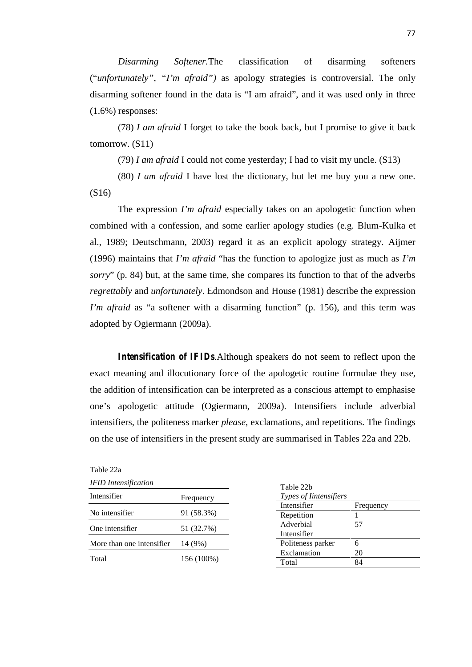*Disarming Softener.*The classification of disarming softeners ("*unfortunately", "I'm afraid")* as apology strategies is controversial. The only disarming softener found in the data is "I am afraid", and it was used only in three (1.6%) responses:

(78) *I am afraid* I forget to take the book back, but I promise to give it back tomorrow. (S11)

(79) *I am afraid* I could not come yesterday; I had to visit my uncle. (S13)

(80) *I am afraid* I have lost the dictionary, but let me buy you a new one. (S16)

The expression *I'm afraid* especially takes on an apologetic function when combined with a confession, and some earlier apology studies (e.g. Blum-Kulka et al., 1989; Deutschmann, 2003) regard it as an explicit apology strategy. Aijmer (1996) maintains that *I'm afraid* "has the function to apologize just as much as *I'm sorry*" (p. 84) but, at the same time, she compares its function to that of the adverbs *regrettably* and *unfortunately*. Edmondson and House (1981) describe the expression *I'm afraid* as "a softener with a disarming function" (p. 156), and this term was adopted by Ogiermann (2009a).

*Intensification of IFIDs.*Although speakers do not seem to reflect upon the exact meaning and illocutionary force of the apologetic routine formulae they use, the addition of intensification can be interpreted as a conscious attempt to emphasise one's apologetic attitude (Ogiermann, 2009a). Intensifiers include adverbial intensifiers, the politeness marker *please*, exclamations, and repetitions. The findings on the use of intensifiers in the present study are summarised in Tables 22a and 22b.

| Table 22a                   |            |                        |           |
|-----------------------------|------------|------------------------|-----------|
| <b>IFID</b> Intensification |            | Table 22b              |           |
| Intensifier                 | Frequency  | Types of Iintensifiers |           |
|                             |            | Intensifier            | Frequency |
| No intensifier              | 91 (58.3%) | Repetition             |           |
| One intensifier             | 51 (32.7%) | Adverbial              | 57        |
|                             |            | Intensifier            |           |
| More than one intensifier   | 14 (9%)    | Politeness parker      | 6         |
|                             |            | Exclamation            | 20        |
| Total                       | 156 (100%) | Total                  | 84        |
|                             |            |                        |           |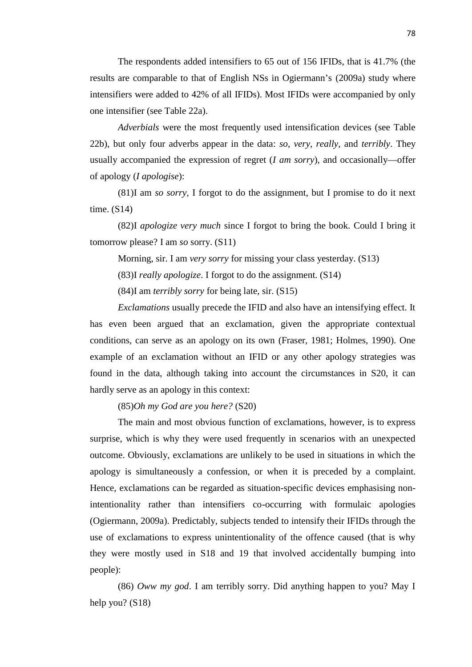The respondents added intensifiers to 65 out of 156 IFIDs, that is 41.7% (the results are comparable to that of English NSs in Ogiermann's (2009a) study where intensifiers were added to 42% of all IFIDs). Most IFIDs were accompanied by only one intensifier (see Table 22a).

*Adverbials* were the most frequently used intensification devices (see Table 22b), but only four adverbs appear in the data: *so*, *very, really*, and *terribly*. They usually accompanied the expression of regret (*I am sorry*), and occasionally—offer of apology (*I apologise*):

(81)I am *so sorry*, I forgot to do the assignment, but I promise to do it next time. (S14)

(82)I *apologize very much* since I forgot to bring the book. Could I bring it tomorrow please? I am *so* sorry. (S11)

Morning, sir. I am *very sorry* for missing your class yesterday. (S13)

(83)I *really apologize*. I forgot to do the assignment. (S14)

(84)I am *terribly sorry* for being late, sir. (S15)

*Exclamations* usually precede the IFID and also have an intensifying effect. It has even been argued that an exclamation, given the appropriate contextual conditions, can serve as an apology on its own (Fraser, 1981; Holmes, 1990). One example of an exclamation without an IFID or any other apology strategies was found in the data, although taking into account the circumstances in S20, it can hardly serve as an apology in this context:

(85)*Oh my God are you here?* (S20)

The main and most obvious function of exclamations, however, is to express surprise, which is why they were used frequently in scenarios with an unexpected outcome. Obviously, exclamations are unlikely to be used in situations in which the apology is simultaneously a confession, or when it is preceded by a complaint. Hence, exclamations can be regarded as situation-specific devices emphasising nonintentionality rather than intensifiers co-occurring with formulaic apologies (Ogiermann, 2009a). Predictably, subjects tended to intensify their IFIDs through the use of exclamations to express unintentionality of the offence caused (that is why they were mostly used in S18 and 19 that involved accidentally bumping into people):

(86) *Oww my god*. I am terribly sorry. Did anything happen to you? May I help you? (S18)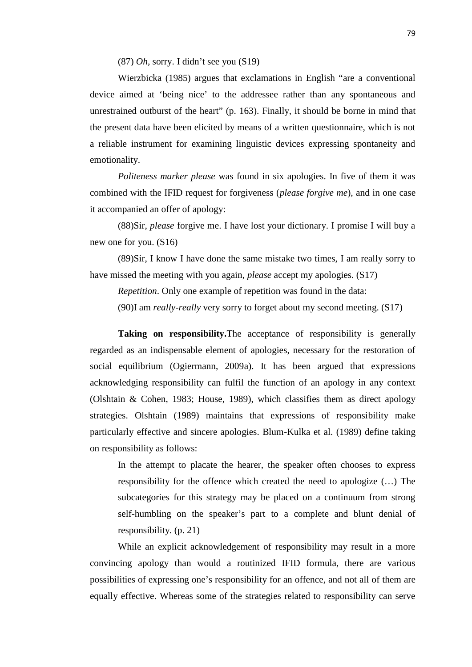(87) *Oh,* sorry. I didn't see you (S19)

Wierzbicka (1985) argues that exclamations in English "are a conventional device aimed at 'being nice' to the addressee rather than any spontaneous and unrestrained outburst of the heart" (p. 163). Finally, it should be borne in mind that the present data have been elicited by means of a written questionnaire, which is not a reliable instrument for examining linguistic devices expressing spontaneity and emotionality.

*Politeness marker please* was found in six apologies. In five of them it was combined with the IFID request for forgiveness (*please forgive me*), and in one case it accompanied an offer of apology:

(88)Sir, *please* forgive me. I have lost your dictionary. I promise I will buy a new one for you. (S16)

(89)Sir, I know I have done the same mistake two times, I am really sorry to have missed the meeting with you again, *please* accept my apologies. (S17)

*Repetition*. Only one example of repetition was found in the data:

(90)I am *really-really* very sorry to forget about my second meeting. (S17)

**Taking on responsibility.** The acceptance of responsibility is generally regarded as an indispensable element of apologies, necessary for the restoration of social equilibrium (Ogiermann, 2009a). It has been argued that expressions acknowledging responsibility can fulfil the function of an apology in any context (Olshtain & Cohen, 1983; House, 1989), which classifies them as direct apology strategies. Olshtain (1989) maintains that expressions of responsibility make particularly effective and sincere apologies. Blum-Kulka et al. (1989) define taking on responsibility as follows:

In the attempt to placate the hearer, the speaker often chooses to express responsibility for the offence which created the need to apologize (…) The subcategories for this strategy may be placed on a continuum from strong self-humbling on the speaker's part to a complete and blunt denial of responsibility. (p. 21)

While an explicit acknowledgement of responsibility may result in a more convincing apology than would a routinized IFID formula, there are various possibilities of expressing one's responsibility for an offence, and not all of them are equally effective. Whereas some of the strategies related to responsibility can serve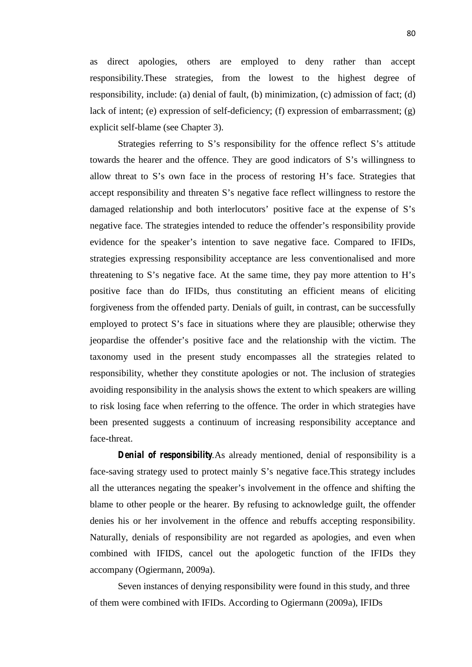as direct apologies, others are employed to deny rather than accept responsibility*.*These strategies, from the lowest to the highest degree of responsibility, include: (a) denial of fault, (b) minimization, (c) admission of fact; (d) lack of intent; (e) expression of self-deficiency; (f) expression of embarrassment; (g) explicit self-blame (see Chapter 3).

Strategies referring to S's responsibility for the offence reflect S's attitude towards the hearer and the offence. They are good indicators of S's willingness to allow threat to S's own face in the process of restoring H's face. Strategies that accept responsibility and threaten S's negative face reflect willingness to restore the damaged relationship and both interlocutors' positive face at the expense of S's negative face. The strategies intended to reduce the offender's responsibility provide evidence for the speaker's intention to save negative face. Compared to IFIDs, strategies expressing responsibility acceptance are less conventionalised and more threatening to S's negative face. At the same time, they pay more attention to H's positive face than do IFIDs, thus constituting an efficient means of eliciting forgiveness from the offended party. Denials of guilt, in contrast, can be successfully employed to protect S's face in situations where they are plausible; otherwise they jeopardise the offender's positive face and the relationship with the victim. The taxonomy used in the present study encompasses all the strategies related to responsibility, whether they constitute apologies or not. The inclusion of strategies avoiding responsibility in the analysis shows the extent to which speakers are willing to risk losing face when referring to the offence. The order in which strategies have been presented suggests a continuum of increasing responsibility acceptance and face-threat.

*Denial of responsibility.*As already mentioned, denial of responsibility is a face-saving strategy used to protect mainly S's negative face.This strategy includes all the utterances negating the speaker's involvement in the offence and shifting the blame to other people or the hearer. By refusing to acknowledge guilt, the offender denies his or her involvement in the offence and rebuffs accepting responsibility. Naturally, denials of responsibility are not regarded as apologies, and even when combined with IFIDS, cancel out the apologetic function of the IFIDs they accompany (Ogiermann, 2009a).

Seven instances of denying responsibility were found in this study, and three of them were combined with IFIDs. According to Ogiermann (2009a), IFIDs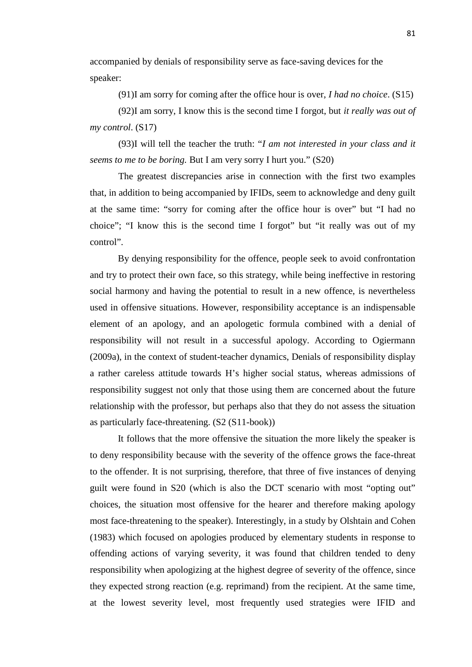accompanied by denials of responsibility serve as face-saving devices for the speaker:

(91)I am sorry for coming after the office hour is over, *I had no choice*. (S15)

(92)I am sorry, I know this is the second time I forgot, but *it really was out of my control*. (S17)

(93)I will tell the teacher the truth: "*I am not interested in your class and it seems to me to be boring.* But I am very sorry I hurt you." (S20)

The greatest discrepancies arise in connection with the first two examples that, in addition to being accompanied by IFIDs, seem to acknowledge and deny guilt at the same time: "sorry for coming after the office hour is over" but "I had no choice"; "I know this is the second time I forgot" but "it really was out of my control".

By denying responsibility for the offence, people seek to avoid confrontation and try to protect their own face, so this strategy, while being ineffective in restoring social harmony and having the potential to result in a new offence, is nevertheless used in offensive situations. However, responsibility acceptance is an indispensable element of an apology, and an apologetic formula combined with a denial of responsibility will not result in a successful apology. According to Ogiermann (2009a), in the context of student-teacher dynamics, Denials of responsibility display a rather careless attitude towards H's higher social status, whereas admissions of responsibility suggest not only that those using them are concerned about the future relationship with the professor, but perhaps also that they do not assess the situation as particularly face-threatening. (S2 (S11-book))

It follows that the more offensive the situation the more likely the speaker is to deny responsibility because with the severity of the offence grows the face-threat to the offender. It is not surprising, therefore, that three of five instances of denying guilt were found in S20 (which is also the DCT scenario with most "opting out" choices, the situation most offensive for the hearer and therefore making apology most face-threatening to the speaker). Interestingly, in a study by Olshtain and Cohen (1983) which focused on apologies produced by elementary students in response to offending actions of varying severity, it was found that children tended to deny responsibility when apologizing at the highest degree of severity of the offence, since they expected strong reaction (e.g. reprimand) from the recipient. At the same time, at the lowest severity level, most frequently used strategies were IFID and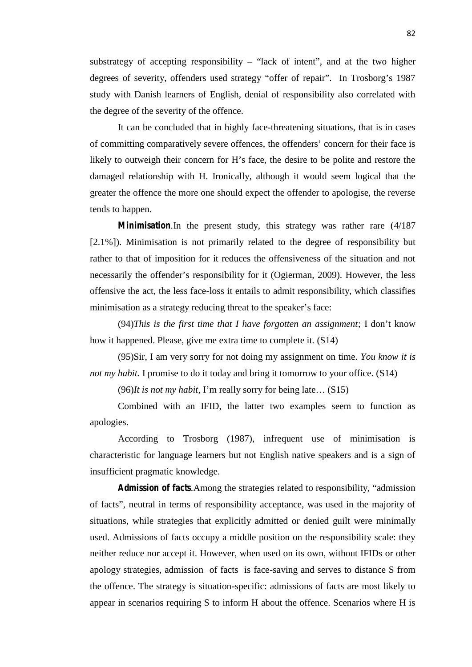substrategy of accepting responsibility – "lack of intent", and at the two higher degrees of severity, offenders used strategy "offer of repair". In Trosborg's 1987 study with Danish learners of English, denial of responsibility also correlated with the degree of the severity of the offence.

It can be concluded that in highly face-threatening situations, that is in cases of committing comparatively severe offences, the offenders' concern for their face is likely to outweigh their concern for H's face, the desire to be polite and restore the damaged relationship with H. Ironically, although it would seem logical that the greater the offence the more one should expect the offender to apologise, the reverse tends to happen.

*Minimisation.*In the present study, this strategy was rather rare (4/187 [2.1%]). Minimisation is not primarily related to the degree of responsibility but rather to that of imposition for it reduces the offensiveness of the situation and not necessarily the offender's responsibility for it (Ogierman, 2009). However, the less offensive the act, the less face-loss it entails to admit responsibility, which classifies minimisation as a strategy reducing threat to the speaker's face:

(94)*This is the first time that I have forgotten an assignment*; I don't know how it happened. Please, give me extra time to complete it. (S14)

(95)Sir, I am very sorry for not doing my assignment on time. *You know it is not my habit.* I promise to do it today and bring it tomorrow to your office. (S14)

(96)*It is not my habit*, I'm really sorry for being late… (S15)

Combined with an IFID, the latter two examples seem to function as apologies.

According to Trosborg (1987), infrequent use of minimisation is characteristic for language learners but not English native speakers and is a sign of insufficient pragmatic knowledge.

*Admission of facts.*Among the strategies related to responsibility, "admission of facts", neutral in terms of responsibility acceptance, was used in the majority of situations, while strategies that explicitly admitted or denied guilt were minimally used. Admissions of facts occupy a middle position on the responsibility scale: they neither reduce nor accept it. However, when used on its own, without IFIDs or other apology strategies, admission of facts is face-saving and serves to distance S from the offence. The strategy is situation-specific: admissions of facts are most likely to appear in scenarios requiring S to inform H about the offence. Scenarios where H is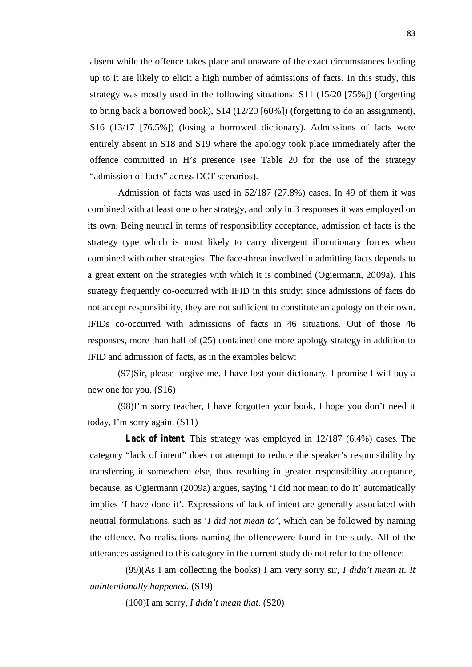absent while the offence takes place and unaware of the exact circumstances leading up to it are likely to elicit a high number of admissions of facts. In this study, this strategy was mostly used in the following situations: S11 (15/20 [75%]) (forgetting to bring back a borrowed book), S14 (12/20 [60%]) (forgetting to do an assignment), S16 (13/17 [76.5%]) (losing a borrowed dictionary). Admissions of facts were entirely absent in S18 and S19 where the apology took place immediately after the offence committed in H's presence (see Table 20 for the use of the strategy "admission of facts" across DCT scenarios).

Admission of facts was used in 52/187 (27.8%) cases. In 49 of them it was combined with at least one other strategy, and only in 3 responses it was employed on its own. Being neutral in terms of responsibility acceptance, admission of facts is the strategy type which is most likely to carry divergent illocutionary forces when combined with other strategies. The face-threat involved in admitting facts depends to a great extent on the strategies with which it is combined (Ogiermann, 2009a). This strategy frequently co-occurred with IFID in this study: since admissions of facts do not accept responsibility, they are not sufficient to constitute an apology on their own. IFIDs co-occurred with admissions of facts in 46 situations. Out of those 46 responses, more than half of (25) contained one more apology strategy in addition to IFID and admission of facts, as in the examples below:

(97)Sir, please forgive me. I have lost your dictionary. I promise I will buy a new one for you. (S16)

(98)I'm sorry teacher, I have forgotten your book, I hope you don't need it today, I'm sorry again. (S11)

*Lack of intent.* This strategy was employed in 12/187 (6.4%) cases. The category "lack of intent" does not attempt to reduce the speaker's responsibility by transferring it somewhere else, thus resulting in greater responsibility acceptance, because, as Ogiermann (2009a) argues, saying 'I did not mean to do it' automatically implies 'I have done it'. Expressions of lack of intent are generally associated with neutral formulations, such as '*I did not mean to'*, which can be followed by naming the offence. No realisations naming the offencewere found in the study. All of the utterances assigned to this category in the current study do not refer to the offence:

(99)(As I am collecting the books) I am very sorry sir, *I didn't mean it. It unintentionally happened.* (S19)

(100)I am sorry, *I didn't mean that*. (S20)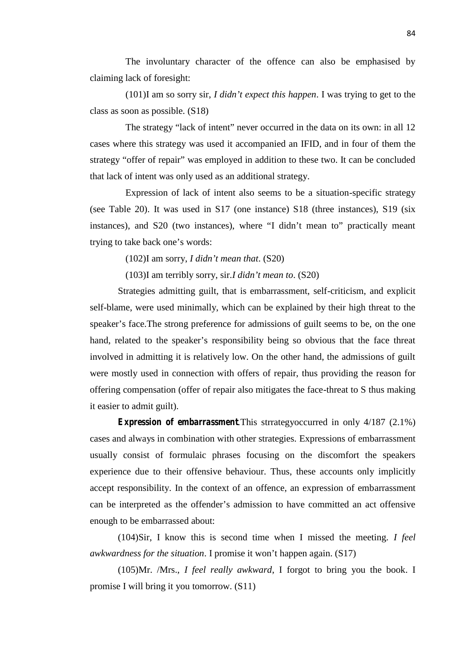The involuntary character of the offence can also be emphasised by claiming lack of foresight:

(101)I am so sorry sir, *I didn't expect this happen*. I was trying to get to the class as soon as possible. (S18)

The strategy "lack of intent" never occurred in the data on its own: in all 12 cases where this strategy was used it accompanied an IFID, and in four of them the strategy "offer of repair" was employed in addition to these two. It can be concluded that lack of intent was only used as an additional strategy.

Expression of lack of intent also seems to be a situation-specific strategy (see Table 20). It was used in S17 (one instance) S18 (three instances), S19 (six instances), and S20 (two instances), where "I didn't mean to" practically meant trying to take back one's words:

(102)I am sorry, *I didn't mean that*. (S20)

(103)I am terribly sorry, sir.*I didn't mean to*. (S20)

Strategies admitting guilt, that is embarrassment, self-criticism, and explicit self-blame, were used minimally, which can be explained by their high threat to the speaker's face.The strong preference for admissions of guilt seems to be, on the one hand, related to the speaker's responsibility being so obvious that the face threat involved in admitting it is relatively low. On the other hand, the admissions of guilt were mostly used in connection with offers of repair, thus providing the reason for offering compensation (offer of repair also mitigates the face-threat to S thus making it easier to admit guilt).

*Expression of embarrassment.*This strrategyoccurred in only 4/187 (2.1%) cases and always in combination with other strategies. Expressions of embarrassment usually consist of formulaic phrases focusing on the discomfort the speakers experience due to their offensive behaviour. Thus, these accounts only implicitly accept responsibility. In the context of an offence, an expression of embarrassment can be interpreted as the offender's admission to have committed an act offensive enough to be embarrassed about:

(104)Sir, I know this is second time when I missed the meeting. *I feel awkwardness for the situation*. I promise it won't happen again. (S17)

(105)Mr. /Mrs., *I feel really awkward*, I forgot to bring you the book. I promise I will bring it you tomorrow. (S11)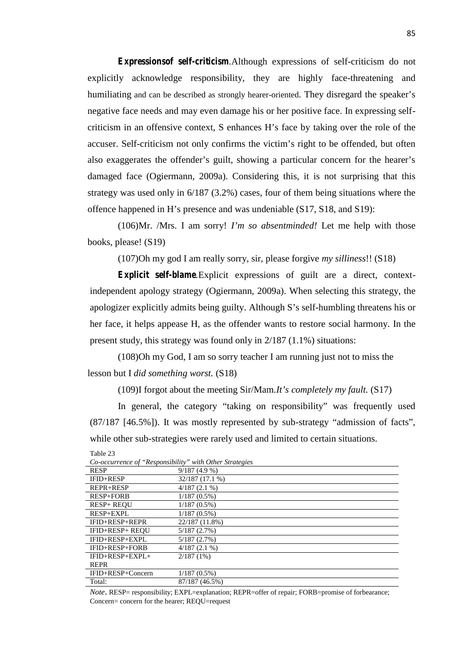*Expressionsof self-criticism.*Although expressions of self-criticism do not explicitly acknowledge responsibility, they are highly face-threatening and humiliating and can be described as strongly hearer-oriented. They disregard the speaker's negative face needs and may even damage his or her positive face. In expressing self criticism in an offensive context, S enhances H's face by taking over the role of the accuser. Self-criticism not only confirms the victim's right to be offended, but often also exaggerates the offender's guilt, showing a particular concern for the hearer's damaged face (Ogiermann, 2009a). Considering this, it is not surprising that this strategy was used only in 6/187 (3.2%) cases, four of them being situations where the offence happened in H's presence and was undeniable (S17, S18, and S19):

(106)Mr. /Mrs. I am sorry! *I'm so absentminded!* Let me help with those books, please! (S19)

(107)Oh my god I am really sorry, sir, please forgive *my silliness*!! (S18)

*Explicit self-blame.*Explicit expressions of guilt are a direct, contextindependent apology strategy (Ogiermann, 2009a). When selecting this strategy, the apologizer explicitly admits being guilty. Although S's self-humbling threatens his or her face, it helps appease H, as the offender wants to restore social harmony. In the present study, this strategy was found only in 2/187 (1.1%) situations:

(108)Oh my God, I am so sorry teacher I am running just not to miss the lesson but I *did something worst.* (S18)

(109)I forgot about the meeting Sir/Mam.*It's completely my fault.* (S17)

In general, the category "taking on responsibility" was frequently used (87/187 [46.5%]). It was mostly represented by sub-strategy "admission of facts", while other sub-strategies were rarely used and limited to certain situations.

| Co-occurrence of "Responsibility" with Other Strategies |                 |
|---------------------------------------------------------|-----------------|
| <b>RESP</b>                                             | 9/187(4.9%)     |
| IFID+RESP                                               | 32/187 (17.1 %) |
| <b>REPR+RESP</b>                                        | $4/187(2.1\%)$  |
| RESP+FORB                                               | $1/187(0.5\%)$  |
| <b>RESP+ REOU</b>                                       | $1/187(0.5\%)$  |
| RESP+EXPL                                               | $1/187(0.5\%)$  |
| IFID+RESP+REPR                                          | 22/187 (11.8%)  |
| IFID+RESP+ REOU                                         | 5/187(2.7%)     |
| IFID+RESP+EXPL                                          | 5/187(2.7%)     |
| IFID+RESP+FORB                                          | $4/187(2.1\%)$  |
| $IFID+RESP+EXPI+$                                       | $2/187(1\%)$    |
| <b>REPR</b>                                             |                 |
| IFID+RESP+Concern                                       | $1/187(0.5\%)$  |
| Total:                                                  | 87/187 (46.5%)  |

*Co-occurrence of "Responsibility" with Other Strategies*

Table 23

*Note*. RESP= responsibility; EXPL=explanation; REPR=offer of repair; FORB=promise of forbearance; Concern= concern for the hearer; REQU=request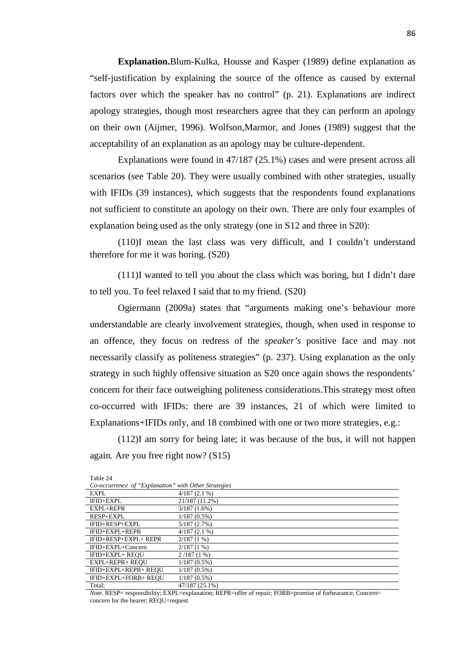**Explanation.**Blum-Kulka, Housse and Kasper (1989) define explanation as "self-justification by explaining the source of the offence as caused by external factors over which the speaker has no control" (p. 21). Explanations are indirect apology strategies, though most researchers agree that they can perform an apology on their own (Aijmer, 1996). Wolfson,Marmor, and Jones (1989) suggest that the acceptability of an explanation as an apology may be culture-dependent.

Explanations were found in 47/187 (25.1%) cases and were present across all scenarios (see Table 20). They were usually combined with other strategies, usually with IFIDs (39 instances), which suggests that the respondents found explanations not sufficient to constitute an apology on their own. There are only four examples of explanation being used as the only strategy (one in S12 and three in S20):

(110)I mean the last class was very difficult, and I couldn't understand therefore for me it was boring. (S20)

(111)I wanted to tell you about the class which was boring, but I didn't dare to tell you. To feel relaxed I said that to my friend. (S20)

Ogiermann (2009a) states that "arguments making one's behaviour more understandable are clearly involvement strategies, though, when used in response to an offence, they focus on redress of the *speaker's* positive face and may not necessarily classify as politeness strategies" (p. 237). Using explanation as the only strategy in such highly offensive situation as S20 once again shows the respondents' concern for their face outweighing politeness considerations.This strategy most often co-occurred with IFIDs: there are 39 instances, 21 of which were limited to Explanations+IFIDs only, and 18 combined with one or two more strategies, e.g.:

(112)I am sorry for being late; it was because of the bus, it will not happen again. Are you free right now? (S15)

| 140E <sub>24</sub>                                   |                |
|------------------------------------------------------|----------------|
| Co-occurrence of "Explanation" with Other Strategies |                |
| EXPL                                                 | $4/187(2.1\%)$ |
| IFID+EXPL                                            | 21/187 (11.2%) |
| EXPL+REPR                                            | 3/187(1.6%)    |
| RESP+EXPL                                            | $1/187(0.5\%)$ |
| IFID+RESP+EXPL                                       | 5/187(2.7%)    |
| $IFID+EXPI+REPR$                                     | $4/187(2.1\%)$ |
| IFID+RESP+EXPL+ REPR                                 | $2/187(1\%)$   |
| IFID+EXPL+Concern                                    | $2/187(1\%)$   |
| IFID+EXPL+ REOU                                      | 2/187(1%)      |
| EXPL+REPR+ REOU                                      | $1/187(0.5\%)$ |
| IFID+EXPL+REPR+ REOU                                 | $1/187(0.5\%)$ |
| IFID+EXPL+FORB+ REOU                                 | $1/187(0.5\%)$ |
| Total:                                               | 47/187 (25.1%) |

 $T_{\rm T}$   $T_{\rm A}$ 

*Note*. RESP= responsibility; EXPL=explanation; REPR=offer of repair; FORB=promise of forbearance; Concern= concern for the hearer; REOU=request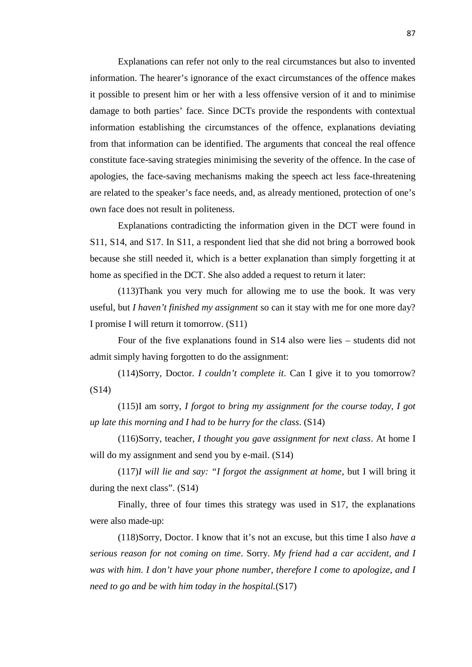Explanations can refer not only to the real circumstances but also to invented information. The hearer's ignorance of the exact circumstances of the offence makes it possible to present him or her with a less offensive version of it and to minimise damage to both parties' face. Since DCTs provide the respondents with contextual information establishing the circumstances of the offence, explanations deviating from that information can be identified. The arguments that conceal the real offence constitute face-saving strategies minimising the severity of the offence. In the case of apologies, the face-saving mechanisms making the speech act less face-threatening are related to the speaker's face needs, and, as already mentioned, protection of one's own face does not result in politeness.

Explanations contradicting the information given in the DCT were found in S11, S14, and S17. In S11, a respondent lied that she did not bring a borrowed book because she still needed it, which is a better explanation than simply forgetting it at home as specified in the DCT. She also added a request to return it later:

(113)Thank you very much for allowing me to use the book. It was very useful, but *I haven't finished my assignment* so can it stay with me for one more day? I promise I will return it tomorrow. (S11)

Four of the five explanations found in S14 also were lies – students did not admit simply having forgotten to do the assignment:

(114)Sorry, Doctor. *I couldn't complete it*. Can I give it to you tomorrow? (S14)

(115)I am sorry, *I forgot to bring my assignment for the course today, I got up late this morning and I had to be hurry for the class*. (S14)

(116)Sorry, teacher*, I thought you gave assignment for next class*. At home I will do my assignment and send you by e-mail.  $(S14)$ 

(117)*I will lie and say: "I forgot the assignment at home*, but I will bring it during the next class". (S14)

Finally, three of four times this strategy was used in S17, the explanations were also made-up:

(118)Sorry, Doctor. I know that it's not an excuse, but this time I also *have a serious reason for not coming on time*. Sorry. *My friend had a car accident, and I was with him. I don't have your phone number, therefore I come to apologize, and I need to go and be with him today in the hospital.*(S17)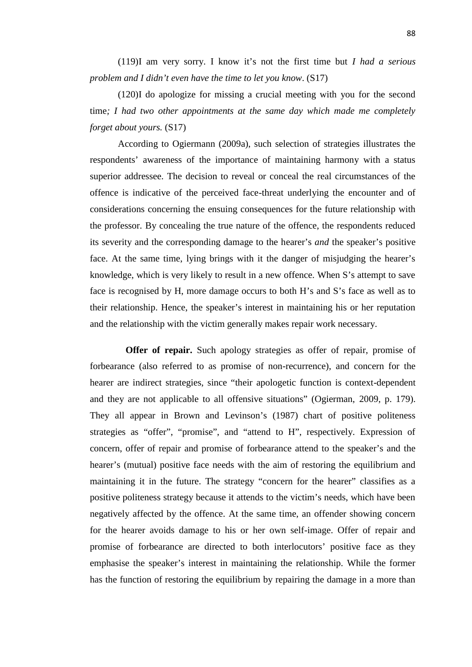(119)I am very sorry. I know it's not the first time but *I had a serious problem and I didn't even have the time to let you know*. (S17)

(120)I do apologize for missing a crucial meeting with you for the second time*; I had two other appointments at the same day which made me completely forget about yours.* (S17)

According to Ogiermann (2009a), such selection of strategies illustrates the respondents' awareness of the importance of maintaining harmony with a status superior addressee. The decision to reveal or conceal the real circumstances of the offence is indicative of the perceived face-threat underlying the encounter and of considerations concerning the ensuing consequences for the future relationship with the professor. By concealing the true nature of the offence, the respondents reduced its severity and the corresponding damage to the hearer's *and* the speaker's positive face. At the same time, lying brings with it the danger of misjudging the hearer's knowledge, which is very likely to result in a new offence. When S's attempt to save face is recognised by H, more damage occurs to both H's and S's face as well as to their relationship. Hence, the speaker's interest in maintaining his or her reputation and the relationship with the victim generally makes repair work necessary.

**Offer of repair.** Such apology strategies as offer of repair, promise of forbearance (also referred to as promise of non-recurrence), and concern for the hearer are indirect strategies, since "their apologetic function is context-dependent and they are not applicable to all offensive situations" (Ogierman, 2009, p. 179). They all appear in Brown and Levinson's (1987) chart of positive politeness strategies as "offer", "promise", and "attend to H", respectively. Expression of concern, offer of repair and promise of forbearance attend to the speaker's and the hearer's (mutual) positive face needs with the aim of restoring the equilibrium and maintaining it in the future. The strategy "concern for the hearer" classifies as a positive politeness strategy because it attends to the victim's needs, which have been negatively affected by the offence. At the same time, an offender showing concern for the hearer avoids damage to his or her own self-image. Offer of repair and promise of forbearance are directed to both interlocutors' positive face as they emphasise the speaker's interest in maintaining the relationship. While the former has the function of restoring the equilibrium by repairing the damage in a more than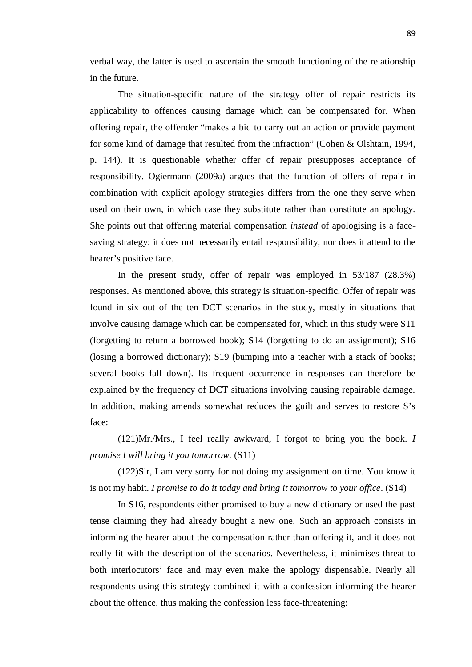verbal way, the latter is used to ascertain the smooth functioning of the relationship in the future.

The situation-specific nature of the strategy offer of repair restricts its applicability to offences causing damage which can be compensated for. When offering repair, the offender "makes a bid to carry out an action or provide payment for some kind of damage that resulted from the infraction" (Cohen & Olshtain, 1994, p. 144). It is questionable whether offer of repair presupposes acceptance of responsibility. Ogiermann (2009a) argues that the function of offers of repair in combination with explicit apology strategies differs from the one they serve when used on their own, in which case they substitute rather than constitute an apology. She points out that offering material compensation *instead* of apologising is a face saving strategy: it does not necessarily entail responsibility, nor does it attend to the hearer's positive face.

In the present study, offer of repair was employed in 53/187 (28.3%) responses. As mentioned above, this strategy is situation-specific. Offer of repair was found in six out of the ten DCT scenarios in the study, mostly in situations that involve causing damage which can be compensated for, which in this study were S11 (forgetting to return a borrowed book); S14 (forgetting to do an assignment); S16 (losing a borrowed dictionary); S19 (bumping into a teacher with a stack of books; several books fall down). Its frequent occurrence in responses can therefore be explained by the frequency of DCT situations involving causing repairable damage. In addition, making amends somewhat reduces the guilt and serves to restore S's face:

(121)Mr./Mrs., I feel really awkward, I forgot to bring you the book. *I promise I will bring it you tomorrow.* (S11)

(122)Sir, I am very sorry for not doing my assignment on time. You know it is not my habit. *I promise to do it today and bring it tomorrow to your office*. (S14)

In S16, respondents either promised to buy a new dictionary or used the past tense claiming they had already bought a new one. Such an approach consists in informing the hearer about the compensation rather than offering it, and it does not really fit with the description of the scenarios. Nevertheless, it minimises threat to both interlocutors' face and may even make the apology dispensable. Nearly all respondents using this strategy combined it with a confession informing the hearer about the offence, thus making the confession less face-threatening: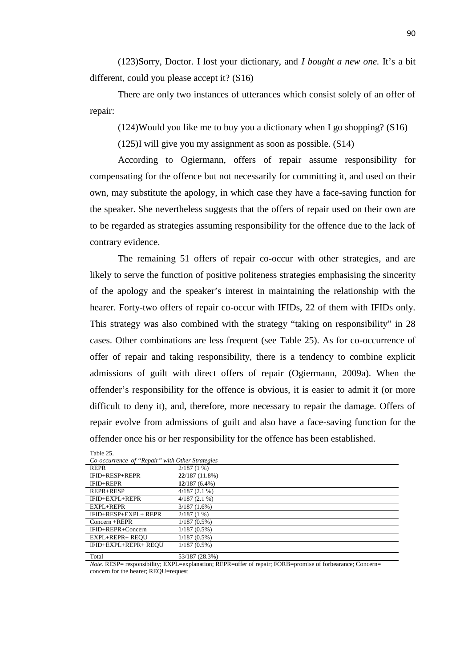(123)Sorry, Doctor. I lost your dictionary, and *I bought a new one.* It's a bit different, could you please accept it? (S16)

There are only two instances of utterances which consist solely of an offer of repair:

(124)Would you like me to buy you a dictionary when I go shopping? (S16)

(125)I will give you my assignment as soon as possible. (S14)

According to Ogiermann, offers of repair assume responsibility for compensating for the offence but not necessarily for committing it, and used on their own, may substitute the apology, in which case they have a face-saving function for the speaker. She nevertheless suggests that the offers of repair used on their own are to be regarded as strategies assuming responsibility for the offence due to the lack of contrary evidence.

The remaining 51 offers of repair co-occur with other strategies, and are likely to serve the function of positive politeness strategies emphasising the sincerity of the apology and the speaker's interest in maintaining the relationship with the hearer. Forty-two offers of repair co-occur with IFIDs, 22 of them with IFIDs only. This strategy was also combined with the strategy "taking on responsibility" in 28 cases. Other combinations are less frequent (see Table 25). As for co-occurrence of offer of repair and taking responsibility, there is a tendency to combine explicit admissions of guilt with direct offers of repair (Ogiermann, 2009a). When the offender's responsibility for the offence is obvious, it is easier to admit it (or more difficult to deny it), and, therefore, more necessary to repair the damage. Offers of repair evolve from admissions of guilt and also have a face-saving function for the offender once his or her responsibility for the offence has been established.

| Co-occurrence of "Repair" with Other Strategies |                 |
|-------------------------------------------------|-----------------|
| <b>REPR</b>                                     | $2/187(1\%)$    |
| IFID+RESP+REPR                                  | 22/187(11.8%)   |
| <b>IFID+REPR</b>                                | $12/187(6.4\%)$ |
| REPR+RESP                                       | $4/187(2.1\%)$  |
| IFID+EXPL+REPR                                  | $4/187(2.1\%)$  |
| $EXPI + REPR$                                   | $3/187(1.6\%)$  |
| IFID+RESP+EXPL+ REPR                            | $2/187(1\%)$    |
| $Concern + REPR$                                | $1/187(0.5\%)$  |
| IFID+REPR+Concern                               | $1/187(0.5\%)$  |
| EXPL+REPR+ REOU                                 | $1/187(0.5\%)$  |
| IFID+EXPL+REPR+ REOU                            | $1/187(0.5\%)$  |
| Total                                           | 53/187 (28.3%)  |

| Table 25.   |                                                |                     |
|-------------|------------------------------------------------|---------------------|
|             | Co-occurrence of "Repair" with Other Strategie |                     |
| <u>nonn</u> |                                                | $0.1107 \times 100$ |

*Note*. RESP= responsibility; EXPL=explanation; REPR=offer of repair; FORB=promise of forbearance; Concern= concern for the hearer; REOU=request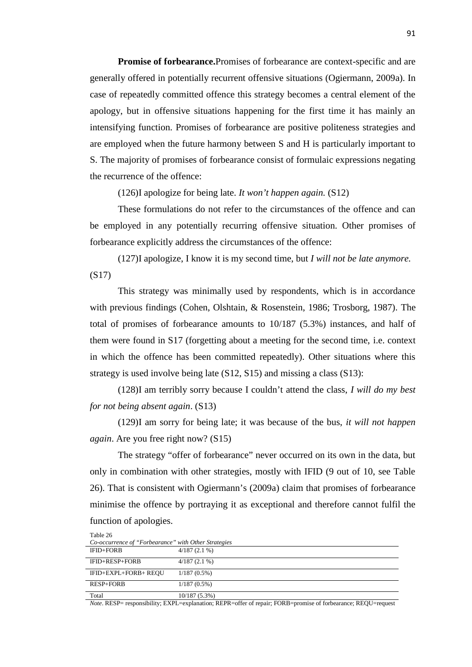**Promise of forbearance.**Promises of forbearance are context-specific and are generally offered in potentially recurrent offensive situations (Ogiermann, 2009a). In case of repeatedly committed offence this strategy becomes a central element of the apology, but in offensive situations happening for the first time it has mainly an intensifying function. Promises of forbearance are positive politeness strategies and are employed when the future harmony between S and H is particularly important to S. The majority of promises of forbearance consist of formulaic expressions negating the recurrence of the offence:

(126)I apologize for being late. *It won't happen again.* (S12)

These formulations do not refer to the circumstances of the offence and can be employed in any potentially recurring offensive situation. Other promises of forbearance explicitly address the circumstances of the offence:

(127)I apologize, I know it is my second time, but *I will not be late anymore.* (S17)

This strategy was minimally used by respondents, which is in accordance with previous findings (Cohen, Olshtain, & Rosenstein, 1986; Trosborg, 1987). The total of promises of forbearance amounts to 10/187 (5.3%) instances, and half of them were found in S17 (forgetting about a meeting for the second time, i.e. context in which the offence has been committed repeatedly). Other situations where this strategy is used involve being late (S12, S15) and missing a class (S13):

(128)I am terribly sorry because I couldn't attend the class, *I will do my best for not being absent again*. (S13)

(129)I am sorry for being late; it was because of the bus, *it will not happen again*. Are you free right now? (S15)

The strategy "offer of forbearance" never occurred on its own in the data, but only in combination with other strategies, mostly with IFID (9 out of 10, see Table 26). That is consistent with Ogiermann's (2009a) claim that promises of forbearance minimise the offence by portraying it as exceptional and therefore cannot fulfil the function of apologies.

| Table 26             |                                                      |  |  |  |  |
|----------------------|------------------------------------------------------|--|--|--|--|
|                      | Co-occurrence of "Forbearance" with Other Strategies |  |  |  |  |
| IFID+FORB            | $4/187(2.1\%)$                                       |  |  |  |  |
| IFID+RESP+FORB       | $4/187(2.1\%)$                                       |  |  |  |  |
| IFID+EXPL+FORB+ REOU | $1/187(0.5\%)$                                       |  |  |  |  |
| <b>RESP+FORB</b>     | $1/187(0.5\%)$                                       |  |  |  |  |
| Total                | $10/187(5.3\%)$                                      |  |  |  |  |

*Note*. RESP= responsibility; EXPL=explanation; REPR=offer of repair; FORB=promise of forbearance; REQU=request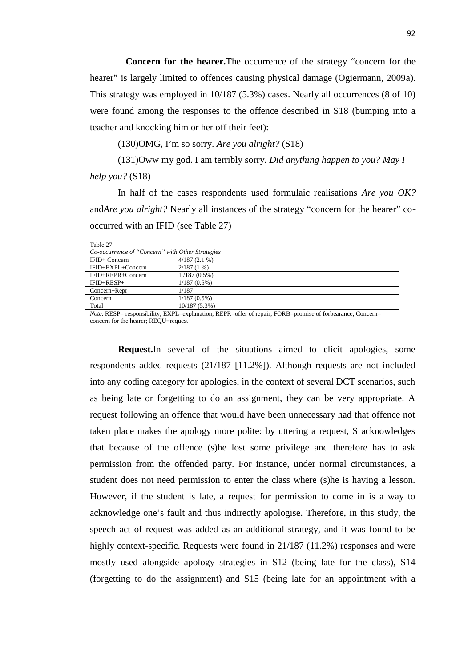**Concern for the hearer.**The occurrence of the strategy "concern for the hearer" is largely limited to offences causing physical damage (Ogiermann, 2009a). This strategy was employed in 10/187 (5.3%) cases. Nearly all occurrences (8 of 10) were found among the responses to the offence described in S18 (bumping into a teacher and knocking him or her off their feet):

(130)OMG, I'm so sorry. *Are you alright?* (S18)

(131)Oww my god. I am terribly sorry. *Did anything happen to you? May I help you?* (S18)

In half of the cases respondents used formulaic realisations *Are you OK?* and*Are you alright?* Nearly all instances of the strategy "concern for the hearer" co occurred with an IFID (see Table 27)

| Table 27                                                                               |                                                                                                                                                 |  |
|----------------------------------------------------------------------------------------|-------------------------------------------------------------------------------------------------------------------------------------------------|--|
| Co-occurrence of "Concern" with Other Strategies                                       |                                                                                                                                                 |  |
| IFID+ Concern                                                                          | $4/187(2.1\%)$                                                                                                                                  |  |
| IFID+EXPL+Concern                                                                      | $2/187(1\%)$                                                                                                                                    |  |
| IFID+REPR+Concern                                                                      | $1/187(0.5\%)$                                                                                                                                  |  |
| $IFID+RESP+$                                                                           | $1/187(0.5\%)$                                                                                                                                  |  |
| $Concern+Repr$                                                                         | 1/187                                                                                                                                           |  |
| Concern                                                                                | $1/187(0.5\%)$                                                                                                                                  |  |
| Total                                                                                  | $10/187(5.3\%)$                                                                                                                                 |  |
| $\mathbf{F}$ $\mathbf{F}$<br>$\mathbf{r}$ , $\mathbf{r}$ , $\mathbf{r}$ , $\mathbf{r}$ | ٠<br>$^{cc}$<br>$\overline{c}$ $\overline{c}$ $\overline{1}$<br><b>DEDD</b><br>$\mathcal{C}$<br>$F \cap F$<br>$\sim$<br>EXTER<br>$\blacksquare$ |  |

*Note*. RESP= responsibility; EXPL=explanation; REPR=offer of repair; FORB=promise of forbearance; Concern= concern for the hearer; REQU=request

**Request.**In several of the situations aimed to elicit apologies, some respondents added requests (21/187 [11.2%]). Although requests are not included into any coding category for apologies, in the context of several DCT scenarios, such as being late or forgetting to do an assignment, they can be very appropriate. A request following an offence that would have been unnecessary had that offence not taken place makes the apology more polite: by uttering a request, S acknowledges that because of the offence (s)he lost some privilege and therefore has to ask permission from the offended party. For instance, under normal circumstances, a student does not need permission to enter the class where (s)he is having a lesson. However, if the student is late, a request for permission to come in is a way to acknowledge one's fault and thus indirectly apologise. Therefore, in this study, the speech act of request was added as an additional strategy, and it was found to be highly context-specific. Requests were found in 21/187 (11.2%) responses and were mostly used alongside apology strategies in S12 (being late for the class), S14 (forgetting to do the assignment) and S15 (being late for an appointment with a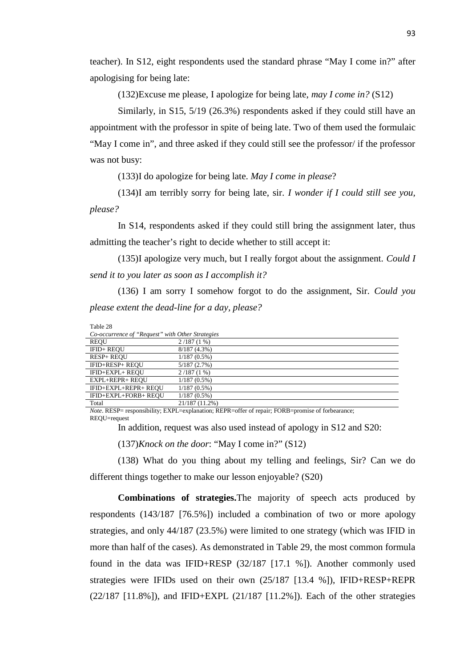teacher). In S12, eight respondents used the standard phrase "May I come in?" after apologising for being late:

(132)Excuse me please, I apologize for being late, *may I come in?* (S12)

Similarly*,* in S15, 5/19 (26.3%) respondents asked if they could still have an appointment with the professor in spite of being late. Two of them used the formulaic "May I come in", and three asked if they could still see the professor/ if the professor was not busy:

(133)I do apologize for being late. *May I come in please*?

(134)I am terribly sorry for being late, sir. *I wonder if I could still see you, please?*

In S14, respondents asked if they could still bring the assignment later, thus admitting the teacher's right to decide whether to still accept it:

(135)I apologize very much, but I really forgot about the assignment. *Could I send it to you later as soon as I accomplish it?*

(136) I am sorry I somehow forgot to do the assignment, Sir. *Could you please extent the dead-line for a day, please?*

| Table 28                                         |                |
|--------------------------------------------------|----------------|
| Co-occurrence of "Request" with Other Strategies |                |
| <b>REOU</b>                                      | $2/187(1\%)$   |
| IFID+ REOU                                       | $8/187(4.3\%)$ |
| <b>RESP+ REOU</b>                                | $1/187(0.5\%)$ |
| IFID+RESP+ REOU                                  | 5/187(2.7%)    |
| IFID+EXPL+ REOU                                  | $2/187(1\%)$   |
| <b>EXPL+REPR+ REOU</b>                           | $1/187(0.5\%)$ |
| IFID+EXPL+REPR+ REOU                             | $1/187(0.5\%)$ |
| IFID+EXPL+FORB+ REOU                             | $1/187(0.5\%)$ |
| Total                                            | 21/187 (11.2%) |

*Note*. RESP= responsibility; EXPL=explanation; REPR=offer of repair; FORB=promise of forbearance; REQU=request

In addition, request was also used instead of apology in S12 and S20:

(137)*Knock on the door*: "May I come in?" (S12)

(138) What do you thing about my telling and feelings, Sir? Can we do different things together to make our lesson enjoyable? (S20)

**Combinations of strategies.**The majority of speech acts produced by respondents (143/187 [76.5%]) included a combination of two or more apology strategies, and only 44/187 (23.5%) were limited to one strategy (which was IFID in more than half of the cases). As demonstrated in Table 29, the most common formula found in the data was IFID+RESP (32/187 [17.1 %]). Another commonly used strategies were IFIDs used on their own (25/187 [13.4 %]), IFID+RESP+REPR (22/187 [11.8%]), and IFID+EXPL (21/187 [11.2%]). Each of the other strategies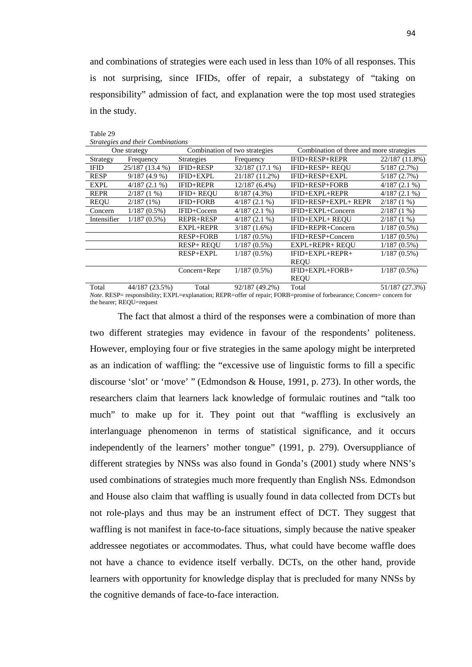and combinations of strategies were each used in less than 10% of all responses. This is not surprising, since IFIDs, offer of repair, a substategy of "taking on responsibility" admission of fact, and explanation were the top most used strategies in the study.

Table 29

*Strategies and their Combinations*

| One strategy |                 | Combination of two strategies |                 | Combination of three and more strategies |                |
|--------------|-----------------|-------------------------------|-----------------|------------------------------------------|----------------|
| Strategy     | Frequency       | <b>Strategies</b>             | Frequency       | IFID+RESP+REPR                           | 22/187 (11.8%) |
| <b>IFID</b>  | 25/187 (13.4 %) | IFID+RESP                     | 32/187(17.1%)   | IFID+RESP+ REQU                          | 5/187(2.7%)    |
| <b>RESP</b>  | $9/187(4.9\%)$  | IFID+EXPL                     | 21/187 (11.2%)  | IFID+RESP+EXPL                           | 5/187(2.7%)    |
| <b>EXPL</b>  | $4/187(2.1\%)$  | IFID+REPR                     | $12/187(6.4\%)$ | IFID+RESP+FORB                           | $4/187(2.1\%)$ |
| <b>REPR</b>  | $2/187(1\%)$    | IFID+ REOU                    | $8/187(4.3\%)$  | IFID+EXPL+REPR                           | $4/187(2.1\%)$ |
| <b>REQU</b>  | $2/187(1\%)$    | IFID+FORB                     | $4/187(2.1\%)$  | IFID+RESP+EXPL+ REPR                     | $2/187(1\%)$   |
| Concern      | $1/187(0.5\%)$  | IFID+Cocern                   | $4/187(2.1\%)$  | IFID+EXPL+Concern                        | $2/187(1\%)$   |
| Intensifier  | $1/187(0.5\%)$  | <b>REPR+RESP</b>              | $4/187(2.1\%)$  | IFID+EXPL+ REOU                          | $2/187(1\%)$   |
|              |                 | EXPL+REPR                     | $3/187(1.6\%)$  | IFID+REPR+Concern                        | $1/187(0.5\%)$ |
|              |                 | <b>RESP+FORB</b>              | $1/187(0.5\%)$  | IFID+RESP+Concern                        | $1/187(0.5\%)$ |
|              |                 | <b>RESP+ REOU</b>             | $1/187(0.5\%)$  | <b>EXPL+REPR+ REOU</b>                   | $1/187(0.5\%)$ |
|              |                 | <b>RESP+EXPL</b>              | $1/187(0.5\%)$  | IFID+EXPL+REPR+                          | $1/187(0.5\%)$ |
|              |                 |                               |                 | <b>REOU</b>                              |                |
|              |                 | Concern+Repr                  | $1/187(0.5\%)$  | IFID+EXPL+FORB+                          | $1/187(0.5\%)$ |
|              |                 |                               |                 | <b>REQU</b>                              |                |
| $T - 1$      | $44/107/22$ CD/ | $T - 1$                       | 0.21107(10.20)  | $T = 1$                                  | 21/107/2720    |

Total 44/187 (23.5%) Total 92/187 (49.2%) Total 51/187 (27.3%) *Note*. RESP= responsibility; EXPL=explanation; REPR=offer of repair; FORB=promise of forbearance; Concern= concern for the hearer: REOU=request

The fact that almost a third of the responses were a combination of more than two different strategies may evidence in favour of the respondents' politeness. However, employing four or five strategies in the same apology might be interpreted as an indication of waffling: the "excessive use of linguistic forms to fill a specific discourse 'slot' or 'move' " (Edmondson & House, 1991, p. 273). In other words, the researchers claim that learners lack knowledge of formulaic routines and "talk too much" to make up for it. They point out that "waffling is exclusively an interlanguage phenomenon in terms of statistical significance, and it occurs independently of the learners' mother tongue" (1991, p. 279). Oversuppliance of different strategies by NNSs was also found in Gonda's (2001) study where NNS's used combinations of strategies much more frequently than English NSs. Edmondson and House also claim that waffling is usually found in data collected from DCTs but not role-plays and thus may be an instrument effect of DCT. They suggest that waffling is not manifest in face-to-face situations, simply because the native speaker addressee negotiates or accommodates. Thus, what could have become waffle does not have a chance to evidence itself verbally. DCTs, on the other hand, provide learners with opportunity for knowledge display that is precluded for many NNSs by the cognitive demands of face-to-face interaction.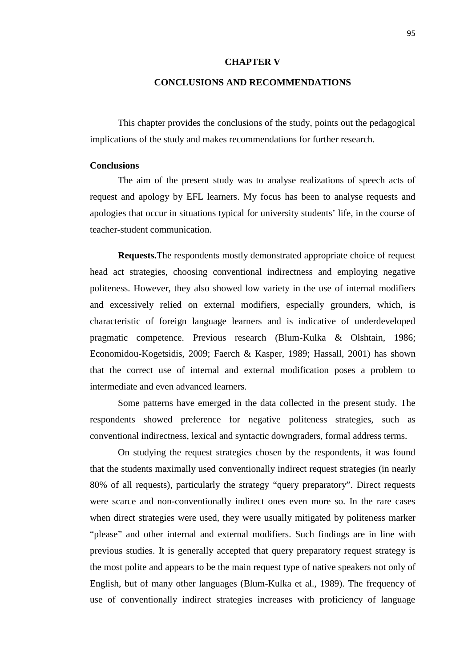### **CHAPTER V**

# **CONCLUSIONS AND RECOMMENDATIONS**

This chapter provides the conclusions of the study, points out the pedagogical implications of the study and makes recommendations for further research.

# **Conclusions**

The aim of the present study was to analyse realizations of speech acts of request and apology by EFL learners. My focus has been to analyse requests and apologies that occur in situations typical for university students' life, in the course of teacher-student communication.

**Requests.**The respondents mostly demonstrated appropriate choice of request head act strategies, choosing conventional indirectness and employing negative politeness. However, they also showed low variety in the use of internal modifiers and excessively relied on external modifiers, especially grounders, which, is characteristic of foreign language learners and is indicative of underdeveloped pragmatic competence. Previous research (Blum-Kulka & Olshtain, 1986; Economidou-Kogetsidis, 2009; Faerch & Kasper, 1989; Hassall, 2001) has shown that the correct use of internal and external modification poses a problem to intermediate and even advanced learners.

Some patterns have emerged in the data collected in the present study. The respondents showed preference for negative politeness strategies, such as conventional indirectness, lexical and syntactic downgraders, formal address terms.

On studying the request strategies chosen by the respondents, it was found that the students maximally used conventionally indirect request strategies (in nearly 80% of all requests), particularly the strategy "query preparatory". Direct requests were scarce and non-conventionally indirect ones even more so. In the rare cases when direct strategies were used, they were usually mitigated by politeness marker "please" and other internal and external modifiers. Such findings are in line with previous studies. It is generally accepted that query preparatory request strategy is the most polite and appears to be the main request type of native speakers not only of English, but of many other languages (Blum-Kulka et al., 1989). The frequency of use of conventionally indirect strategies increases with proficiency of language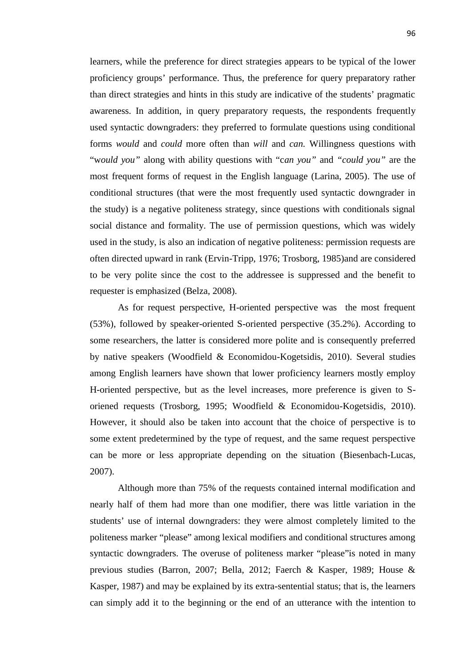learners, while the preference for direct strategies appears to be typical of the lower proficiency groups' performance. Thus, the preference for query preparatory rather than direct strategies and hints in this study are indicative of the students' pragmatic awareness. In addition, in query preparatory requests, the respondents frequently used syntactic downgraders: they preferred to formulate questions using conditional forms *would* and *could* more often than *will* and *can.* Willingness questions with "w*ould you"* along with ability questions with "c*an you"* and *"could you"* are the most frequent forms of request in the English language (Larina, 2005). The use of conditional structures (that were the most frequently used syntactic downgrader in the study) is a negative politeness strategy, since questions with conditionals signal social distance and formality. The use of permission questions, which was widely used in the study, is also an indication of negative politeness: permission requests are often directed upward in rank (Ervin-Tripp, 1976; Trosborg, 1985)and are considered to be very polite since the cost to the addressee is suppressed and the benefit to requester is emphasized (Belza, 2008).

As for request perspective, H-oriented perspective was the most frequent (53%), followed by speaker-oriented S-oriented perspective (35.2%). According to some researchers, the latter is considered more polite and is consequently preferred by native speakers (Woodfield & Economidou-Kogetsidis, 2010). Several studies among English learners have shown that lower proficiency learners mostly employ H-oriented perspective, but as the level increases, more preference is given to S oriened requests (Trosborg, 1995; Woodfield & Economidou-Kogetsidis, 2010). However, it should also be taken into account that the choice of perspective is to some extent predetermined by the type of request, and the same request perspective can be more or less appropriate depending on the situation (Biesenbach-Lucas, 2007).

Although more than 75% of the requests contained internal modification and nearly half of them had more than one modifier, there was little variation in the students' use of internal downgraders: they were almost completely limited to the politeness marker "please" among lexical modifiers and conditional structures among syntactic downgraders. The overuse of politeness marker "please"is noted in many previous studies (Barron, 2007; Bella, 2012; Faerch & Kasper, 1989; House & Kasper, 1987) and may be explained by its extra-sentential status; that is, the learners can simply add it to the beginning or the end of an utterance with the intention to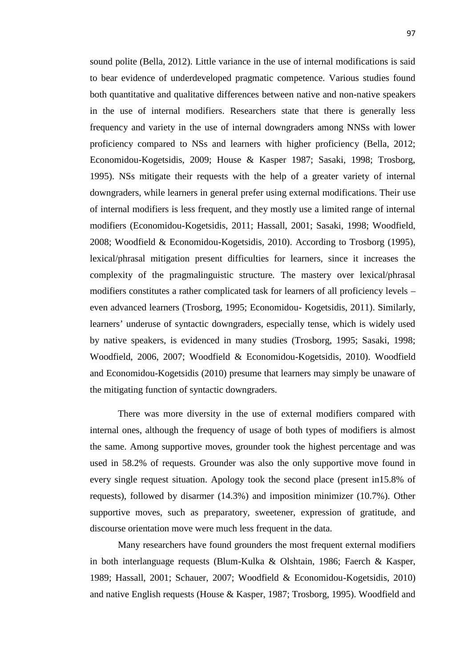sound polite (Bella, 2012). Little variance in the use of internal modifications is said to bear evidence of underdeveloped pragmatic competence. Various studies found both quantitative and qualitative differences between native and non-native speakers in the use of internal modifiers. Researchers state that there is generally less frequency and variety in the use of internal downgraders among NNSs with lower proficiency compared to NSs and learners with higher proficiency (Bella, 2012; Economidou-Kogetsidis, 2009; House & Kasper 1987; Sasaki, 1998; Trosborg, 1995). NSs mitigate their requests with the help of a greater variety of internal downgraders, while learners in general prefer using external modifications. Their use of internal modifiers is less frequent, and they mostly use a limited range of internal modifiers (Economidou-Kogetsidis, 2011; Hassall, 2001; Sasaki, 1998; Woodfield, 2008; Woodfield & Economidou-Kogetsidis, 2010). According to Trosborg (1995), lexical/phrasal mitigation present difficulties for learners, since it increases the complexity of the pragmalinguistic structure. The mastery over lexical/phrasal modifiers constitutes a rather complicated task for learners of all proficiency levels – even advanced learners (Trosborg, 1995; Economidou- Kogetsidis, 2011). Similarly, learners' underuse of syntactic downgraders, especially tense, which is widely used by native speakers, is evidenced in many studies (Trosborg, 1995; Sasaki, 1998; Woodfield, 2006, 2007; Woodfield & Economidou-Kogetsidis, 2010). Woodfield and Economidou-Kogetsidis (2010) presume that learners may simply be unaware of the mitigating function of syntactic downgraders.

There was more diversity in the use of external modifiers compared with internal ones, although the frequency of usage of both types of modifiers is almost the same. Among supportive moves, grounder took the highest percentage and was used in 58.2% of requests. Grounder was also the only supportive move found in every single request situation. Apology took the second place (present in15.8% of requests), followed by disarmer (14.3%) and imposition minimizer (10.7%). Other supportive moves, such as preparatory, sweetener, expression of gratitude, and discourse orientation move were much less frequent in the data.

Many researchers have found grounders the most frequent external modifiers in both interlanguage requests (Blum-Kulka & Olshtain, 1986; Faerch & Kasper, 1989; Hassall, 2001; Schauer, 2007; Woodfield & Economidou-Kogetsidis, 2010) and native English requests (House & Kasper, 1987; Trosborg, 1995). Woodfield and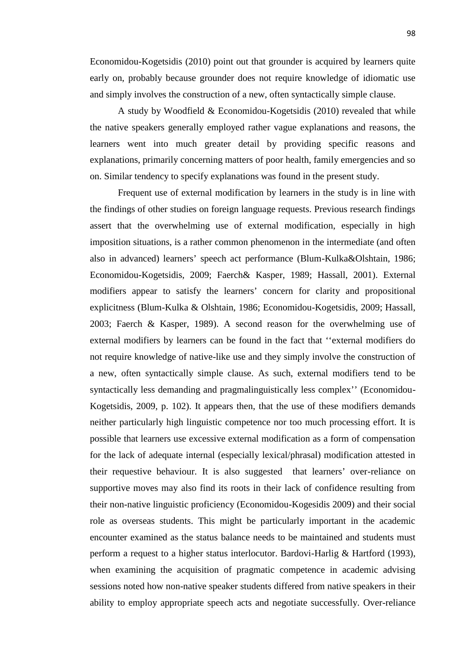Economidou-Kogetsidis (2010) point out that grounder is acquired by learners quite early on, probably because grounder does not require knowledge of idiomatic use and simply involves the construction of a new, often syntactically simple clause.

A study by Woodfield & Economidou-Kogetsidis (2010) revealed that while the native speakers generally employed rather vague explanations and reasons, the learners went into much greater detail by providing specific reasons and explanations, primarily concerning matters of poor health, family emergencies and so on. Similar tendency to specify explanations was found in the present study.

Frequent use of external modification by learners in the study is in line with the findings of other studies on foreign language requests. Previous research findings assert that the overwhelming use of external modification, especially in high imposition situations, is a rather common phenomenon in the intermediate (and often also in advanced) learners' speech act performance (Blum-Kulka&Olshtain, 1986; Economidou-Kogetsidis, 2009; Faerch& Kasper, 1989; Hassall, 2001). External modifiers appear to satisfy the learners' concern for clarity and propositional explicitness (Blum-Kulka & Olshtain, 1986; Economidou-Kogetsidis, 2009; Hassall, 2003; Faerch & Kasper, 1989). A second reason for the overwhelming use of external modifiers by learners can be found in the fact that ''external modifiers do not require knowledge of native-like use and they simply involve the construction of a new, often syntactically simple clause. As such, external modifiers tend to be syntactically less demanding and pragmalinguistically less complex'' (Economidou- Kogetsidis, 2009, p. 102). It appears then, that the use of these modifiers demands neither particularly high linguistic competence nor too much processing effort. It is possible that learners use excessive external modification as a form of compensation for the lack of adequate internal (especially lexical/phrasal) modification attested in their requestive behaviour. It is also suggested that learners' over-reliance on supportive moves may also find its roots in their lack of confidence resulting from their non-native linguistic proficiency (Economidou-Kogesidis 2009) and their social role as overseas students. This might be particularly important in the academic encounter examined as the status balance needs to be maintained and students must perform a request to a higher status interlocutor. Bardovi-Harlig & Hartford (1993), when examining the acquisition of pragmatic competence in academic advising sessions noted how non-native speaker students differed from native speakers in their ability to employ appropriate speech acts and negotiate successfully. Over-reliance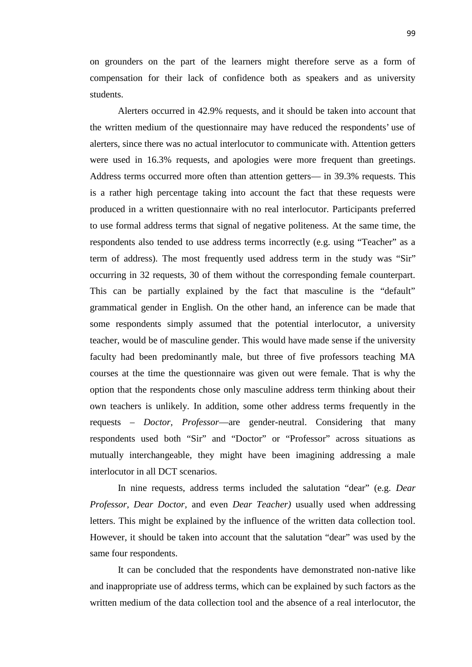on grounders on the part of the learners might therefore serve as a form of compensation for their lack of confidence both as speakers and as university students.

Alerters occurred in 42.9% requests, and it should be taken into account that the written medium of the questionnaire may have reduced the respondents' use of alerters, since there was no actual interlocutor to communicate with. Attention getters were used in 16.3% requests, and apologies were more frequent than greetings. Address terms occurred more often than attention getters— in 39.3% requests. This is a rather high percentage taking into account the fact that these requests were produced in a written questionnaire with no real interlocutor. Participants preferred to use formal address terms that signal of negative politeness. At the same time, the respondents also tended to use address terms incorrectly (e.g. using "Teacher" as a term of address). The most frequently used address term in the study was "Sir" occurring in 32 requests, 30 of them without the corresponding female counterpart. This can be partially explained by the fact that masculine is the "default" grammatical gender in English. On the other hand, an inference can be made that some respondents simply assumed that the potential interlocutor, a university teacher, would be of masculine gender. This would have made sense if the university faculty had been predominantly male, but three of five professors teaching MA courses at the time the questionnaire was given out were female. That is why the option that the respondents chose only masculine address term thinking about their own teachers is unlikely. In addition, some other address terms frequently in the requests – *Doctor, Professor*—are gender-neutral. Considering that many respondents used both "Sir" and "Doctor" or "Professor" across situations as mutually interchangeable, they might have been imagining addressing a male interlocutor in all DCT scenarios.

In nine requests, address terms included the salutation "dear" (e.g. *Dear Professor, Dear Doctor,* and even *Dear Teacher)* usually used when addressing letters. This might be explained by the influence of the written data collection tool. However, it should be taken into account that the salutation "dear" was used by the same four respondents.

It can be concluded that the respondents have demonstrated non-native like and inappropriate use of address terms, which can be explained by such factors as the written medium of the data collection tool and the absence of a real interlocutor, the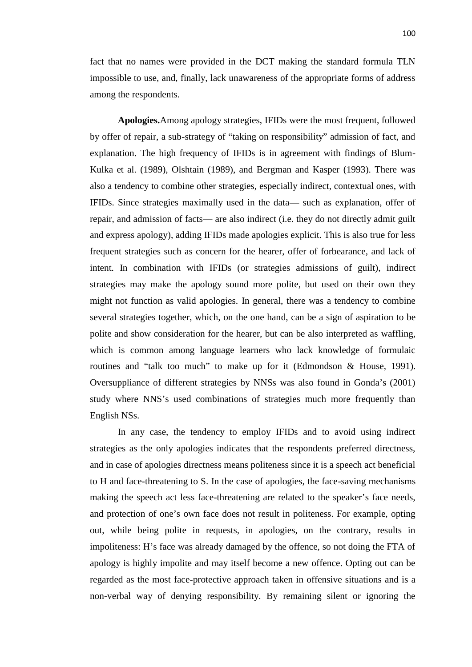fact that no names were provided in the DCT making the standard formula TLN impossible to use, and, finally, lack unawareness of the appropriate forms of address among the respondents.

**Apologies.**Among apology strategies, IFIDs were the most frequent, followed by offer of repair, a sub-strategy of "taking on responsibility" admission of fact, and explanation. The high frequency of IFIDs is in agreement with findings of Blum- Kulka et al. (1989), Olshtain (1989), and Bergman and Kasper (1993). There was also a tendency to combine other strategies, especially indirect, contextual ones, with IFIDs. Since strategies maximally used in the data— such as explanation, offer of repair, and admission of facts— are also indirect (i.e. they do not directly admit guilt and express apology), adding IFIDs made apologies explicit. This is also true for less frequent strategies such as concern for the hearer, offer of forbearance, and lack of intent. In combination with IFIDs (or strategies admissions of guilt), indirect strategies may make the apology sound more polite, but used on their own they might not function as valid apologies. In general, there was a tendency to combine several strategies together, which, on the one hand, can be a sign of aspiration to be polite and show consideration for the hearer, but can be also interpreted as waffling, which is common among language learners who lack knowledge of formulaic routines and "talk too much" to make up for it (Edmondson & House, 1991). Oversuppliance of different strategies by NNSs was also found in Gonda's (2001) study where NNS's used combinations of strategies much more frequently than English NSs.

In any case, the tendency to employ IFIDs and to avoid using indirect strategies as the only apologies indicates that the respondents preferred directness, and in case of apologies directness means politeness since it is a speech act beneficial to H and face-threatening to S. In the case of apologies, the face-saving mechanisms making the speech act less face-threatening are related to the speaker's face needs, and protection of one's own face does not result in politeness. For example, opting out, while being polite in requests, in apologies, on the contrary, results in impoliteness: H's face was already damaged by the offence, so not doing the FTA of apology is highly impolite and may itself become a new offence. Opting out can be regarded as the most face-protective approach taken in offensive situations and is a non-verbal way of denying responsibility. By remaining silent or ignoring the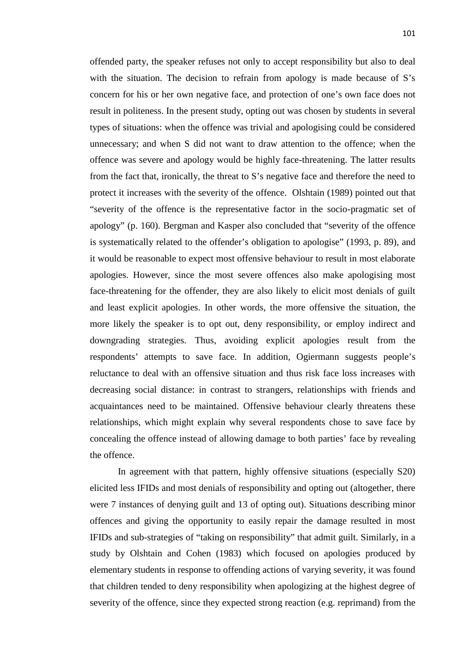offended party, the speaker refuses not only to accept responsibility but also to deal with the situation. The decision to refrain from apology is made because of S's concern for his or her own negative face, and protection of one's own face does not result in politeness. In the present study, opting out was chosen by students in several types of situations: when the offence was trivial and apologising could be considered unnecessary; and when S did not want to draw attention to the offence; when the offence was severe and apology would be highly face-threatening. The latter results from the fact that, ironically, the threat to S's negative face and therefore the need to protect it increases with the severity of the offence. Olshtain (1989) pointed out that "severity of the offence is the representative factor in the socio-pragmatic set of apology" (p. 160). Bergman and Kasper also concluded that "severity of the offence is systematically related to the offender's obligation to apologise" (1993, p. 89), and it would be reasonable to expect most offensive behaviour to result in most elaborate apologies. However, since the most severe offences also make apologising most face-threatening for the offender, they are also likely to elicit most denials of guilt and least explicit apologies. In other words, the more offensive the situation, the more likely the speaker is to opt out, deny responsibility, or employ indirect and downgrading strategies. Thus, avoiding explicit apologies result from the respondents' attempts to save face. In addition, Ogiermann suggests people's reluctance to deal with an offensive situation and thus risk face loss increases with decreasing social distance: in contrast to strangers, relationships with friends and acquaintances need to be maintained. Offensive behaviour clearly threatens these relationships, which might explain why several respondents chose to save face by concealing the offence instead of allowing damage to both parties' face by revealing the offence.

In agreement with that pattern, highly offensive situations (especially S20) elicited less IFIDs and most denials of responsibility and opting out (altogether, there were 7 instances of denying guilt and 13 of opting out). Situations describing minor offences and giving the opportunity to easily repair the damage resulted in most IFIDs and sub-strategies of "taking on responsibility" that admit guilt. Similarly, in a study by Olshtain and Cohen (1983) which focused on apologies produced by elementary students in response to offending actions of varying severity, it was found that children tended to deny responsibility when apologizing at the highest degree of severity of the offence, since they expected strong reaction (e.g. reprimand) from the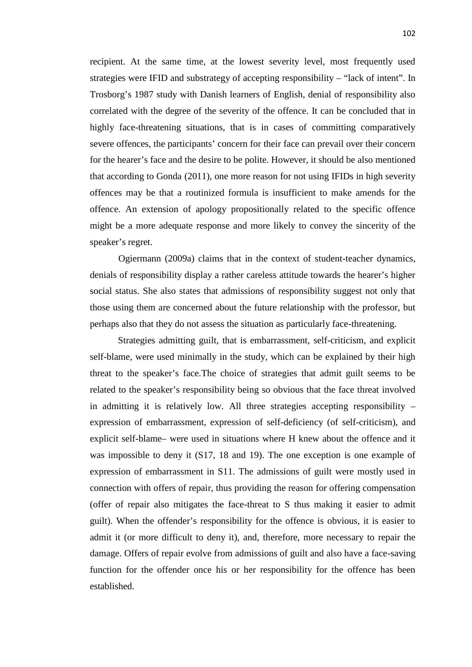recipient. At the same time, at the lowest severity level, most frequently used strategies were IFID and substrategy of accepting responsibility – "lack of intent". In Trosborg's 1987 study with Danish learners of English, denial of responsibility also correlated with the degree of the severity of the offence. It can be concluded that in highly face-threatening situations, that is in cases of committing comparatively severe offences, the participants' concern for their face can prevail over their concern for the hearer's face and the desire to be polite. However, it should be also mentioned that according to Gonda (2011), one more reason for not using IFIDs in high severity offences may be that a routinized formula is insufficient to make amends for the offence. An extension of apology propositionally related to the specific offence might be a more adequate response and more likely to convey the sincerity of the speaker's regret.

Ogiermann (2009a) claims that in the context of student-teacher dynamics, denials of responsibility display a rather careless attitude towards the hearer's higher social status. She also states that admissions of responsibility suggest not only that those using them are concerned about the future relationship with the professor, but perhaps also that they do not assess the situation as particularly face-threatening.

Strategies admitting guilt, that is embarrassment, self-criticism, and explicit self-blame, were used minimally in the study, which can be explained by their high threat to the speaker's face.The choice of strategies that admit guilt seems to be related to the speaker's responsibility being so obvious that the face threat involved in admitting it is relatively low. All three strategies accepting responsibility – expression of embarrassment, expression of self-deficiency (of self-criticism), and explicit self-blame– were used in situations where H knew about the offence and it was impossible to deny it (S17, 18 and 19). The one exception is one example of expression of embarrassment in S11. The admissions of guilt were mostly used in connection with offers of repair, thus providing the reason for offering compensation (offer of repair also mitigates the face-threat to S thus making it easier to admit guilt). When the offender's responsibility for the offence is obvious, it is easier to admit it (or more difficult to deny it), and, therefore, more necessary to repair the damage. Offers of repair evolve from admissions of guilt and also have a face-saving function for the offender once his or her responsibility for the offence has been established.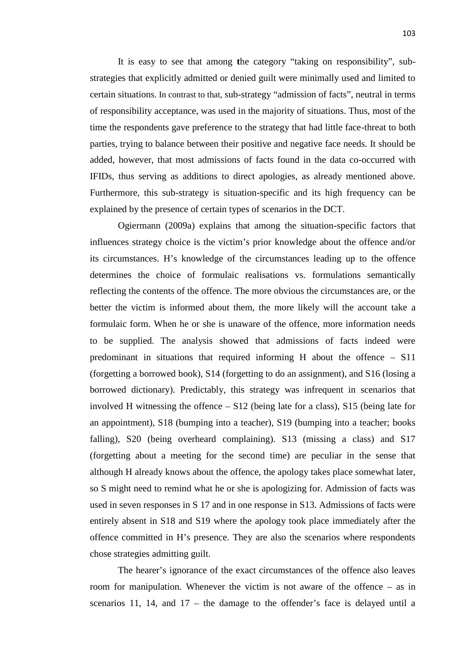It is easy to see that among **t**he category "taking on responsibility", sub strategies that explicitly admitted or denied guilt were minimally used and limited to certain situations. In contrast to that, sub-strategy "admission of facts", neutral in terms of responsibility acceptance, was used in the majority of situations. Thus, most of the time the respondents gave preference to the strategy that had little face-threat to both parties, trying to balance between their positive and negative face needs. It should be added, however, that most admissions of facts found in the data co-occurred with IFIDs, thus serving as additions to direct apologies, as already mentioned above. Furthermore, this sub-strategy is situation-specific and its high frequency can be explained by the presence of certain types of scenarios in the DCT.

Ogiermann (2009a) explains that among the situation-specific factors that influences strategy choice is the victim's prior knowledge about the offence and/or its circumstances. H's knowledge of the circumstances leading up to the offence determines the choice of formulaic realisations vs. formulations semantically reflecting the contents of the offence. The more obvious the circumstances are, or the better the victim is informed about them, the more likely will the account take a formulaic form. When he or she is unaware of the offence, more information needs to be supplied. The analysis showed that admissions of facts indeed were predominant in situations that required informing H about the offence – S11 (forgetting a borrowed book), S14 (forgetting to do an assignment), and S16 (losing a borrowed dictionary). Predictably, this strategy was infrequent in scenarios that involved H witnessing the offence – S12 (being late for a class), S15 (being late for an appointment), S18 (bumping into a teacher), S19 (bumping into a teacher; books falling), S20 (being overheard complaining). S13 (missing a class) and S17 (forgetting about a meeting for the second time) are peculiar in the sense that although H already knows about the offence, the apology takes place somewhat later, so S might need to remind what he or she is apologizing for. Admission of facts was used in seven responses in S 17 and in one response in S13. Admissions of facts were entirely absent in S18 and S19 where the apology took place immediately after the offence committed in H's presence. They are also the scenarios where respondents chose strategies admitting guilt.

The hearer's ignorance of the exact circumstances of the offence also leaves room for manipulation. Whenever the victim is not aware of the offence – as in scenarios 11, 14, and 17 – the damage to the offender's face is delayed until a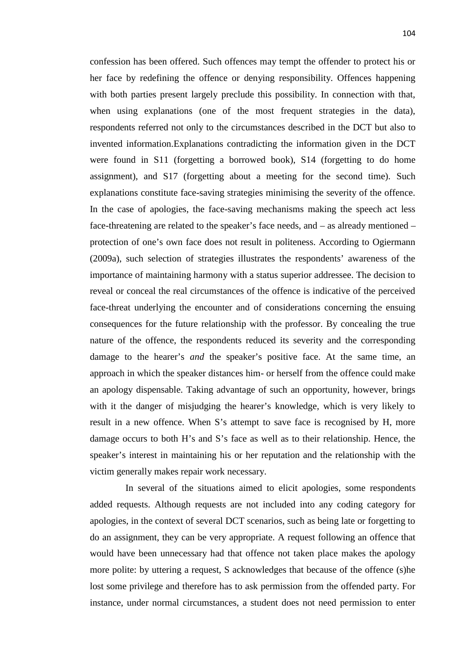confession has been offered. Such offences may tempt the offender to protect his or her face by redefining the offence or denying responsibility. Offences happening with both parties present largely preclude this possibility. In connection with that, when using explanations (one of the most frequent strategies in the data), respondents referred not only to the circumstances described in the DCT but also to invented information.Explanations contradicting the information given in the DCT were found in S11 (forgetting a borrowed book), S14 (forgetting to do home assignment), and S17 (forgetting about a meeting for the second time). Such explanations constitute face-saving strategies minimising the severity of the offence. In the case of apologies, the face-saving mechanisms making the speech act less face-threatening are related to the speaker's face needs, and – as already mentioned – protection of one's own face does not result in politeness. According to Ogiermann (2009a), such selection of strategies illustrates the respondents' awareness of the importance of maintaining harmony with a status superior addressee. The decision to reveal or conceal the real circumstances of the offence is indicative of the perceived face-threat underlying the encounter and of considerations concerning the ensuing consequences for the future relationship with the professor. By concealing the true nature of the offence, the respondents reduced its severity and the corresponding damage to the hearer's *and* the speaker's positive face. At the same time, an approach in which the speaker distances him- or herself from the offence could make an apology dispensable. Taking advantage of such an opportunity, however, brings with it the danger of misjudging the hearer's knowledge, which is very likely to result in a new offence. When S's attempt to save face is recognised by H, more damage occurs to both H's and S's face as well as to their relationship. Hence, the speaker's interest in maintaining his or her reputation and the relationship with the victim generally makes repair work necessary.

In several of the situations aimed to elicit apologies, some respondents added requests. Although requests are not included into any coding category for apologies, in the context of several DCT scenarios, such as being late or forgetting to do an assignment, they can be very appropriate. A request following an offence that would have been unnecessary had that offence not taken place makes the apology more polite: by uttering a request, S acknowledges that because of the offence (s)he lost some privilege and therefore has to ask permission from the offended party. For instance, under normal circumstances, a student does not need permission to enter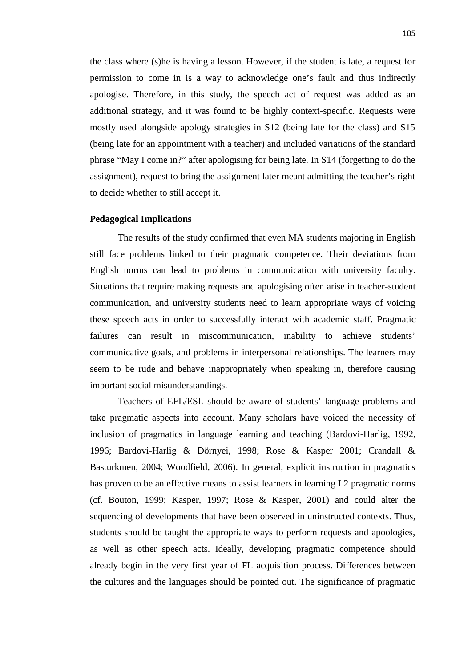the class where (s)he is having a lesson. However, if the student is late, a request for permission to come in is a way to acknowledge one's fault and thus indirectly apologise. Therefore, in this study, the speech act of request was added as an additional strategy, and it was found to be highly context-specific. Requests were mostly used alongside apology strategies in S12 (being late for the class) and S15 (being late for an appointment with a teacher) and included variations of the standard phrase "May I come in?" after apologising for being late. In S14 (forgetting to do the assignment), request to bring the assignment later meant admitting the teacher's right to decide whether to still accept it.

## **Pedagogical Implications**

The results of the study confirmed that even MA students majoring in English still face problems linked to their pragmatic competence. Their deviations from English norms can lead to problems in communication with university faculty. Situations that require making requests and apologising often arise in teacher-student communication, and university students need to learn appropriate ways of voicing these speech acts in order to successfully interact with academic staff. Pragmatic failures can result in miscommunication, inability to achieve students' communicative goals, and problems in interpersonal relationships. The learners may seem to be rude and behave inappropriately when speaking in, therefore causing important social misunderstandings.

Teachers of EFL/ESL should be aware of students' language problems and take pragmatic aspects into account. Many scholars have voiced the necessity of inclusion of pragmatics in language learning and teaching (Bardovi-Harlig, 1992, 1996; Bardovi-Harlig & Dörnyei, 1998; Rose & Kasper 2001; Crandall & Basturkmen, 2004; Woodfield, 2006). In general, explicit instruction in pragmatics has proven to be an effective means to assist learners in learning L2 pragmatic norms (cf. Bouton, 1999; Kasper, 1997; Rose & Kasper, 2001) and could alter the sequencing of developments that have been observed in uninstructed contexts. Thus, students should be taught the appropriate ways to perform requests and apoologies, as well as other speech acts. Ideally, developing pragmatic competence should already begin in the very first year of FL acquisition process. Differences between the cultures and the languages should be pointed out. The significance of pragmatic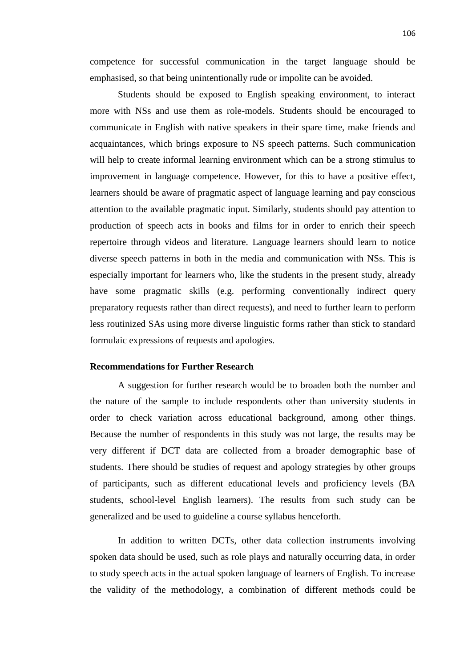competence for successful communication in the target language should be emphasised, so that being unintentionally rude or impolite can be avoided.

Students should be exposed to English speaking environment, to interact more with NSs and use them as role-models. Students should be encouraged to communicate in English with native speakers in their spare time, make friends and acquaintances, which brings exposure to NS speech patterns. Such communication will help to create informal learning environment which can be a strong stimulus to improvement in language competence. However, for this to have a positive effect, learners should be aware of pragmatic aspect of language learning and pay conscious attention to the available pragmatic input. Similarly, students should pay attention to production of speech acts in books and films for in order to enrich their speech repertoire through videos and literature. Language learners should learn to notice diverse speech patterns in both in the media and communication with NSs. This is especially important for learners who, like the students in the present study, already have some pragmatic skills (e.g. performing conventionally indirect query preparatory requests rather than direct requests), and need to further learn to perform less routinized SAs using more diverse linguistic forms rather than stick to standard formulaic expressions of requests and apologies.

## **Recommendations for Further Research**

A suggestion for further research would be to broaden both the number and the nature of the sample to include respondents other than university students in order to check variation across educational background, among other things. Because the number of respondents in this study was not large, the results may be very different if DCT data are collected from a broader demographic base of students. There should be studies of request and apology strategies by other groups of participants, such as different educational levels and proficiency levels (BA students, school-level English learners). The results from such study can be generalized and be used to guideline a course syllabus henceforth.

In addition to written DCTs, other data collection instruments involving spoken data should be used, such as role plays and naturally occurring data, in order to study speech acts in the actual spoken language of learners of English. To increase the validity of the methodology, a combination of different methods could be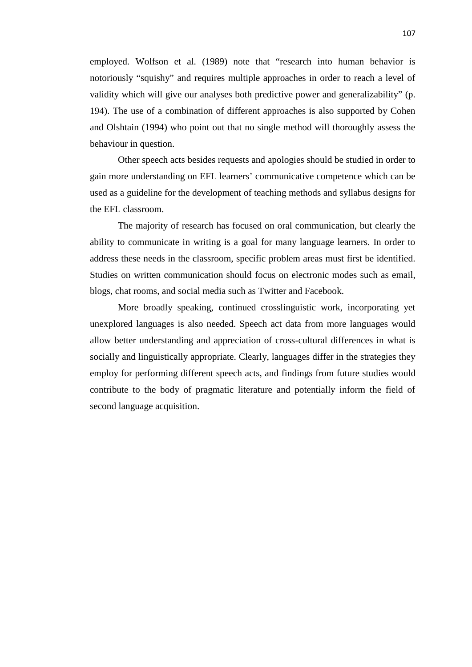employed. Wolfson et al. (1989) note that "research into human behavior is notoriously "squishy" and requires multiple approaches in order to reach a level of validity which will give our analyses both predictive power and generalizability" (p. 194). The use of a combination of different approaches is also supported by Cohen and Olshtain (1994) who point out that no single method will thoroughly assess the behaviour in question.

Other speech acts besides requests and apologies should be studied in order to gain more understanding on EFL learners' communicative competence which can be used as a guideline for the development of teaching methods and syllabus designs for the EFL classroom.

The majority of research has focused on oral communication, but clearly the ability to communicate in writing is a goal for many language learners. In order to address these needs in the classroom, specific problem areas must first be identified. Studies on written communication should focus on electronic modes such as email, blogs, chat rooms, and social media such as Twitter and Facebook.

More broadly speaking, continued crosslinguistic work, incorporating yet unexplored languages is also needed. Speech act data from more languages would allow better understanding and appreciation of cross-cultural differences in what is socially and linguistically appropriate. Clearly, languages differ in the strategies they employ for performing different speech acts, and findings from future studies would contribute to the body of pragmatic literature and potentially inform the field of second language acquisition.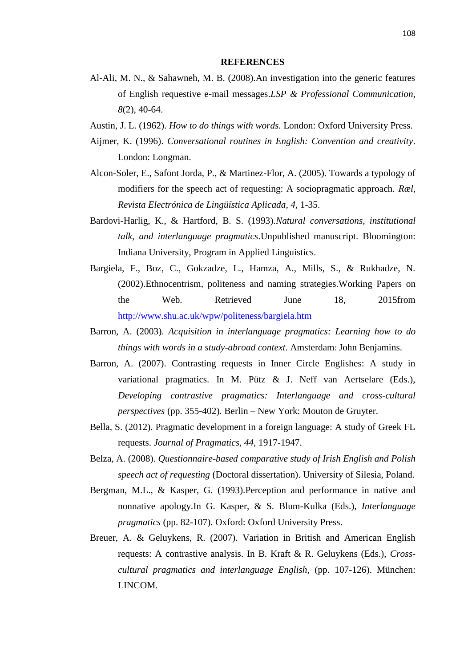#### **REFERENCES**

- Al-Ali, M. N., & Sahawneh, M. B. (2008).An investigation into the generic features of English requestive e-mail messages.*LSP & Professional Communication, 8*(2), 40-64.
- Austin, J. L. (1962). *How to do things with words.* London: Oxford University Press.
- Aijmer, K. (1996). *Conversational routines in English: Convention and creativity*. London: Longman.
- Alcon-Soler, E., Safont Jorda, P., & Martinez-Flor, A. (2005). Towards a typology of modifiers for the speech act of requesting: A sociopragmatic approach. *Ræl, Revista Electrónica de Lingüística Aplicada, 4,* 1-35.
- Bardovi-Harlig, K., & Hartford, B. S. (1993).*Natural conversations, institutional talk, and interlanguage pragmatics*.Unpublished manuscript. Bloomington: Indiana University, Program in Applied Linguistics.
- Bargiela, F., Boz, C., Gokzadze, L., Hamza, A., Mills, S., & Rukhadze, N. (2002).Ethnocentrism, politeness and naming strategies.Working Papers on the Web. Retrieved June 18, 2015from http://www.shu.ac.uk/wpw/politeness/bargiela.htm
- Barron, A. (2003). *Acquisition in interlanguage pragmatics: Learning how to do things with words in a study-abroad context*. Amsterdam: John Benjamins.
- Barron, A. (2007). Contrasting requests in Inner Circle Englishes: A study in variational pragmatics. In M. Pütz & J. Neff van Aertselare (Eds.), *Developing contrastive pragmatics: Interlanguage and cross-cultural perspectives* (pp. 355-402)*.* Berlin – New York: Mouton de Gruyter.
- Bella, S. (2012). Pragmatic development in a foreign language: A study of Greek FL requests. *Journal of Pragmatics, 44,* 1917-1947.
- Belza, A. (2008). *Questionnaire-based comparative study of Irish English and Polish speech act of requesting* (Doctoral dissertation). University of Silesia, Poland.
- Bergman, M.L., & Kasper, G. (1993).Perception and performance in native and nonnative apology.In G. Kasper, & S. Blum-Kulka (Eds.), *Interlanguage pragmatics* (pp. 82-107). Oxford: Oxford University Press.
- Breuer, A. & Geluykens, R. (2007). Variation in British and American English requests: A contrastive analysis. In B. Kraft & R. Geluykens (Eds.), *Cross cultural pragmatics and interlanguage English,* (pp. 107-126). München: LINCOM.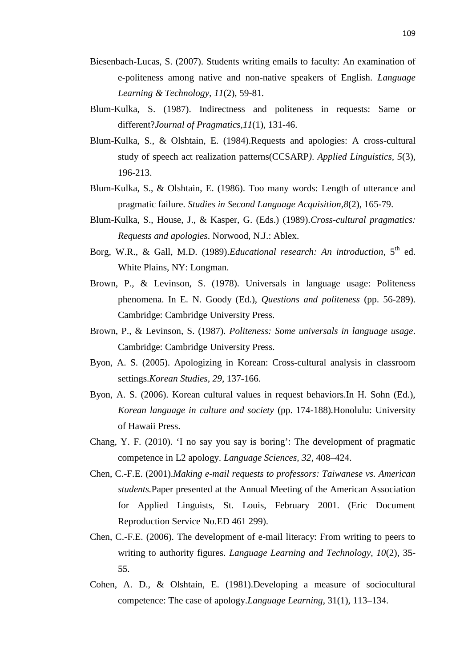- Biesenbach-Lucas, S. (2007). Students writing emails to faculty: An examination of e-politeness among native and non-native speakers of English. *Language Learning & Technology, 11*(2), 59-81.
- Blum-Kulka, S. (1987). Indirectness and politeness in requests: Same or different?*Journal of Pragmatics,11*(1), 131-46.
- Blum-Kulka, S., & Olshtain, E. (1984).Requests and apologies: A cross-cultural study of speech act realization patterns(CCSARP*)*. *Applied Linguistics, 5*(3), 196-213.
- Blum-Kulka, S., & Olshtain, E. (1986). Too many words: Length of utterance and pragmatic failure. *Studies in Second Language Acquisition,8*(2), 165-79.
- Blum-Kulka, S., House, J., & Kasper, G. (Eds.) (1989).*Cross-cultural pragmatics: Requests and apologies*. Norwood, N.J.: Ablex.
- Borg, W.R., & Gall, M.D. (1989).*Educational research: An introduction*, 5<sup>th</sup> ed. White Plains, NY: Longman.
- Brown, P., & Levinson, S. (1978). Universals in language usage: Politeness phenomena. In E. N. Goody (Ed.), *Questions and politeness* (pp. 56-289). Cambridge: Cambridge University Press.
- Brown, P., & Levinson, S. (1987). *Politeness: Some universals in language usage*. Cambridge: Cambridge University Press.
- Byon, A. S. (2005). Apologizing in Korean: Cross-cultural analysis in classroom settings.*Korean Studies, 29*, 137-166.
- Byon, A. S. (2006). Korean cultural values in request behaviors.In H. Sohn (Ed.), *Korean language in culture and society* (pp. 174-188)*.*Honolulu: University of Hawaii Press.
- Chang, Y. F. (2010). 'I no say you say is boring': The development of pragmatic competence in L2 apology. *Language Sciences, 32*, 408–424.
- Chen, C.-F.E. (2001).*Making e-mail requests to professors: Taiwanese vs. American students.*Paper presented at the Annual Meeting of the American Association for Applied Linguists, St. Louis, February 2001. (Eric Document Reproduction Service No.ED 461 299).
- Chen, C.-F.E. (2006). The development of e-mail literacy: From writing to peers to writing to authority figures. *Language Learning and Technology, 10*(2), 35- 55.
- Cohen, A. D., & Olshtain, E. (1981).Developing a measure of sociocultural competence: The case of apology.*Language Learning*, 31(1), 113–134.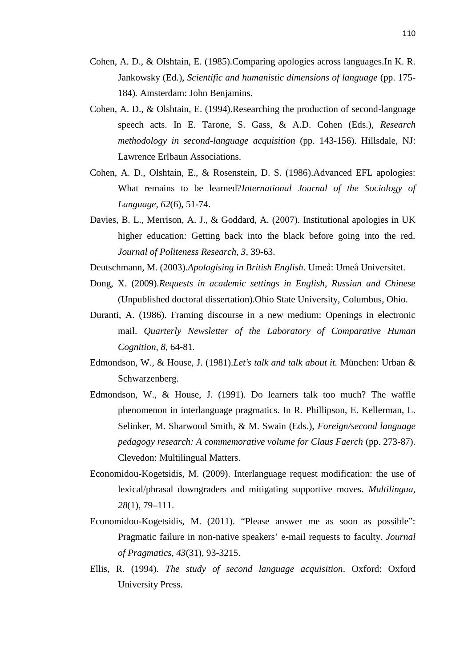- Cohen, A. D., & Olshtain, E. (1985).Comparing apologies across languages.In K. R. Jankowsky (Ed.), *Scientific and humanistic dimensions of language* (pp. 175- 184)*.* Amsterdam: John Benjamins.
- Cohen, A. D., & Olshtain, E. (1994).Researching the production of second-language speech acts. In E. Tarone, S. Gass, & A.D. Cohen (Eds.), *Research methodology in second-language acquisition* (pp. 143-156). Hillsdale, NJ: Lawrence Erlbaun Associations.
- Cohen, A. D., Olshtain, E., & Rosenstein, D. S. (1986).Advanced EFL apologies: What remains to be learned?*International Journal of the Sociology of Language*, *62*(6), 51-74.
- Davies, B. L., Merrison, A. J., & Goddard, A. (2007). Institutional apologies in UK higher education: Getting back into the black before going into the red. *Journal of Politeness Research, 3,* 39-63.
- Deutschmann, M. (2003).*Apologising in British English*. Umeå: Umeå Universitet.
- Dong, X. (2009).*Requests in academic settings in English, Russian and Chinese* (Unpublished doctoral dissertation).Ohio State University, Columbus, Ohio.
- Duranti, A. (1986). Framing discourse in a new medium: Openings in electronic mail. *Quarterly Newsletter of the Laboratory of Comparative Human Cognition, 8*, 64-81.
- Edmondson, W., & House, J. (1981).*Let's talk and talk about it.* München: Urban & Schwarzenberg.
- Edmondson, W., & House, J. (1991). Do learners talk too much? The waffle phenomenon in interlanguage pragmatics. In R. Phillipson, E. Kellerman, L. Selinker, M. Sharwood Smith, & M. Swain (Eds.), *Foreign/second language pedagogy research: A commemorative volume for Claus Faerch* (pp. 273-87). Clevedon: Multilingual Matters.
- Economidou-Kogetsidis, M. (2009). Interlanguage request modification: the use of lexical/phrasal downgraders and mitigating supportive moves. *Multilingua, 28*(1), 79–111.
- Economidou-Kogetsidis, M. (2011). "Please answer me as soon as possible": Pragmatic failure in non-native speakers' e-mail requests to faculty. *Journal of Pragmatics, 43*(31), 93-3215.
- Ellis, R. (1994). *The study of second language acquisition*. Oxford: Oxford University Press.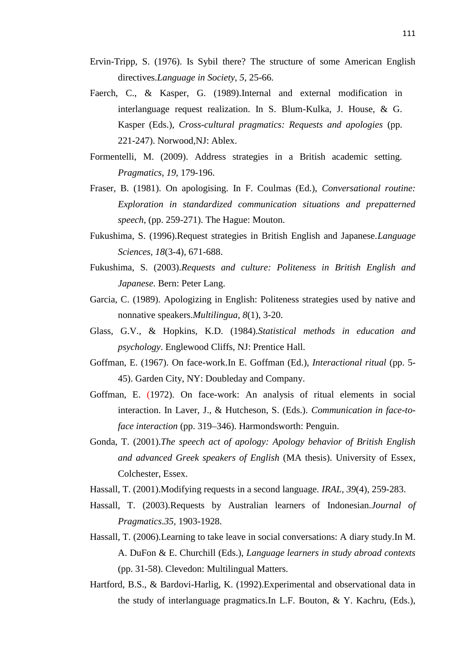- Ervin-Tripp, S. (1976). Is Sybil there? The structure of some American English directives.*Language in Society, 5*, 25-66.
- Faerch, C., & Kasper, G. (1989).Internal and external modification in interlanguage request realization. In S. Blum-Kulka, J. House, & G. Kasper (Eds.), *Cross-cultural pragmatics: Requests and apologies* (pp. 221-247). Norwood,NJ: Ablex.
- Formentelli, M. (2009). Address strategies in a British academic setting. *Pragmatics*, *19*, 179-196.
- Fraser, B. (1981). On apologising. In F. Coulmas (Ed.), *Conversational routine: Exploration in standardized communication situations and prepatterned speech*, (pp. 259-271). The Hague: Mouton.
- Fukushima, S. (1996).Request strategies in British English and Japanese.*Language Sciences, 18*(3-4), 671-688.
- Fukushima, S. (2003).*Requests and culture: Politeness in British English and Japanese*. Bern: Peter Lang.
- Garcia, C. (1989). Apologizing in English: Politeness strategies used by native and nonnative speakers.*Multilingua, 8*(1), 3-20.
- Glass, G.V., & Hopkins, K.D. (1984).*Statistical methods in education and psychology*. Englewood Cliffs, NJ: Prentice Hall.
- Goffman, E. (1967). On face-work.In E. Goffman (Ed.), *Interactional ritual* (pp. 5- 45). Garden City, NY: Doubleday and Company.
- Goffman, E. (1972). On face-work: An analysis of ritual elements in social interaction. In Laver, J., & Hutcheson, S. (Eds.). *Communication in face-toface interaction* (pp. 319–346). Harmondsworth: Penguin.
- Gonda, T. (2001).*The speech act of apology: Apology behavior of British English and advanced Greek speakers of English* (MA thesis). University of Essex, Colchester, Essex.
- Hassall, T. (2001).Modifying requests in a second language. *IRAL, 39*(4), 259-283.
- Hassall, T. (2003).Requests by Australian learners of Indonesian.*Journal of Pragmatics*.*35,* 1903-1928.
- Hassall, T. (2006).Learning to take leave in social conversations: A diary study.In M. A. DuFon & E. Churchill (Eds.), *Language learners in study abroad contexts* (pp. 31-58). Clevedon: Multilingual Matters.
- Hartford, B.S., & Bardovi-Harlig, K. (1992).Experimental and observational data in the study of interlanguage pragmatics.In L.F. Bouton, & Y. Kachru, (Eds.),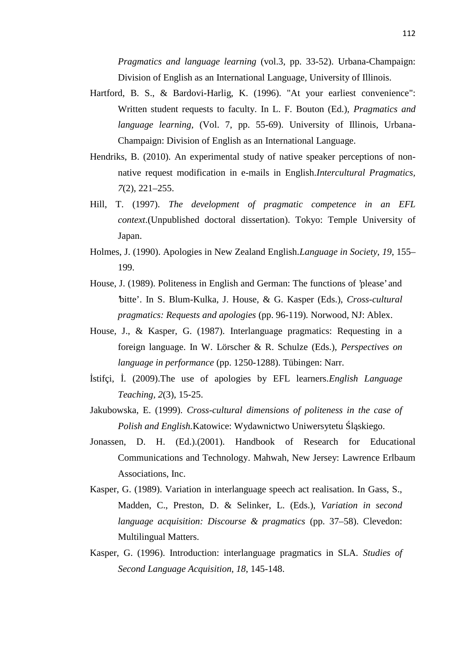*Pragmatics and language learning* (vol.3, pp. 33-52). Urbana-Champaign: Division of English as an International Language, University of Illinois.

- Hartford, B. S., & Bardovi-Harlig, K. (1996). "At your earliest convenience": Written student requests to faculty. In L. F. Bouton (Ed.), *Pragmatics and language learning,* (Vol. 7, pp. 55-69). University of Illinois, Urbana- Champaign: Division of English as an International Language.
- Hendriks, B. (2010). An experimental study of native speaker perceptions of non native request modification in e-mails in English.*Intercultural Pragmatics, 7*(2), 221–255.
- Hill, T. (1997). *The development of pragmatic competence in an EFL context*.(Unpublished doctoral dissertation). Tokyo: Temple University of Japan.
- Holmes, J. (1990). Apologies in New Zealand English.*Language in Society, 19*, 155– 199.
- House, J. (1989). Politeness in English and German: The functions of 'please' and 'bitte'. In S. Blum-Kulka, J. House, & G. Kasper (Eds.), *Cross-cultural pragmatics: Requests and apologies* (pp. 96-119)*.* Norwood, NJ: Ablex.
- House, J., & Kasper, G. (1987). Interlanguage pragmatics: Requesting in a foreign language. In W. Lörscher & R. Schulze (Eds.), *Perspectives on language in performance* (pp. 1250-1288). Tübingen: Narr.
- İstifçi, İ. (2009).The use of apologies by EFL learners.*English Language Teaching, 2*(3), 15-25.
- Jakubowska, E. (1999). *Cross-cultural dimensions of politeness in the case of Polish and English.*Katowice: Wydawnictwo Uniwersytetu l skiego.
- Jonassen, D. H. (Ed.).(2001). Handbook of Research for Educational Communications and Technology. Mahwah, New Jersey: Lawrence Erlbaum Associations, Inc.
- Kasper, G. (1989). Variation in interlanguage speech act realisation. In Gass, S., Madden, C., Preston, D. & Selinker, L. (Eds.), *Variation in second language acquisition: Discourse & pragmatics* (pp. 37–58). Clevedon: Multilingual Matters.
- Kasper, G. (1996). Introduction: interlanguage pragmatics in SLA. *Studies of Second Language Acquisition, 18*, 145-148.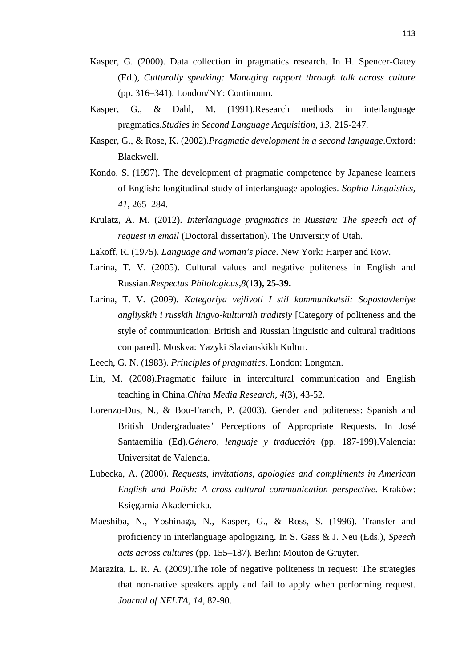- Kasper, G. (2000). Data collection in pragmatics research. In H. Spencer-Oatey (Ed.), *Culturally speaking: Managing rapport through talk across culture* (pp. 316–341). London/NY: Continuum.
- Kasper, G., & Dahl, M. (1991).Research methods in interlanguage pragmatics.*Studies in Second Language Acquisition, 13*, 215-247.
- Kasper, G., & Rose, K. (2002).*Pragmatic development in a second language*.Oxford: Blackwell.
- Kondo, S. (1997). The development of pragmatic competence by Japanese learners of English: longitudinal study of interlanguage apologies. *Sophia Linguistics, 41*, 265–284.
- Krulatz, A. M. (2012). *Interlanguage pragmatics in Russian: The speech act of request in email* (Doctoral dissertation). The University of Utah.
- Lakoff, R. (1975). *Language and woman's place*. New York: Harper and Row.
- Larina, T. V. (2005). Cultural values and negative politeness in English and Russian.*Respectus Philologicus,8*(1**3), 25-39.**
- Larina, T. V. (2009). *Kategoriya vejlivoti I stil kommunikatsii: Sopostavleniye angliyskih i russkih lingvo-kulturnih traditsiy* [Category of politeness and the style of communication: British and Russian linguistic and cultural traditions compared]. Moskva: Yazyki Slavianskikh Kultur.
- Leech, G. N. (1983). *Principles of pragmatics*. London: Longman.
- Lin, M. (2008).Pragmatic failure in intercultural communication and English teaching in China.*China Media Research, 4*(3), 43-52.
- Lorenzo-Dus, N., & Bou-Franch, P. (2003). Gender and politeness: Spanish and British Undergraduates' Perceptions of Appropriate Requests. In José Santaemilia (Ed).*Género, lenguaje y traducción* (pp. 187-199).Valencia: Universitat de Valencia.
- Lubecka, A. (2000). *Requests, invitations, apologies and compliments in American English and Polish: A cross-cultural communication perspective.* Kraków: Ksi garnia Akademicka.
- Maeshiba, N., Yoshinaga, N., Kasper, G., & Ross, S. (1996). Transfer and proficiency in interlanguage apologizing. In S. Gass & J. Neu (Eds.), *Speech acts across cultures* (pp. 155–187). Berlin: Mouton de Gruyter.
- Marazita, L. R. A. (2009).The role of negative politeness in request: The strategies that non-native speakers apply and fail to apply when performing request. *Journal of NELTA, 14,* 82-90.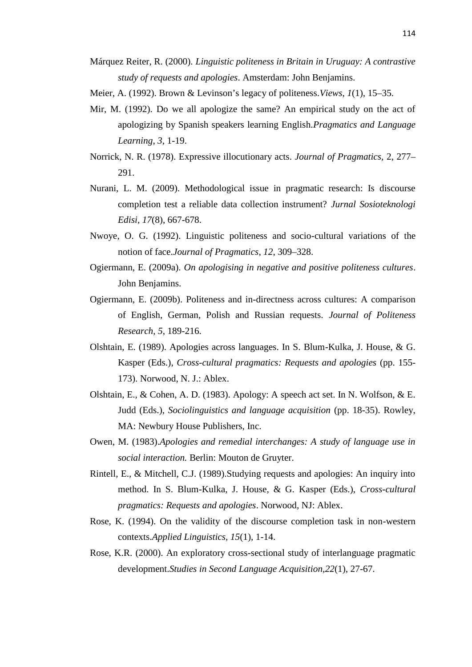- Márquez Reiter, R. (2000). *Linguistic politeness in Britain in Uruguay: A contrastive study of requests and apologies*. Amsterdam: John Benjamins.
- Meier, A. (1992). Brown & Levinson's legacy of politeness.*Views*, *1*(1), 15–35.
- Mir, M. (1992). Do we all apologize the same? An empirical study on the act of apologizing by Spanish speakers learning English.*Pragmatics and Language Learning, 3*, 1-19.
- Norrick, N. R. (1978). Expressive illocutionary acts. *Journal of Pragmatics,* 2, 277– 291.
- Nurani, L. M. (2009). Methodological issue in pragmatic research: Is discourse completion test a reliable data collection instrument? *Jurnal Sosioteknologi Edisi, 17*(8), 667-678.
- Nwoye, O. G. (1992). Linguistic politeness and socio-cultural variations of the notion of face.*Journal of Pragmatics*, *12*, 309–328.
- Ogiermann, E. (2009a). *On apologising in negative and positive politeness cultures*. John Benjamins.
- Ogiermann, E. (2009b). Politeness and in-directness across cultures: A comparison of English, German, Polish and Russian requests. *Journal of Politeness Research, 5*, 189-216.
- Olshtain, E. (1989). Apologies across languages. In S. Blum-Kulka, J. House, & G. Kasper (Eds.), *Cross-cultural pragmatics: Requests and apologies* (pp. 155- 173). Norwood, N. J.: Ablex.
- Olshtain, E., & Cohen, A. D. (1983). Apology: A speech act set. In N. Wolfson, & E. Judd (Eds.), *Sociolinguistics and language acquisition* (pp. 18-35). Rowley, MA: Newbury House Publishers, Inc.
- Owen, M. (1983).*Apologies and remedial interchanges: A study of language use in social interaction.* Berlin: Mouton de Gruyter.
- Rintell, E., & Mitchell, C.J. (1989).Studying requests and apologies: An inquiry into method. In S. Blum-Kulka, J. House, & G. Kasper (Eds.), *Cross-cultural pragmatics: Requests and apologies*. Norwood, NJ: Ablex.
- Rose, K. (1994). On the validity of the discourse completion task in non-western contexts.*Applied Linguistics, 15*(1), 1-14.
- Rose, K.R. (2000). An exploratory cross-sectional study of interlanguage pragmatic development.*Studies in Second Language Acquisition,22*(1), 27-67.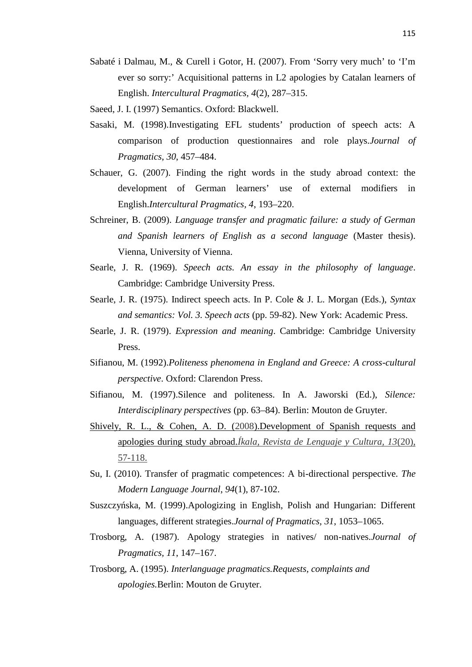- Sabaté i Dalmau, M., & Curell i Gotor, H. (2007). From 'Sorry very much' to 'I'm ever so sorry:' Acquisitional patterns in L2 apologies by Catalan learners of English. *Intercultural Pragmatics, 4*(2), 287–315.
- Saeed, J. I. (1997) Semantics. Oxford: Blackwell.
- Sasaki, M. (1998).Investigating EFL students' production of speech acts: A comparison of production questionnaires and role plays.*Journal of Pragmatics*, *30*, 457–484.
- Schauer, G. (2007). Finding the right words in the study abroad context: the development of German learners' use of external modifiers in English.*Intercultural Pragmatics, 4*, 193–220.
- Schreiner, B. (2009). *Language transfer and pragmatic failure: a study of German and Spanish learners of English as a second language* (Master thesis). Vienna, University of Vienna.
- Searle, J. R. (1969). *Speech acts. An essay in the philosophy of language*. Cambridge: Cambridge University Press.
- Searle, J. R. (1975). Indirect speech acts. In P. Cole & J. L. Morgan (Eds.), *Syntax and semantics: Vol. 3. Speech acts* (pp. 59-82). New York: Academic Press.
- Searle, J. R. (1979). *Expression and meaning*. Cambridge: Cambridge University Press.
- Sifianou, M. (1992).*Politeness phenomena in England and Greece: A cross-cultural perspective*. Oxford: Clarendon Press.
- Sifianou, M. (1997).Silence and politeness. In A. Jaworski (Ed.), *Silence: Interdisciplinary perspectives* (pp. 63–84). Berlin: Mouton de Gruyter.
- Shively, R. L., & Cohen, A. D. (2008).Development of Spanish requests and apologies during study abroad.*Íkala, Revista de Lenguaje y Cultura, 13*(20), 57-118.
- Su, I. (2010). Transfer of pragmatic competences: A bi-directional perspective. *The Modern Language Journal*, *94*(1), 87-102.
- Suszczy ska, M. (1999).Apologizing in English, Polish and Hungarian: Different languages, different strategies.*Journal of Pragmatics, 31*, 1053–1065.
- Trosborg, A. (1987). Apology strategies in natives/ non-natives.*Journal of Pragmatics, 11*, 147–167.
- Trosborg, A. (1995). *Interlanguage pragmatics.Requests, complaints and apologies.*Berlin: Mouton de Gruyter.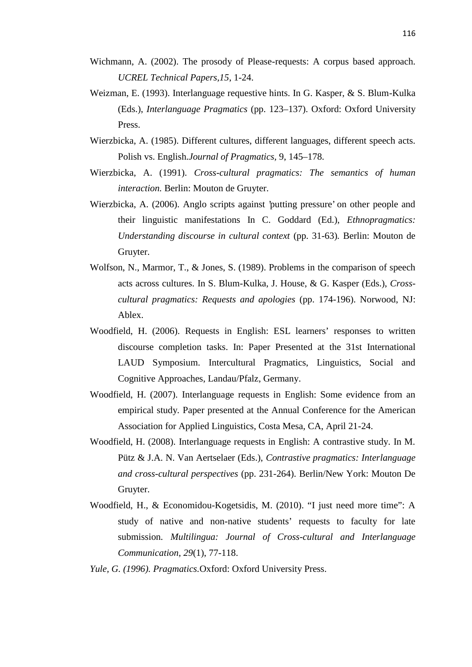- Wichmann, A. (2002). The prosody of Please-requests: A corpus based approach. *UCREL Technical Papers,15*, 1-24.
- Weizman, E. (1993). Interlanguage requestive hints. In G. Kasper, & S. Blum-Kulka (Eds.), *Interlanguage Pragmatics* (pp. 123–137). Oxford: Oxford University Press.
- Wierzbicka, A. (1985). Different cultures, different languages, different speech acts. Polish vs. English.*Journal of Pragmatics,* 9, 145–178.
- Wierzbicka, A. (1991). *Cross-cultural pragmatics: The semantics of human interaction.* Berlin: Mouton de Gruyter.
- Wierzbicka, A. (2006). Anglo scripts against 'putting pressure' on other people and their linguistic manifestations In C. Goddard (Ed.), *Ethnopragmatics: Understanding discourse in cultural context* (pp. 31-63)*.* Berlin: Mouton de Gruyter.
- Wolfson, N., Marmor, T., & Jones, S. (1989). Problems in the comparison of speech acts across cultures. In S. Blum-Kulka, J. House, & G. Kasper (Eds.), *Cross cultural pragmatics: Requests and apologies* (pp. 174-196). Norwood, NJ: Ablex.
- Woodfield, H. (2006). Requests in English: ESL learners' responses to written discourse completion tasks. In: Paper Presented at the 31st International LAUD Symposium. Intercultural Pragmatics, Linguistics, Social and Cognitive Approaches, Landau/Pfalz, Germany.
- Woodfield, H. (2007). Interlanguage requests in English: Some evidence from an empirical study*.* Paper presented at the Annual Conference for the American Association for Applied Linguistics, Costa Mesa, CA, April 21-24.
- Woodfield, H. (2008). Interlanguage requests in English: A contrastive study. In M. Pütz & J.A. N. Van Aertselaer (Eds.), *Contrastive pragmatics: Interlanguage and cross-cultural perspectives* (pp. 231-264). Berlin/New York: Mouton De Gruyter.
- Woodfield, H., & Economidou-Kogetsidis, M. (2010). "I just need more time": A study of native and non-native students' requests to faculty for late submission*. Multilingua: Journal of Cross-cultural and Interlanguage Communication*, *29*(1), 77-118.
- *Yule, G. (1996). Pragmatics.*Oxford: Oxford University Press.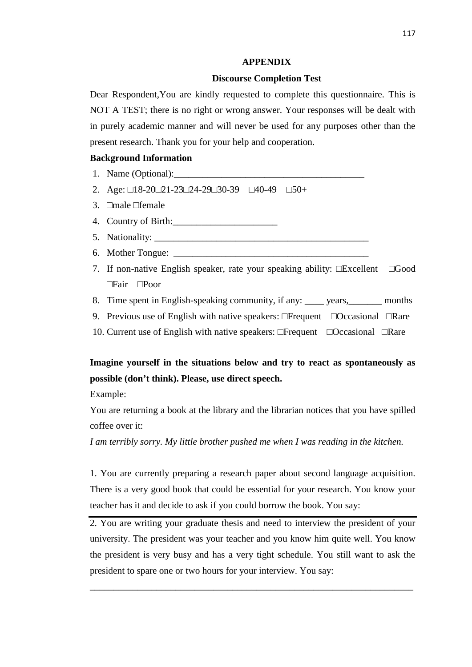### **APPENDIX**

## **Discourse Completion Test**

Dear Respondent,You are kindly requested to complete this questionnaire. This is NOT A TEST; there is no right or wrong answer. Your responses will be dealt with in purely academic manner and will never be used for any purposes other than the present research. Thank you for your help and cooperation.

## **Background Information**

- 1. Name (Optional):
- 2. Age: 18-20 21-23 24-29 30-39 40-49 50+
- 3. male female
- 4. Country of Birth:\_\_\_\_\_\_\_\_\_\_\_\_\_\_\_\_\_\_\_\_\_\_
- 5. Nationality:
- 6. Mother Tongue:  $\Box$
- 7. If non-native English speaker, rate your speaking ability: Excellent Good Fair Poor
- 8. Time spent in English-speaking community, if any: vears, months
- 9. Previous use of English with native speakers: Frequent Occasional Rare
- 10. Current use of English with native speakers: Frequent Occasional Rare

# **Imagine yourself in the situations below and try to react as spontaneously as possible (don't think). Please, use direct speech.**

Example:

You are returning a book at the library and the librarian notices that you have spilled coffee over it:

*I am terribly sorry. My little brother pushed me when I was reading in the kitchen.*

1. You are currently preparing a research paper about second language acquisition. There is a very good book that could be essential for your research. You know your teacher has it and decide to ask if you could borrow the book. You say:

2. You are writing your graduate thesis and need to interview the president of your university. The president was your teacher and you know him quite well. You know the president is very busy and has a very tight schedule. You still want to ask the president to spare one or two hours for your interview. You say:

\_\_\_\_\_\_\_\_\_\_\_\_\_\_\_\_\_\_\_\_\_\_\_\_\_\_\_\_\_\_\_\_\_\_\_\_\_\_\_\_\_\_\_\_\_\_\_\_\_\_\_\_\_\_\_\_\_\_\_\_\_\_\_\_\_\_\_\_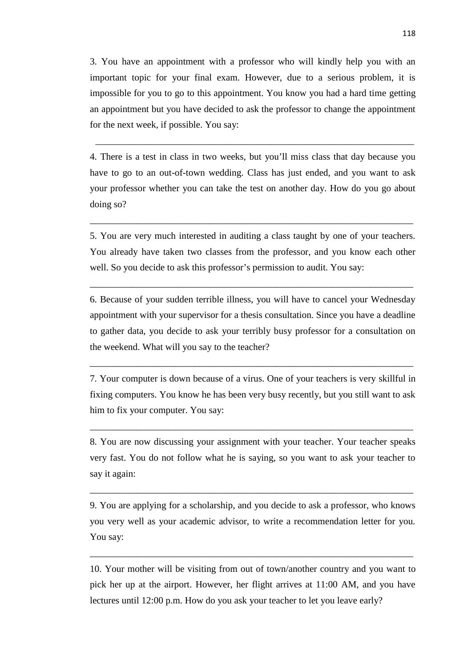3. You have an appointment with a professor who will kindly help you with an important topic for your final exam. However, due to a serious problem, it is impossible for you to go to this appointment. You know you had a hard time getting an appointment but you have decided to ask the professor to change the appointment for the next week, if possible. You say:

4. There is a test in class in two weeks, but you'll miss class that day because you have to go to an out-of-town wedding. Class has just ended, and you want to ask your professor whether you can take the test on another day. How do you go about doing so?

\_\_\_\_\_\_\_\_\_\_\_\_\_\_\_\_\_\_\_\_\_\_\_\_\_\_\_\_\_\_\_\_\_\_\_\_\_\_\_\_\_\_\_\_\_\_\_\_\_\_\_\_\_\_\_\_\_\_\_\_\_\_\_\_\_\_\_

\_\_\_\_\_\_\_\_\_\_\_\_\_\_\_\_\_\_\_\_\_\_\_\_\_\_\_\_\_\_\_\_\_\_\_\_\_\_\_\_\_\_\_\_\_\_\_\_\_\_\_\_\_\_\_\_\_\_\_\_\_\_\_\_\_\_\_\_

\_\_\_\_\_\_\_\_\_\_\_\_\_\_\_\_\_\_\_\_\_\_\_\_\_\_\_\_\_\_\_\_\_\_\_\_\_\_\_\_\_\_\_\_\_\_\_\_\_\_\_\_\_\_\_\_\_\_\_\_\_\_\_\_\_\_\_\_

\_\_\_\_\_\_\_\_\_\_\_\_\_\_\_\_\_\_\_\_\_\_\_\_\_\_\_\_\_\_\_\_\_\_\_\_\_\_\_\_\_\_\_\_\_\_\_\_\_\_\_\_\_\_\_\_\_\_\_\_\_\_\_\_\_\_\_\_

\_\_\_\_\_\_\_\_\_\_\_\_\_\_\_\_\_\_\_\_\_\_\_\_\_\_\_\_\_\_\_\_\_\_\_\_\_\_\_\_\_\_\_\_\_\_\_\_\_\_\_\_\_\_\_\_\_\_\_\_\_\_\_\_\_\_\_\_

\_\_\_\_\_\_\_\_\_\_\_\_\_\_\_\_\_\_\_\_\_\_\_\_\_\_\_\_\_\_\_\_\_\_\_\_\_\_\_\_\_\_\_\_\_\_\_\_\_\_\_\_\_\_\_\_\_\_\_\_\_\_\_\_\_\_\_\_

\_\_\_\_\_\_\_\_\_\_\_\_\_\_\_\_\_\_\_\_\_\_\_\_\_\_\_\_\_\_\_\_\_\_\_\_\_\_\_\_\_\_\_\_\_\_\_\_\_\_\_\_\_\_\_\_\_\_\_\_\_\_\_\_\_\_\_\_

5. You are very much interested in auditing a class taught by one of your teachers. You already have taken two classes from the professor, and you know each other well. So you decide to ask this professor's permission to audit. You say:

6. Because of your sudden terrible illness, you will have to cancel your Wednesday appointment with your supervisor for a thesis consultation. Since you have a deadline to gather data, you decide to ask your terribly busy professor for a consultation on the weekend. What will you say to the teacher?

7. Your computer is down because of a virus. One of your teachers is very skillful in fixing computers. You know he has been very busy recently, but you still want to ask him to fix your computer. You say:

8. You are now discussing your assignment with your teacher. Your teacher speaks very fast. You do not follow what he is saying, so you want to ask your teacher to say it again:

9. You are applying for a scholarship, and you decide to ask a professor, who knows you very well as your academic advisor, to write a recommendation letter for you. You say:

10. Your mother will be visiting from out of town/another country and you want to pick her up at the airport. However, her flight arrives at 11:00 AM, and you have lectures until 12:00 p.m. How do you ask your teacher to let you leave early?